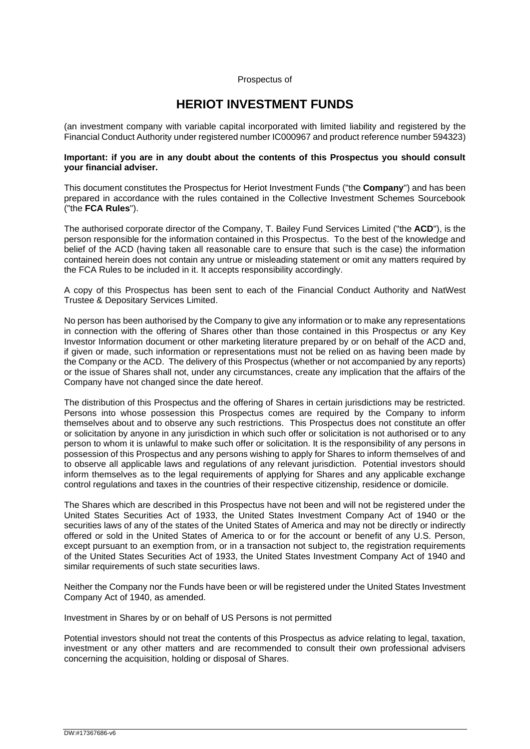#### Prospectus of

## **HERIOT INVESTMENT FUNDS**

(an investment company with variable capital incorporated with limited liability and registered by the Financial Conduct Authority under registered number IC000967 and product reference number 594323)

#### **Important: if you are in any doubt about the contents of this Prospectus you should consult your financial adviser.**

This document constitutes the Prospectus for Heriot Investment Funds ("the **Company**") and has been prepared in accordance with the rules contained in the Collective Investment Schemes Sourcebook ("the **FCA Rules**").

The authorised corporate director of the Company, T. Bailey Fund Services Limited ("the **ACD**"), is the person responsible for the information contained in this Prospectus. To the best of the knowledge and belief of the ACD (having taken all reasonable care to ensure that such is the case) the information contained herein does not contain any untrue or misleading statement or omit any matters required by the FCA Rules to be included in it. It accepts responsibility accordingly.

A copy of this Prospectus has been sent to each of the Financial Conduct Authority and NatWest Trustee & Depositary Services Limited.

No person has been authorised by the Company to give any information or to make any representations in connection with the offering of Shares other than those contained in this Prospectus or any Key Investor Information document or other marketing literature prepared by or on behalf of the ACD and, if given or made, such information or representations must not be relied on as having been made by the Company or the ACD. The delivery of this Prospectus (whether or not accompanied by any reports) or the issue of Shares shall not, under any circumstances, create any implication that the affairs of the Company have not changed since the date hereof.

The distribution of this Prospectus and the offering of Shares in certain jurisdictions may be restricted. Persons into whose possession this Prospectus comes are required by the Company to inform themselves about and to observe any such restrictions. This Prospectus does not constitute an offer or solicitation by anyone in any jurisdiction in which such offer or solicitation is not authorised or to any person to whom it is unlawful to make such offer or solicitation. It is the responsibility of any persons in possession of this Prospectus and any persons wishing to apply for Shares to inform themselves of and to observe all applicable laws and regulations of any relevant jurisdiction. Potential investors should inform themselves as to the legal requirements of applying for Shares and any applicable exchange control regulations and taxes in the countries of their respective citizenship, residence or domicile.

The Shares which are described in this Prospectus have not been and will not be registered under the United States Securities Act of 1933, the United States Investment Company Act of 1940 or the securities laws of any of the states of the United States of America and may not be directly or indirectly offered or sold in the United States of America to or for the account or benefit of any U.S. Person, except pursuant to an exemption from, or in a transaction not subject to, the registration requirements of the United States Securities Act of 1933, the United States Investment Company Act of 1940 and similar requirements of such state securities laws.

Neither the Company nor the Funds have been or will be registered under the United States Investment Company Act of 1940, as amended.

Investment in Shares by or on behalf of US Persons is not permitted

Potential investors should not treat the contents of this Prospectus as advice relating to legal, taxation, investment or any other matters and are recommended to consult their own professional advisers concerning the acquisition, holding or disposal of Shares.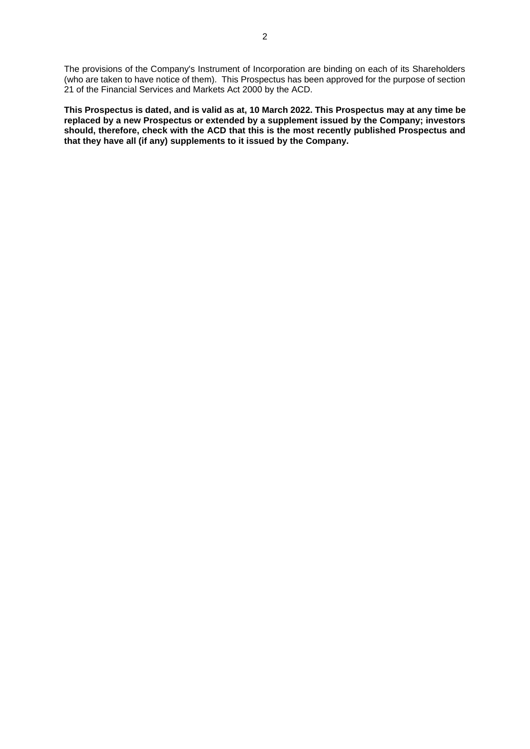The provisions of the Company's Instrument of Incorporation are binding on each of its Shareholders (who are taken to have notice of them). This Prospectus has been approved for the purpose of section 21 of the Financial Services and Markets Act 2000 by the ACD.

**This Prospectus is dated, and is valid as at, 10 March 2022. This Prospectus may at any time be replaced by a new Prospectus or extended by a supplement issued by the Company; investors should, therefore, check with the ACD that this is the most recently published Prospectus and that they have all (if any) supplements to it issued by the Company.**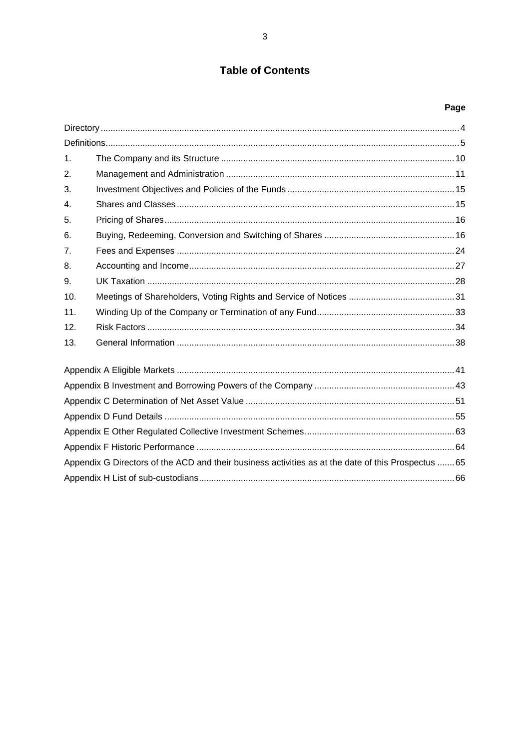## **Table of Contents**

# Page

| 1 <sub>1</sub> |                                                                                                    |  |
|----------------|----------------------------------------------------------------------------------------------------|--|
| 2.             |                                                                                                    |  |
| 3.             |                                                                                                    |  |
| 4.             |                                                                                                    |  |
| 5.             |                                                                                                    |  |
| 6.             |                                                                                                    |  |
| 7 <sub>1</sub> |                                                                                                    |  |
| 8.             |                                                                                                    |  |
| 9.             |                                                                                                    |  |
| 10.            |                                                                                                    |  |
| 11.            |                                                                                                    |  |
| 12.            |                                                                                                    |  |
| 13.            |                                                                                                    |  |
|                |                                                                                                    |  |
|                |                                                                                                    |  |
|                |                                                                                                    |  |
|                |                                                                                                    |  |
|                |                                                                                                    |  |
|                |                                                                                                    |  |
|                | Appendix G Directors of the ACD and their business activities as at the date of this Prospectus 65 |  |
|                |                                                                                                    |  |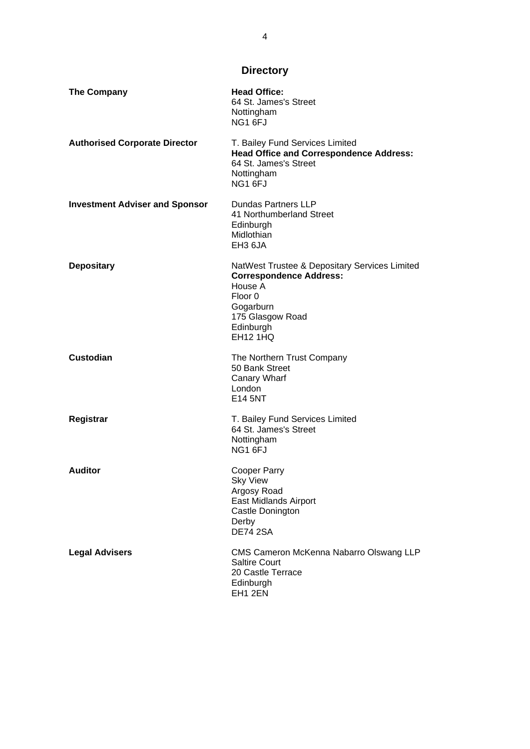**Directory**

<span id="page-3-0"></span>

| <b>The Company</b>                    | <b>Head Office:</b><br>64 St. James's Street<br>Nottingham<br>NG1 6FJ                                                                                                  |
|---------------------------------------|------------------------------------------------------------------------------------------------------------------------------------------------------------------------|
| <b>Authorised Corporate Director</b>  | T. Bailey Fund Services Limited<br><b>Head Office and Correspondence Address:</b><br>64 St. James's Street<br>Nottingham<br>NG1 6FJ                                    |
| <b>Investment Adviser and Sponsor</b> | Dundas Partners LLP<br>41 Northumberland Street<br>Edinburgh<br>Midlothian<br>EH3 6JA                                                                                  |
| <b>Depositary</b>                     | NatWest Trustee & Depositary Services Limited<br><b>Correspondence Address:</b><br>House A<br>Floor 0<br>Gogarburn<br>175 Glasgow Road<br>Edinburgh<br><b>EH12 1HQ</b> |
| <b>Custodian</b>                      | The Northern Trust Company<br>50 Bank Street<br>Canary Wharf<br>London<br>E14 5NT                                                                                      |
| Registrar                             | T. Bailey Fund Services Limited<br>64 St. James's Street<br>Nottingham<br>NG1 6FJ                                                                                      |
| <b>Auditor</b>                        | Cooper Parry<br>Sky View<br>Argosy Road<br>East Midlands Airport<br>Castle Donington<br>Derby<br><b>DE74 2SA</b>                                                       |
| <b>Legal Advisers</b>                 | CMS Cameron McKenna Nabarro Olswang LLP<br><b>Saltire Court</b><br>20 Castle Terrace<br>Edinburgh<br>EH1 2EN                                                           |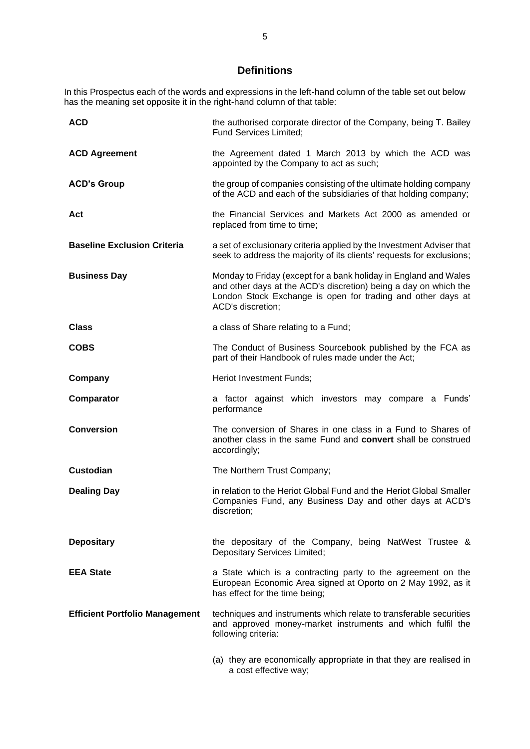## **Definitions**

<span id="page-4-0"></span>In this Prospectus each of the words and expressions in the left-hand column of the table set out below has the meaning set opposite it in the right-hand column of that table:

| <b>ACD</b>                            | the authorised corporate director of the Company, being T. Bailey<br>Fund Services Limited;                                                                                                                              |
|---------------------------------------|--------------------------------------------------------------------------------------------------------------------------------------------------------------------------------------------------------------------------|
| <b>ACD Agreement</b>                  | the Agreement dated 1 March 2013 by which the ACD was<br>appointed by the Company to act as such;                                                                                                                        |
| <b>ACD's Group</b>                    | the group of companies consisting of the ultimate holding company<br>of the ACD and each of the subsidiaries of that holding company;                                                                                    |
| Act                                   | the Financial Services and Markets Act 2000 as amended or<br>replaced from time to time;                                                                                                                                 |
| <b>Baseline Exclusion Criteria</b>    | a set of exclusionary criteria applied by the Investment Adviser that<br>seek to address the majority of its clients' requests for exclusions;                                                                           |
| <b>Business Day</b>                   | Monday to Friday (except for a bank holiday in England and Wales<br>and other days at the ACD's discretion) being a day on which the<br>London Stock Exchange is open for trading and other days at<br>ACD's discretion; |
| <b>Class</b>                          | a class of Share relating to a Fund;                                                                                                                                                                                     |
| <b>COBS</b>                           | The Conduct of Business Sourcebook published by the FCA as<br>part of their Handbook of rules made under the Act;                                                                                                        |
| Company                               | Heriot Investment Funds;                                                                                                                                                                                                 |
| Comparator                            | a factor against which investors may compare a Funds'<br>performance                                                                                                                                                     |
| <b>Conversion</b>                     | The conversion of Shares in one class in a Fund to Shares of<br>another class in the same Fund and convert shall be construed<br>accordingly;                                                                            |
| <b>Custodian</b>                      | The Northern Trust Company;                                                                                                                                                                                              |
| <b>Dealing Day</b>                    | in relation to the Heriot Global Fund and the Heriot Global Smaller<br>Companies Fund, any Business Day and other days at ACD's<br>discretion;                                                                           |
| <b>Depositary</b>                     | the depositary of the Company, being NatWest Trustee &<br>Depositary Services Limited;                                                                                                                                   |
| <b>EEA State</b>                      | a State which is a contracting party to the agreement on the<br>European Economic Area signed at Oporto on 2 May 1992, as it<br>has effect for the time being;                                                           |
| <b>Efficient Portfolio Management</b> | techniques and instruments which relate to transferable securities<br>and approved money-market instruments and which fulfil the<br>following criteria:                                                                  |
|                                       | (a) they are economically appropriate in that they are realised in<br>a cost effective way;                                                                                                                              |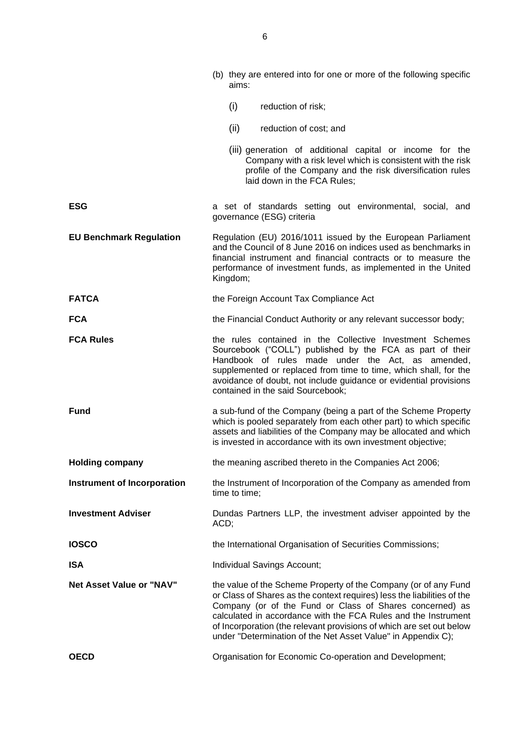|                                    | (b) they are entered into for one or more of the following specific<br>aims:                                                                                                                                                                                                                                                                                                                                     |
|------------------------------------|------------------------------------------------------------------------------------------------------------------------------------------------------------------------------------------------------------------------------------------------------------------------------------------------------------------------------------------------------------------------------------------------------------------|
|                                    | (i)<br>reduction of risk;                                                                                                                                                                                                                                                                                                                                                                                        |
|                                    | (ii)<br>reduction of cost; and                                                                                                                                                                                                                                                                                                                                                                                   |
|                                    | (iii) generation of additional capital or income for the<br>Company with a risk level which is consistent with the risk<br>profile of the Company and the risk diversification rules<br>laid down in the FCA Rules;                                                                                                                                                                                              |
| ESG                                | a set of standards setting out environmental, social, and<br>governance (ESG) criteria                                                                                                                                                                                                                                                                                                                           |
| <b>EU Benchmark Regulation</b>     | Regulation (EU) 2016/1011 issued by the European Parliament<br>and the Council of 8 June 2016 on indices used as benchmarks in<br>financial instrument and financial contracts or to measure the<br>performance of investment funds, as implemented in the United<br>Kingdom;                                                                                                                                    |
| <b>FATCA</b>                       | the Foreign Account Tax Compliance Act                                                                                                                                                                                                                                                                                                                                                                           |
| <b>FCA</b>                         | the Financial Conduct Authority or any relevant successor body;                                                                                                                                                                                                                                                                                                                                                  |
| <b>FCA Rules</b>                   | the rules contained in the Collective Investment Schemes<br>Sourcebook ("COLL") published by the FCA as part of their<br>Handbook of rules made under the Act, as amended,<br>supplemented or replaced from time to time, which shall, for the<br>avoidance of doubt, not include guidance or evidential provisions<br>contained in the said Sourcebook;                                                         |
| Fund                               | a sub-fund of the Company (being a part of the Scheme Property<br>which is pooled separately from each other part) to which specific<br>assets and liabilities of the Company may be allocated and which<br>is invested in accordance with its own investment objective;                                                                                                                                         |
| <b>Holding company</b>             | the meaning ascribed thereto in the Companies Act 2006;                                                                                                                                                                                                                                                                                                                                                          |
| <b>Instrument of Incorporation</b> | the Instrument of Incorporation of the Company as amended from<br>time to time;                                                                                                                                                                                                                                                                                                                                  |
| <b>Investment Adviser</b>          | Dundas Partners LLP, the investment adviser appointed by the<br>ACD;                                                                                                                                                                                                                                                                                                                                             |
| <b>IOSCO</b>                       | the International Organisation of Securities Commissions;                                                                                                                                                                                                                                                                                                                                                        |
| <b>ISA</b>                         | Individual Savings Account;                                                                                                                                                                                                                                                                                                                                                                                      |
| <b>Net Asset Value or "NAV"</b>    | the value of the Scheme Property of the Company (or of any Fund<br>or Class of Shares as the context requires) less the liabilities of the<br>Company (or of the Fund or Class of Shares concerned) as<br>calculated in accordance with the FCA Rules and the Instrument<br>of Incorporation (the relevant provisions of which are set out below<br>under "Determination of the Net Asset Value" in Appendix C); |
| <b>OECD</b>                        | Organisation for Economic Co-operation and Development;                                                                                                                                                                                                                                                                                                                                                          |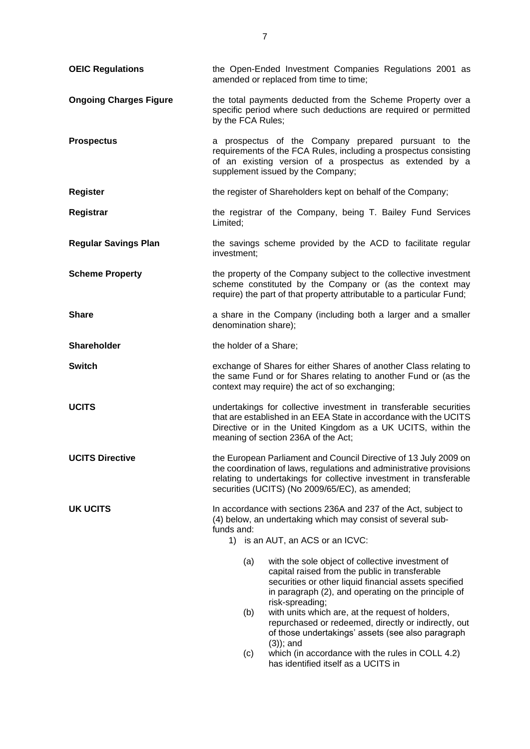| <b>OEIC Regulations</b>       | the Open-Ended Investment Companies Regulations 2001 as<br>amended or replaced from time to time;                                                                                                                                                                |  |
|-------------------------------|------------------------------------------------------------------------------------------------------------------------------------------------------------------------------------------------------------------------------------------------------------------|--|
| <b>Ongoing Charges Figure</b> | the total payments deducted from the Scheme Property over a<br>specific period where such deductions are required or permitted<br>by the FCA Rules;                                                                                                              |  |
| <b>Prospectus</b>             | a prospectus of the Company prepared pursuant to the<br>requirements of the FCA Rules, including a prospectus consisting<br>of an existing version of a prospectus as extended by a<br>supplement issued by the Company;                                         |  |
| <b>Register</b>               | the register of Shareholders kept on behalf of the Company;                                                                                                                                                                                                      |  |
| Registrar                     | the registrar of the Company, being T. Bailey Fund Services<br>Limited;                                                                                                                                                                                          |  |
| <b>Regular Savings Plan</b>   | the savings scheme provided by the ACD to facilitate regular<br>investment;                                                                                                                                                                                      |  |
| <b>Scheme Property</b>        | the property of the Company subject to the collective investment<br>scheme constituted by the Company or (as the context may<br>require) the part of that property attributable to a particular Fund;                                                            |  |
| <b>Share</b>                  | a share in the Company (including both a larger and a smaller<br>denomination share);                                                                                                                                                                            |  |
| <b>Shareholder</b>            | the holder of a Share;                                                                                                                                                                                                                                           |  |
| <b>Switch</b>                 | exchange of Shares for either Shares of another Class relating to<br>the same Fund or for Shares relating to another Fund or (as the<br>context may require) the act of so exchanging;                                                                           |  |
| <b>UCITS</b>                  | undertakings for collective investment in transferable securities<br>that are established in an EEA State in accordance with the UCITS<br>Directive or in the United Kingdom as a UK UCITS, within the<br>meaning of section 236A of the Act;                    |  |
| <b>UCITS Directive</b>        | the European Parliament and Council Directive of 13 July 2009 on<br>the coordination of laws, regulations and administrative provisions<br>relating to undertakings for collective investment in transferable<br>securities (UCITS) (No 2009/65/EC), as amended; |  |
| <b>UK UCITS</b>               | In accordance with sections 236A and 237 of the Act, subject to<br>(4) below, an undertaking which may consist of several sub-<br>funds and:<br>1) is an AUT, an ACS or an ICVC:                                                                                 |  |
|                               | (a)<br>with the sole object of collective investment of<br>capital raised from the public in transferable<br>securities or other liquid financial assets specified<br>in paragraph (2), and operating on the principle of<br>risk-spreading;                     |  |
|                               | with units which are, at the request of holders,<br>(b)<br>repurchased or redeemed, directly or indirectly, out<br>of those undertakings' assets (see also paragraph<br>$(3)$ ; and                                                                              |  |
|                               | which (in accordance with the rules in COLL 4.2)<br>(c)<br>has identified itself as a UCITS in                                                                                                                                                                   |  |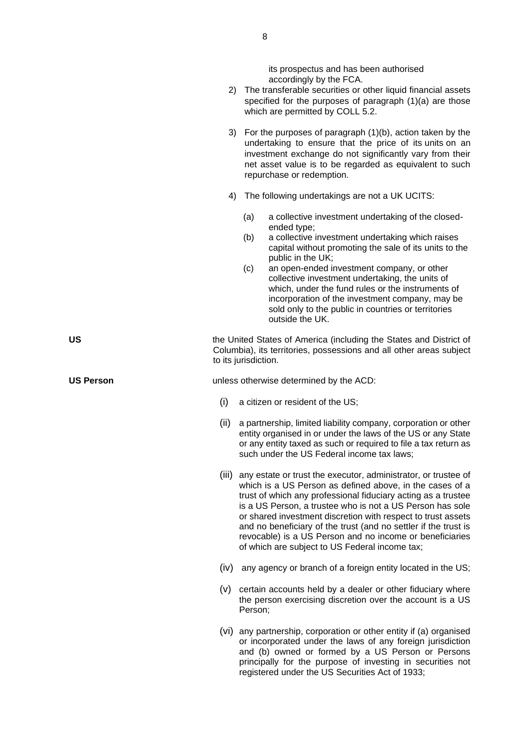its [prospectus](https://www.handbook.fca.org.uk/handbook/glossary/G924.html) and has been authorised accordingly by the [FCA.](https://www.handbook.fca.org.uk/handbook/glossary/G2974.html)

- 2) The [transferable securities](https://www.handbook.fca.org.uk/handbook/glossary/G1186.html) or other liquid financial assets specified for the purposes of paragraph (1)(a) are those which are permitted by [COLL 5.2.](https://www.handbook.fca.org.uk/handbook/COLL/5/2.html#D18)
- 3) For the purposes of paragraph (1)(b), action taken by the undertaking to ensure that the price of its [units](https://www.handbook.fca.org.uk/handbook/glossary/G1230.html) on an investment exchange do not significantly vary from their net asset value is to be regarded as equivalent to such repurchase or redemption.
- 4) The following undertakings are not a [UK UCITS:](https://www.handbook.fca.org.uk/handbook/glossary/G3403u.html)
	- (a) a collective investment undertaking of the closedended type;
	- (b) a collective investment undertaking which raises capital without promoting the sale of its [units](https://www.handbook.fca.org.uk/handbook/glossary/G1230.html) to the public in the [UK;](https://www.handbook.fca.org.uk/handbook/glossary/G1205.html)
	- (c) an open-ended investment company, or other collective investment undertaking, the [units](https://www.handbook.fca.org.uk/handbook/glossary/G1230.html) of which, under the fund rules or the instruments of incorporation of the investment company, may be sold only to the public in countries or territories outside the [UK.](https://www.handbook.fca.org.uk/handbook/glossary/G1205.html)

**US** the United States of America (including the States and District of Columbia), its territories, possessions and all other areas subject to its jurisdiction.

**US Person** unless otherwise determined by the ACD:

- (i) a citizen or resident of the US;
- (ii) a partnership, limited liability company, corporation or other entity organised in or under the laws of the US or any State or any entity taxed as such or required to file a tax return as such under the US Federal income tax laws;
- (iii) any estate or trust the executor, administrator, or trustee of which is a US Person as defined above, in the cases of a trust of which any professional fiduciary acting as a trustee is a US Person, a trustee who is not a US Person has sole or shared investment discretion with respect to trust assets and no beneficiary of the trust (and no settler if the trust is revocable) is a US Person and no income or beneficiaries of which are subject to US Federal income tax;
- (iv) any agency or branch of a foreign entity located in the US;
- (v) certain accounts held by a dealer or other fiduciary where the person exercising discretion over the account is a US Person;
- (vi) any partnership, corporation or other entity if (a) organised or incorporated under the laws of any foreign jurisdiction and (b) owned or formed by a US Person or Persons principally for the purpose of investing in securities not registered under the US Securities Act of 1933;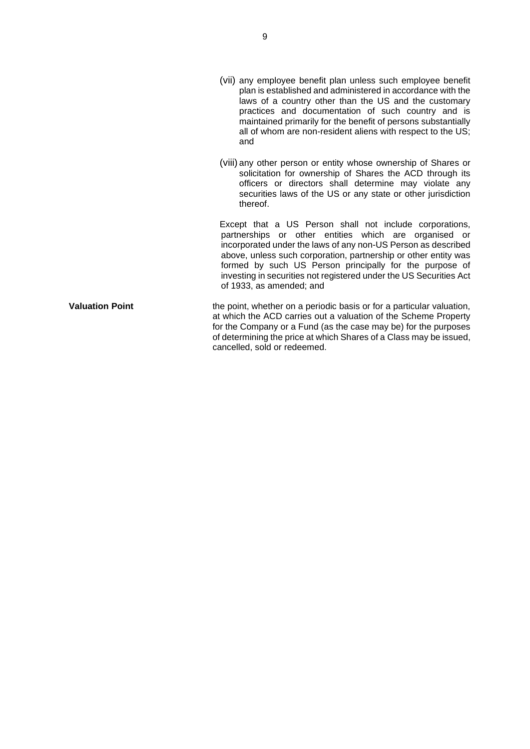- (vii) any employee benefit plan unless such employee benefit plan is established and administered in accordance with the laws of a country other than the US and the customary practices and documentation of such country and is maintained primarily for the benefit of persons substantially all of whom are non-resident aliens with respect to the US; and
- (viii) any other person or entity whose ownership of Shares or solicitation for ownership of Shares the ACD through its officers or directors shall determine may violate any securities laws of the US or any state or other jurisdiction thereof.

Except that a US Person shall not include corporations, partnerships or other entities which are organised or incorporated under the laws of any non-US Person as described above, unless such corporation, partnership or other entity was formed by such US Person principally for the purpose of investing in securities not registered under the US Securities Act of 1933, as amended; and

**Valuation Point** the point, whether on a periodic basis or for a particular valuation, at which the ACD carries out a valuation of the Scheme Property for the Company or a Fund (as the case may be) for the purposes of determining the price at which Shares of a Class may be issued, cancelled, sold or redeemed.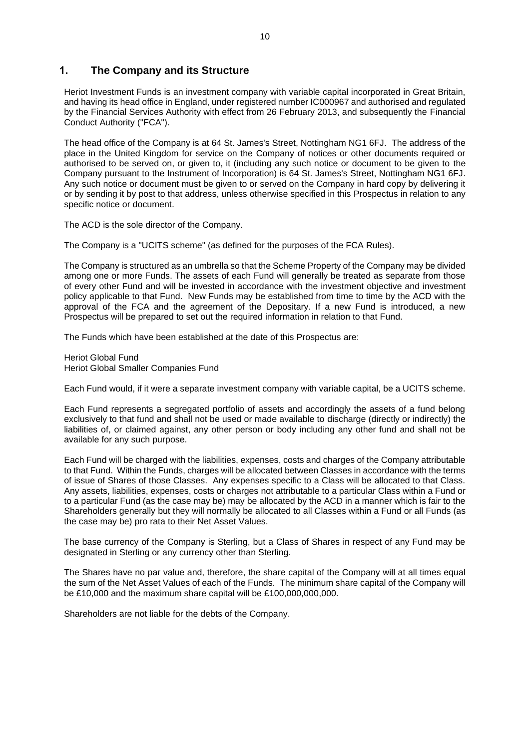## <span id="page-9-0"></span>**1. The Company and its Structure**

Heriot Investment Funds is an investment company with variable capital incorporated in Great Britain, and having its head office in England, under registered number IC000967 and authorised and regulated by the Financial Services Authority with effect from 26 February 2013, and subsequently the Financial Conduct Authority ("FCA").

The head office of the Company is at 64 St. James's Street, Nottingham NG1 6FJ. The address of the place in the United Kingdom for service on the Company of notices or other documents required or authorised to be served on, or given to, it (including any such notice or document to be given to the Company pursuant to the Instrument of Incorporation) is 64 St. James's Street, Nottingham NG1 6FJ. Any such notice or document must be given to or served on the Company in hard copy by delivering it or by sending it by post to that address, unless otherwise specified in this Prospectus in relation to any specific notice or document.

The ACD is the sole director of the Company.

The Company is a "UCITS scheme" (as defined for the purposes of the FCA Rules).

The Company is structured as an umbrella so that the Scheme Property of the Company may be divided among one or more Funds. The assets of each Fund will generally be treated as separate from those of every other Fund and will be invested in accordance with the investment objective and investment policy applicable to that Fund. New Funds may be established from time to time by the ACD with the approval of the FCA and the agreement of the Depositary. If a new Fund is introduced, a new Prospectus will be prepared to set out the required information in relation to that Fund.

The Funds which have been established at the date of this Prospectus are:

Heriot Global Fund Heriot Global Smaller Companies Fund

Each Fund would, if it were a separate investment company with variable capital, be a UCITS scheme.

Each Fund represents a segregated portfolio of assets and accordingly the assets of a fund belong exclusively to that fund and shall not be used or made available to discharge (directly or indirectly) the liabilities of, or claimed against, any other person or body including any other fund and shall not be available for any such purpose.

Each Fund will be charged with the liabilities, expenses, costs and charges of the Company attributable to that Fund. Within the Funds, charges will be allocated between Classes in accordance with the terms of issue of Shares of those Classes. Any expenses specific to a Class will be allocated to that Class. Any assets, liabilities, expenses, costs or charges not attributable to a particular Class within a Fund or to a particular Fund (as the case may be) may be allocated by the ACD in a manner which is fair to the Shareholders generally but they will normally be allocated to all Classes within a Fund or all Funds (as the case may be) pro rata to their Net Asset Values.

The base currency of the Company is Sterling, but a Class of Shares in respect of any Fund may be designated in Sterling or any currency other than Sterling.

The Shares have no par value and, therefore, the share capital of the Company will at all times equal the sum of the Net Asset Values of each of the Funds. The minimum share capital of the Company will be £10,000 and the maximum share capital will be £100,000,000,000.

Shareholders are not liable for the debts of the Company.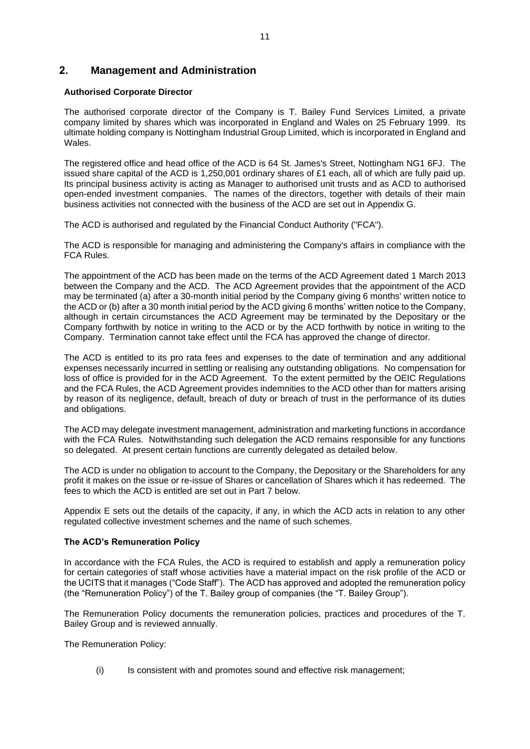## <span id="page-10-0"></span>**2. Management and Administration**

#### **Authorised Corporate Director**

The authorised corporate director of the Company is T. Bailey Fund Services Limited, a private company limited by shares which was incorporated in England and Wales on 25 February 1999. Its ultimate holding company is Nottingham Industrial Group Limited, which is incorporated in England and Wales.

The registered office and head office of the ACD is 64 St. James's Street, Nottingham NG1 6FJ. The issued share capital of the ACD is 1,250,001 ordinary shares of £1 each, all of which are fully paid up. Its principal business activity is acting as Manager to authorised unit trusts and as ACD to authorised open-ended investment companies. The names of the directors, together with details of their main business activities not connected with the business of the ACD are set out in Appendix G.

The ACD is authorised and regulated by the Financial Conduct Authority ("FCA").

The ACD is responsible for managing and administering the Company's affairs in compliance with the FCA Rules.

The appointment of the ACD has been made on the terms of the ACD Agreement dated 1 March 2013 between the Company and the ACD. The ACD Agreement provides that the appointment of the ACD may be terminated (a) after a 30-month initial period by the Company giving 6 months' written notice to the ACD or (b) after a 30 month initial period by the ACD giving 6 months' written notice to the Company, although in certain circumstances the ACD Agreement may be terminated by the Depositary or the Company forthwith by notice in writing to the ACD or by the ACD forthwith by notice in writing to the Company. Termination cannot take effect until the FCA has approved the change of director.

The ACD is entitled to its pro rata fees and expenses to the date of termination and any additional expenses necessarily incurred in settling or realising any outstanding obligations. No compensation for loss of office is provided for in the ACD Agreement. To the extent permitted by the OEIC Regulations and the FCA Rules, the ACD Agreement provides indemnities to the ACD other than for matters arising by reason of its negligence, default, breach of duty or breach of trust in the performance of its duties and obligations.

The ACD may delegate investment management, administration and marketing functions in accordance with the FCA Rules. Notwithstanding such delegation the ACD remains responsible for any functions so delegated. At present certain functions are currently delegated as detailed below.

The ACD is under no obligation to account to the Company, the Depositary or the Shareholders for any profit it makes on the issue or re-issue of Shares or cancellation of Shares which it has redeemed. The fees to which the ACD is entitled are set out in Part [7](#page-23-0) below.

Appendix E sets out the details of the capacity, if any, in which the ACD acts in relation to any other regulated collective investment schemes and the name of such schemes.

#### **The ACD's Remuneration Policy**

In accordance with the FCA Rules, the ACD is required to establish and apply a remuneration policy for certain categories of staff whose activities have a material impact on the risk profile of the ACD or the UCITS that it manages ("Code Staff"). The ACD has approved and adopted the remuneration policy (the "Remuneration Policy") of the T. Bailey group of companies (the "T. Bailey Group").

The Remuneration Policy documents the remuneration policies, practices and procedures of the T. Bailey Group and is reviewed annually.

The Remuneration Policy:

(i) Is consistent with and promotes sound and effective risk management;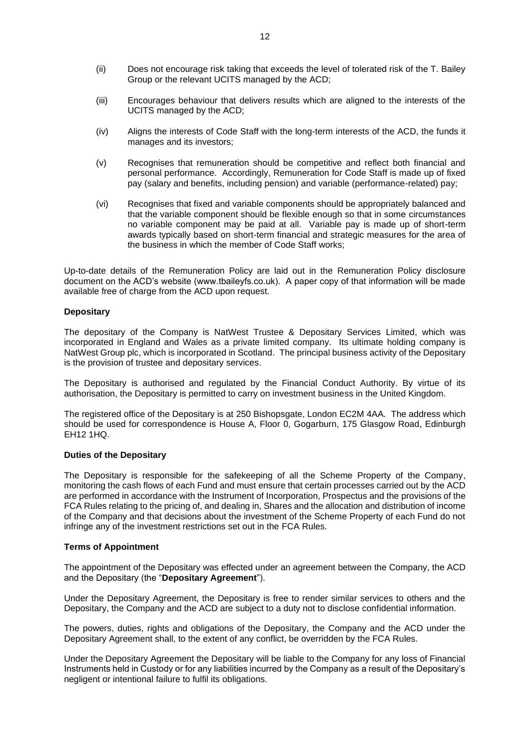- (ii) Does not encourage risk taking that exceeds the level of tolerated risk of the T. Bailey Group or the relevant UCITS managed by the ACD;
- (iii) Encourages behaviour that delivers results which are aligned to the interests of the UCITS managed by the ACD;
- (iv) Aligns the interests of Code Staff with the long-term interests of the ACD, the funds it manages and its investors;
- (v) Recognises that remuneration should be competitive and reflect both financial and personal performance. Accordingly, Remuneration for Code Staff is made up of fixed pay (salary and benefits, including pension) and variable (performance-related) pay;
- (vi) Recognises that fixed and variable components should be appropriately balanced and that the variable component should be flexible enough so that in some circumstances no variable component may be paid at all. Variable pay is made up of short-term awards typically based on short-term financial and strategic measures for the area of the business in which the member of Code Staff works;

Up-to-date details of the Remuneration Policy are laid out in the Remuneration Policy disclosure document on the ACD's website (www.tbaileyfs.co.uk). A paper copy of that information will be made available free of charge from the ACD upon request.

#### **Depositary**

The depositary of the Company is NatWest Trustee & Depositary Services Limited, which was incorporated in England and Wales as a private limited company. Its ultimate holding company is NatWest Group plc, which is incorporated in Scotland. The principal business activity of the Depositary is the provision of trustee and depositary services.

The Depositary is authorised and regulated by the Financial Conduct Authority. By virtue of its authorisation, the Depositary is permitted to carry on investment business in the United Kingdom.

The registered office of the Depositary is at 250 Bishopsgate, London EC2M 4AA. The address which should be used for correspondence is House A, Floor 0, Gogarburn, 175 Glasgow Road, Edinburgh EH12 1HQ.

#### **Duties of the Depositary**

The Depositary is responsible for the safekeeping of all the Scheme Property of the Company, monitoring the cash flows of each Fund and must ensure that certain processes carried out by the ACD are performed in accordance with the Instrument of Incorporation, Prospectus and the provisions of the FCA Rules relating to the pricing of, and dealing in, Shares and the allocation and distribution of income of the Company and that decisions about the investment of the Scheme Property of each Fund do not infringe any of the investment restrictions set out in the FCA Rules.

#### **Terms of Appointment**

The appointment of the Depositary was effected under an agreement between the Company, the ACD and the Depositary (the "**Depositary Agreement**").

Under the Depositary Agreement, the Depositary is free to render similar services to others and the Depositary, the Company and the ACD are subject to a duty not to disclose confidential information.

The powers, duties, rights and obligations of the Depositary, the Company and the ACD under the Depositary Agreement shall, to the extent of any conflict, be overridden by the FCA Rules.

Under the Depositary Agreement the Depositary will be liable to the Company for any loss of Financial Instruments held in Custody or for any liabilities incurred by the Company as a result of the Depositary's negligent or intentional failure to fulfil its obligations.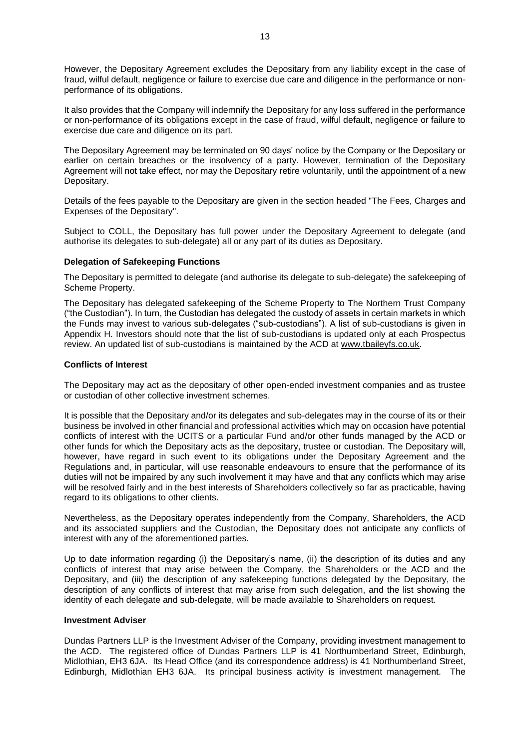However, the Depositary Agreement excludes the Depositary from any liability except in the case of fraud, wilful default, negligence or failure to exercise due care and diligence in the performance or nonperformance of its obligations.

It also provides that the Company will indemnify the Depositary for any loss suffered in the performance or non-performance of its obligations except in the case of fraud, wilful default, negligence or failure to exercise due care and diligence on its part.

The Depositary Agreement may be terminated on 90 days' notice by the Company or the Depositary or earlier on certain breaches or the insolvency of a party. However, termination of the Depositary Agreement will not take effect, nor may the Depositary retire voluntarily, until the appointment of a new Depositary.

Details of the fees payable to the Depositary are given in the section headed "The Fees, Charges and Expenses of the Depositary".

Subject to COLL, the Depositary has full power under the Depositary Agreement to delegate (and authorise its delegates to sub-delegate) all or any part of its duties as Depositary.

#### **Delegation of Safekeeping Functions**

The Depositary is permitted to delegate (and authorise its delegate to sub-delegate) the safekeeping of Scheme Property.

The Depositary has delegated safekeeping of the Scheme Property to The Northern Trust Company ("the Custodian"). In turn, the Custodian has delegated the custody of assets in certain markets in which the Funds may invest to various sub-delegates ("sub-custodians"). A list of sub-custodians is given in Appendix H. Investors should note that the list of sub-custodians is updated only at each Prospectus review. An updated list of sub-custodians is maintained by the ACD at [www.tbaileyfs.co.uk.](http://www.tbaileyfs.co.uk/)

#### **Conflicts of Interest**

The Depositary may act as the depositary of other open-ended investment companies and as trustee or custodian of other collective investment schemes.

It is possible that the Depositary and/or its delegates and sub-delegates may in the course of its or their business be involved in other financial and professional activities which may on occasion have potential conflicts of interest with the UCITS or a particular Fund and/or other funds managed by the ACD or other funds for which the Depositary acts as the depositary, trustee or custodian. The Depositary will, however, have regard in such event to its obligations under the Depositary Agreement and the Regulations and, in particular, will use reasonable endeavours to ensure that the performance of its duties will not be impaired by any such involvement it may have and that any conflicts which may arise will be resolved fairly and in the best interests of Shareholders collectively so far as practicable, having regard to its obligations to other clients.

Nevertheless, as the Depositary operates independently from the Company, Shareholders, the ACD and its associated suppliers and the Custodian, the Depositary does not anticipate any conflicts of interest with any of the aforementioned parties.

Up to date information regarding (i) the Depositary's name, (ii) the description of its duties and any conflicts of interest that may arise between the Company, the Shareholders or the ACD and the Depositary, and (iii) the description of any safekeeping functions delegated by the Depositary, the description of any conflicts of interest that may arise from such delegation, and the list showing the identity of each delegate and sub-delegate, will be made available to Shareholders on request.

#### **Investment Adviser**

Dundas Partners LLP is the Investment Adviser of the Company, providing investment management to the ACD. The registered office of Dundas Partners LLP is 41 Northumberland Street, Edinburgh, Midlothian, EH3 6JA. Its Head Office (and its correspondence address) is 41 Northumberland Street, Edinburgh, Midlothian EH3 6JA. Its principal business activity is investment management. The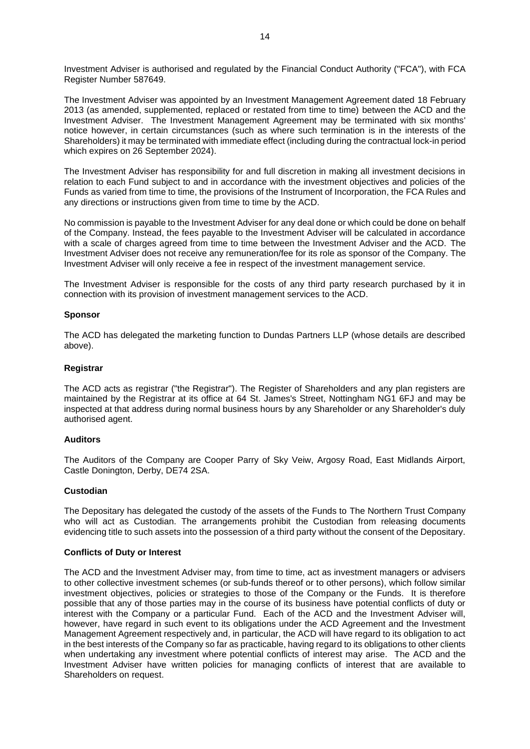Investment Adviser is authorised and regulated by the Financial Conduct Authority ("FCA"), with FCA Register Number 587649.

The Investment Adviser was appointed by an Investment Management Agreement dated 18 February 2013 (as amended, supplemented, replaced or restated from time to time) between the ACD and the Investment Adviser. The Investment Management Agreement may be terminated with six months' notice however, in certain circumstances (such as where such termination is in the interests of the Shareholders) it may be terminated with immediate effect (including during the contractual lock-in period which expires on 26 September 2024).

The Investment Adviser has responsibility for and full discretion in making all investment decisions in relation to each Fund subject to and in accordance with the investment objectives and policies of the Funds as varied from time to time, the provisions of the Instrument of Incorporation, the FCA Rules and any directions or instructions given from time to time by the ACD.

No commission is payable to the Investment Adviser for any deal done or which could be done on behalf of the Company. Instead, the fees payable to the Investment Adviser will be calculated in accordance with a scale of charges agreed from time to time between the Investment Adviser and the ACD. The Investment Adviser does not receive any remuneration/fee for its role as sponsor of the Company. The Investment Adviser will only receive a fee in respect of the investment management service.

The Investment Adviser is responsible for the costs of any third party research purchased by it in connection with its provision of investment management services to the ACD.

#### **Sponsor**

The ACD has delegated the marketing function to Dundas Partners LLP (whose details are described above).

#### **Registrar**

The ACD acts as registrar ("the Registrar"). The Register of Shareholders and any plan registers are maintained by the Registrar at its office at 64 St. James's Street, Nottingham NG1 6FJ and may be inspected at that address during normal business hours by any Shareholder or any Shareholder's duly authorised agent.

#### **Auditors**

The Auditors of the Company are Cooper Parry of Sky Veiw, Argosy Road, East Midlands Airport, Castle Donington, Derby, DE74 2SA.

#### **Custodian**

The Depositary has delegated the custody of the assets of the Funds to The Northern Trust Company who will act as Custodian. The arrangements prohibit the Custodian from releasing documents evidencing title to such assets into the possession of a third party without the consent of the Depositary.

#### **Conflicts of Duty or Interest**

The ACD and the Investment Adviser may, from time to time, act as investment managers or advisers to other collective investment schemes (or sub-funds thereof or to other persons), which follow similar investment objectives, policies or strategies to those of the Company or the Funds. It is therefore possible that any of those parties may in the course of its business have potential conflicts of duty or interest with the Company or a particular Fund. Each of the ACD and the Investment Adviser will, however, have regard in such event to its obligations under the ACD Agreement and the Investment Management Agreement respectively and, in particular, the ACD will have regard to its obligation to act in the best interests of the Company so far as practicable, having regard to its obligations to other clients when undertaking any investment where potential conflicts of interest may arise. The ACD and the Investment Adviser have written policies for managing conflicts of interest that are available to Shareholders on request.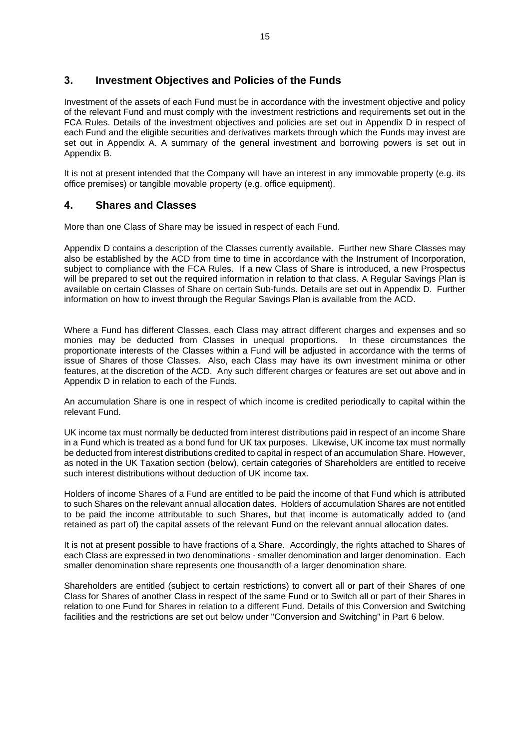## <span id="page-14-0"></span>**3. Investment Objectives and Policies of the Funds**

Investment of the assets of each Fund must be in accordance with the investment objective and policy of the relevant Fund and must comply with the investment restrictions and requirements set out in the FCA Rules. Details of the investment objectives and policies are set out in Appendix D in respect of each Fund and the eligible securities and derivatives markets through which the Funds may invest are set out in Appendix A. A summary of the general investment and borrowing powers is set out in Appendix B.

It is not at present intended that the Company will have an interest in any immovable property (e.g. its office premises) or tangible movable property (e.g. office equipment).

## <span id="page-14-1"></span>**4. Shares and Classes**

More than one Class of Share may be issued in respect of each Fund.

Appendix D contains a description of the Classes currently available. Further new Share Classes may also be established by the ACD from time to time in accordance with the Instrument of Incorporation, subject to compliance with the FCA Rules. If a new Class of Share is introduced, a new Prospectus will be prepared to set out the required information in relation to that class. A Regular Savings Plan is available on certain Classes of Share on certain Sub-funds. Details are set out in Appendix D. Further information on how to invest through the Regular Savings Plan is available from the ACD.

Where a Fund has different Classes, each Class may attract different charges and expenses and so monies may be deducted from Classes in unequal proportions. In these circumstances the proportionate interests of the Classes within a Fund will be adjusted in accordance with the terms of issue of Shares of those Classes. Also, each Class may have its own investment minima or other features, at the discretion of the ACD. Any such different charges or features are set out above and in Appendix D in relation to each of the Funds.

An accumulation Share is one in respect of which income is credited periodically to capital within the relevant Fund.

UK income tax must normally be deducted from interest distributions paid in respect of an income Share in a Fund which is treated as a bond fund for UK tax purposes. Likewise, UK income tax must normally be deducted from interest distributions credited to capital in respect of an accumulation Share. However, as noted in the UK Taxation section (below), certain categories of Shareholders are entitled to receive such interest distributions without deduction of UK income tax.

Holders of income Shares of a Fund are entitled to be paid the income of that Fund which is attributed to such Shares on the relevant annual allocation dates. Holders of accumulation Shares are not entitled to be paid the income attributable to such Shares, but that income is automatically added to (and retained as part of) the capital assets of the relevant Fund on the relevant annual allocation dates.

It is not at present possible to have fractions of a Share. Accordingly, the rights attached to Shares of each Class are expressed in two denominations - smaller denomination and larger denomination. Each smaller denomination share represents one thousandth of a larger denomination share.

Shareholders are entitled (subject to certain restrictions) to convert all or part of their Shares of one Class for Shares of another Class in respect of the same Fund or to Switch all or part of their Shares in relation to one Fund for Shares in relation to a different Fund. Details of this Conversion and Switching facilities and the restrictions are set out below under "Conversion and Switching" in Part [6](#page-15-1) below.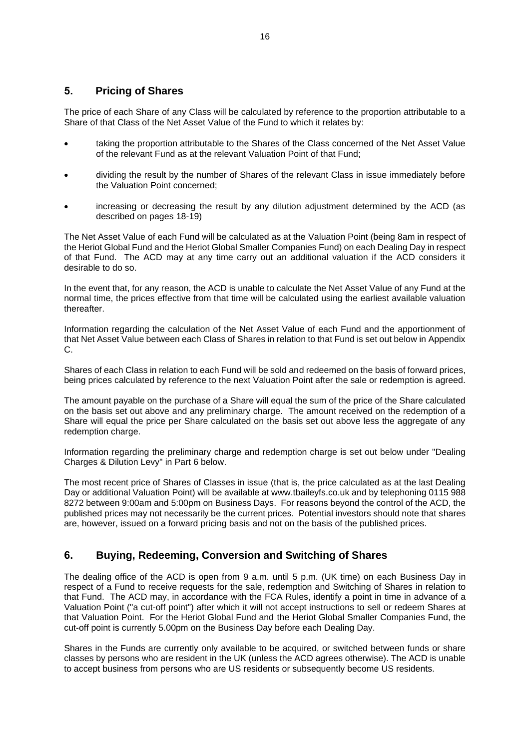## <span id="page-15-0"></span>**5. Pricing of Shares**

The price of each Share of any Class will be calculated by reference to the proportion attributable to a Share of that Class of the Net Asset Value of the Fund to which it relates by:

- taking the proportion attributable to the Shares of the Class concerned of the Net Asset Value of the relevant Fund as at the relevant Valuation Point of that Fund;
- dividing the result by the number of Shares of the relevant Class in issue immediately before the Valuation Point concerned;
- increasing or decreasing the result by any dilution adjustment determined by the ACD (as described on pages [18](#page-17-0)[-19\)](#page-18-0)

The Net Asset Value of each Fund will be calculated as at the Valuation Point (being 8am in respect of the Heriot Global Fund and the Heriot Global Smaller Companies Fund) on each Dealing Day in respect of that Fund. The ACD may at any time carry out an additional valuation if the ACD considers it desirable to do so.

In the event that, for any reason, the ACD is unable to calculate the Net Asset Value of any Fund at the normal time, the prices effective from that time will be calculated using the earliest available valuation thereafter.

Information regarding the calculation of the Net Asset Value of each Fund and the apportionment of that Net Asset Value between each Class of Shares in relation to that Fund is set out below in Appendix C.

Shares of each Class in relation to each Fund will be sold and redeemed on the basis of forward prices, being prices calculated by reference to the next Valuation Point after the sale or redemption is agreed.

The amount payable on the purchase of a Share will equal the sum of the price of the Share calculated on the basis set out above and any preliminary charge. The amount received on the redemption of a Share will equal the price per Share calculated on the basis set out above less the aggregate of any redemption charge.

Information regarding the preliminary charge and redemption charge is set out below under "Dealing Charges & Dilution Levy" in Part [6](#page-15-1) below.

The most recent price of Shares of Classes in issue (that is, the price calculated as at the last Dealing Day or additional Valuation Point) will be available at www.tbaileyfs.co.uk and by telephoning 0115 988 8272 between 9:00am and 5:00pm on Business Days. For reasons beyond the control of the ACD, the published prices may not necessarily be the current prices. Potential investors should note that shares are, however, issued on a forward pricing basis and not on the basis of the published prices.

## <span id="page-15-1"></span>**6. Buying, Redeeming, Conversion and Switching of Shares**

The dealing office of the ACD is open from 9 a.m. until 5 p.m. (UK time) on each Business Day in respect of a Fund to receive requests for the sale, redemption and Switching of Shares in relation to that Fund. The ACD may, in accordance with the FCA Rules, identify a point in time in advance of a Valuation Point ("a cut-off point") after which it will not accept instructions to sell or redeem Shares at that Valuation Point. For the Heriot Global Fund and the Heriot Global Smaller Companies Fund, the cut-off point is currently 5.00pm on the Business Day before each Dealing Day.

Shares in the Funds are currently only available to be acquired, or switched between funds or share classes by persons who are resident in the UK (unless the ACD agrees otherwise). The ACD is unable to accept business from persons who are US residents or subsequently become US residents.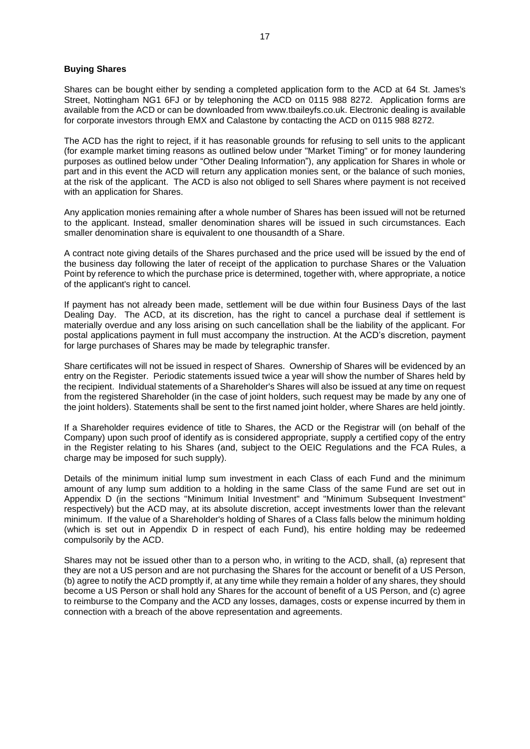#### **Buying Shares**

Shares can be bought either by sending a completed application form to the ACD at 64 St. James's Street, Nottingham NG1 6FJ or by telephoning the ACD on 0115 988 8272. Application forms are available from the ACD or can be downloaded from www.tbaileyfs.co.uk. Electronic dealing is available for corporate investors through EMX and Calastone by contacting the ACD on 0115 988 8272.

The ACD has the right to reject, if it has reasonable grounds for refusing to sell units to the applicant (for example market timing reasons as outlined below under "Market Timing" or for money laundering purposes as outlined below under "Other Dealing Information"), any application for Shares in whole or part and in this event the ACD will return any application monies sent, or the balance of such monies, at the risk of the applicant. The ACD is also not obliged to sell Shares where payment is not received with an application for Shares.

Any application monies remaining after a whole number of Shares has been issued will not be returned to the applicant. Instead, smaller denomination shares will be issued in such circumstances. Each smaller denomination share is equivalent to one thousandth of a Share.

A contract note giving details of the Shares purchased and the price used will be issued by the end of the business day following the later of receipt of the application to purchase Shares or the Valuation Point by reference to which the purchase price is determined, together with, where appropriate, a notice of the applicant's right to cancel.

If payment has not already been made, settlement will be due within four Business Days of the last Dealing Day. The ACD, at its discretion, has the right to cancel a purchase deal if settlement is materially overdue and any loss arising on such cancellation shall be the liability of the applicant. For postal applications payment in full must accompany the instruction. At the ACD's discretion, payment for large purchases of Shares may be made by telegraphic transfer.

Share certificates will not be issued in respect of Shares. Ownership of Shares will be evidenced by an entry on the Register. Periodic statements issued twice a year will show the number of Shares held by the recipient. Individual statements of a Shareholder's Shares will also be issued at any time on request from the registered Shareholder (in the case of joint holders, such request may be made by any one of the joint holders). Statements shall be sent to the first named joint holder, where Shares are held jointly.

If a Shareholder requires evidence of title to Shares, the ACD or the Registrar will (on behalf of the Company) upon such proof of identify as is considered appropriate, supply a certified copy of the entry in the Register relating to his Shares (and, subject to the OEIC Regulations and the FCA Rules, a charge may be imposed for such supply).

Details of the minimum initial lump sum investment in each Class of each Fund and the minimum amount of any lump sum addition to a holding in the same Class of the same Fund are set out in Appendix D (in the sections "Minimum Initial Investment" and "Minimum Subsequent Investment" respectively) but the ACD may, at its absolute discretion, accept investments lower than the relevant minimum. If the value of a Shareholder's holding of Shares of a Class falls below the minimum holding (which is set out in Appendix D in respect of each Fund), his entire holding may be redeemed compulsorily by the ACD.

Shares may not be issued other than to a person who, in writing to the ACD, shall, (a) represent that they are not a US person and are not purchasing the Shares for the account or benefit of a US Person, (b) agree to notify the ACD promptly if, at any time while they remain a holder of any shares, they should become a US Person or shall hold any Shares for the account of benefit of a US Person, and (c) agree to reimburse to the Company and the ACD any losses, damages, costs or expense incurred by them in connection with a breach of the above representation and agreements.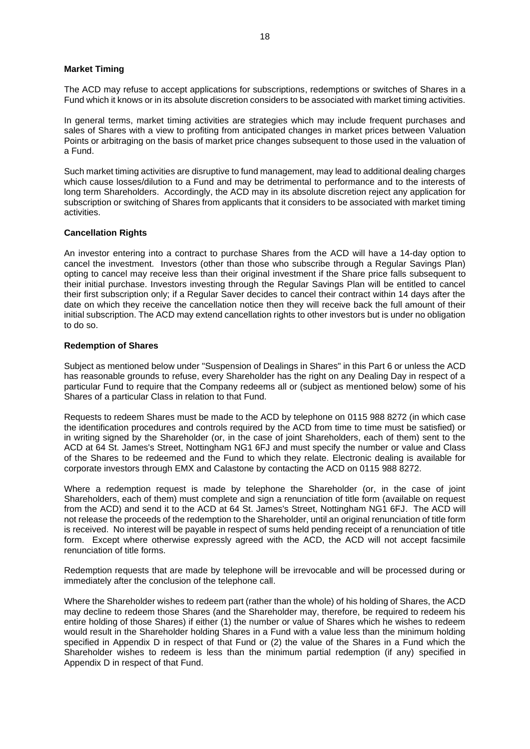#### **Market Timing**

The ACD may refuse to accept applications for subscriptions, redemptions or switches of Shares in a Fund which it knows or in its absolute discretion considers to be associated with market timing activities.

In general terms, market timing activities are strategies which may include frequent purchases and sales of Shares with a view to profiting from anticipated changes in market prices between Valuation Points or arbitraging on the basis of market price changes subsequent to those used in the valuation of a Fund.

Such market timing activities are disruptive to fund management, may lead to additional dealing charges which cause losses/dilution to a Fund and may be detrimental to performance and to the interests of long term Shareholders. Accordingly, the ACD may in its absolute discretion reject any application for subscription or switching of Shares from applicants that it considers to be associated with market timing activities.

#### **Cancellation Rights**

An investor entering into a contract to purchase Shares from the ACD will have a 14-day option to cancel the investment. Investors (other than those who subscribe through a Regular Savings Plan) opting to cancel may receive less than their original investment if the Share price falls subsequent to their initial purchase. Investors investing through the Regular Savings Plan will be entitled to cancel their first subscription only; if a Regular Saver decides to cancel their contract within 14 days after the date on which they receive the cancellation notice then they will receive back the full amount of their initial subscription. The ACD may extend cancellation rights to other investors but is under no obligation to do so.

#### <span id="page-17-0"></span>**Redemption of Shares**

Subject as mentioned below under "Suspension of Dealings in Shares" in this Part [6](#page-15-1) or unless the ACD has reasonable grounds to refuse, every Shareholder has the right on any Dealing Day in respect of a particular Fund to require that the Company redeems all or (subject as mentioned below) some of his Shares of a particular Class in relation to that Fund.

Requests to redeem Shares must be made to the ACD by telephone on 0115 988 8272 (in which case the identification procedures and controls required by the ACD from time to time must be satisfied) or in writing signed by the Shareholder (or, in the case of joint Shareholders, each of them) sent to the ACD at 64 St. James's Street, Nottingham NG1 6FJ and must specify the number or value and Class of the Shares to be redeemed and the Fund to which they relate. Electronic dealing is available for corporate investors through EMX and Calastone by contacting the ACD on 0115 988 8272.

Where a redemption request is made by telephone the Shareholder (or, in the case of joint Shareholders, each of them) must complete and sign a renunciation of title form (available on request from the ACD) and send it to the ACD at 64 St. James's Street, Nottingham NG1 6FJ. The ACD will not release the proceeds of the redemption to the Shareholder, until an original renunciation of title form is received. No interest will be payable in respect of sums held pending receipt of a renunciation of title form. Except where otherwise expressly agreed with the ACD, the ACD will not accept facsimile renunciation of title forms.

Redemption requests that are made by telephone will be irrevocable and will be processed during or immediately after the conclusion of the telephone call.

Where the Shareholder wishes to redeem part (rather than the whole) of his holding of Shares, the ACD may decline to redeem those Shares (and the Shareholder may, therefore, be required to redeem his entire holding of those Shares) if either (1) the number or value of Shares which he wishes to redeem would result in the Shareholder holding Shares in a Fund with a value less than the minimum holding specified in Appendix D in respect of that Fund or (2) the value of the Shares in a Fund which the Shareholder wishes to redeem is less than the minimum partial redemption (if any) specified in Appendix D in respect of that Fund.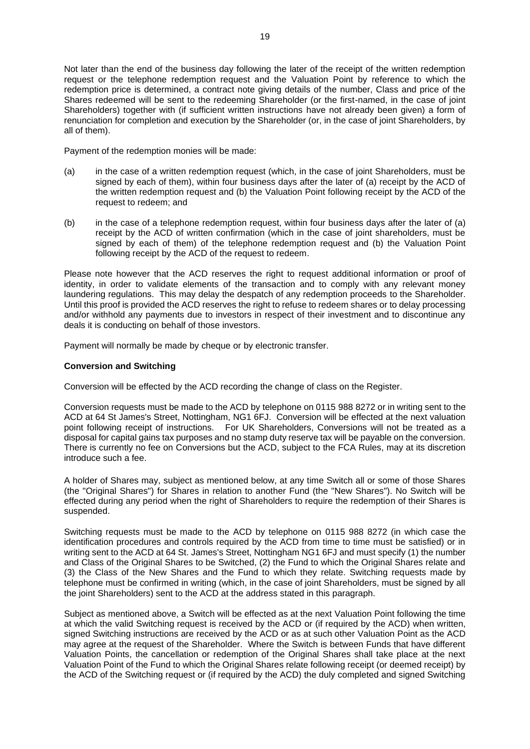Not later than the end of the business day following the later of the receipt of the written redemption request or the telephone redemption request and the Valuation Point by reference to which the redemption price is determined, a contract note giving details of the number, Class and price of the Shares redeemed will be sent to the redeeming Shareholder (or the first-named, in the case of joint Shareholders) together with (if sufficient written instructions have not already been given) a form of renunciation for completion and execution by the Shareholder (or, in the case of joint Shareholders, by all of them).

Payment of the redemption monies will be made:

- (a) in the case of a written redemption request (which, in the case of joint Shareholders, must be signed by each of them), within four business days after the later of (a) receipt by the ACD of the written redemption request and (b) the Valuation Point following receipt by the ACD of the request to redeem; and
- (b) in the case of a telephone redemption request, within four business days after the later of (a) receipt by the ACD of written confirmation (which in the case of joint shareholders, must be signed by each of them) of the telephone redemption request and (b) the Valuation Point following receipt by the ACD of the request to redeem.

Please note however that the ACD reserves the right to request additional information or proof of identity, in order to validate elements of the transaction and to comply with any relevant money laundering regulations. This may delay the despatch of any redemption proceeds to the Shareholder. Until this proof is provided the ACD reserves the right to refuse to redeem shares or to delay processing and/or withhold any payments due to investors in respect of their investment and to discontinue any deals it is conducting on behalf of those investors.

<span id="page-18-0"></span>Payment will normally be made by cheque or by electronic transfer.

#### **Conversion and Switching**

Conversion will be effected by the ACD recording the change of class on the Register.

Conversion requests must be made to the ACD by telephone on 0115 988 8272 or in writing sent to the ACD at 64 St James's Street, Nottingham, NG1 6FJ. Conversion will be effected at the next valuation point following receipt of instructions. For UK Shareholders, Conversions will not be treated as a disposal for capital gains tax purposes and no stamp duty reserve tax will be payable on the conversion. There is currently no fee on Conversions but the ACD, subject to the FCA Rules, may at its discretion introduce such a fee.

A holder of Shares may, subject as mentioned below, at any time Switch all or some of those Shares (the "Original Shares") for Shares in relation to another Fund (the "New Shares"). No Switch will be effected during any period when the right of Shareholders to require the redemption of their Shares is suspended.

Switching requests must be made to the ACD by telephone on 0115 988 8272 (in which case the identification procedures and controls required by the ACD from time to time must be satisfied) or in writing sent to the ACD at 64 St. James's Street, Nottingham NG1 6FJ and must specify (1) the number and Class of the Original Shares to be Switched, (2) the Fund to which the Original Shares relate and (3) the Class of the New Shares and the Fund to which they relate. Switching requests made by telephone must be confirmed in writing (which, in the case of joint Shareholders, must be signed by all the joint Shareholders) sent to the ACD at the address stated in this paragraph.

Subject as mentioned above, a Switch will be effected as at the next Valuation Point following the time at which the valid Switching request is received by the ACD or (if required by the ACD) when written, signed Switching instructions are received by the ACD or as at such other Valuation Point as the ACD may agree at the request of the Shareholder. Where the Switch is between Funds that have different Valuation Points, the cancellation or redemption of the Original Shares shall take place at the next Valuation Point of the Fund to which the Original Shares relate following receipt (or deemed receipt) by the ACD of the Switching request or (if required by the ACD) the duly completed and signed Switching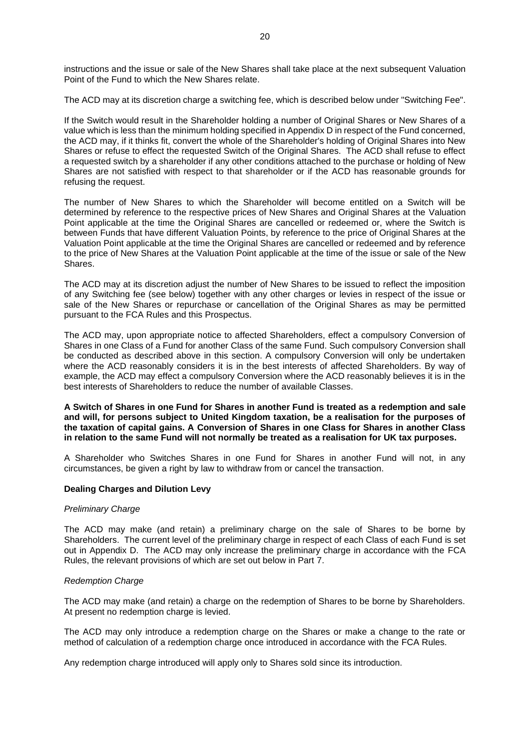instructions and the issue or sale of the New Shares shall take place at the next subsequent Valuation Point of the Fund to which the New Shares relate.

The ACD may at its discretion charge a switching fee, which is described below under "Switching Fee".

If the Switch would result in the Shareholder holding a number of Original Shares or New Shares of a value which is less than the minimum holding specified in Appendix D in respect of the Fund concerned, the ACD may, if it thinks fit, convert the whole of the Shareholder's holding of Original Shares into New Shares or refuse to effect the requested Switch of the Original Shares. The ACD shall refuse to effect a requested switch by a shareholder if any other conditions attached to the purchase or holding of New Shares are not satisfied with respect to that shareholder or if the ACD has reasonable grounds for refusing the request.

The number of New Shares to which the Shareholder will become entitled on a Switch will be determined by reference to the respective prices of New Shares and Original Shares at the Valuation Point applicable at the time the Original Shares are cancelled or redeemed or, where the Switch is between Funds that have different Valuation Points, by reference to the price of Original Shares at the Valuation Point applicable at the time the Original Shares are cancelled or redeemed and by reference to the price of New Shares at the Valuation Point applicable at the time of the issue or sale of the New Shares.

The ACD may at its discretion adjust the number of New Shares to be issued to reflect the imposition of any Switching fee (see below) together with any other charges or levies in respect of the issue or sale of the New Shares or repurchase or cancellation of the Original Shares as may be permitted pursuant to the FCA Rules and this Prospectus.

The ACD may, upon appropriate notice to affected Shareholders, effect a compulsory Conversion of Shares in one Class of a Fund for another Class of the same Fund. Such compulsory Conversion shall be conducted as described above in this section. A compulsory Conversion will only be undertaken where the ACD reasonably considers it is in the best interests of affected Shareholders. By way of example, the ACD may effect a compulsory Conversion where the ACD reasonably believes it is in the best interests of Shareholders to reduce the number of available Classes.

**A Switch of Shares in one Fund for Shares in another Fund is treated as a redemption and sale and will, for persons subject to United Kingdom taxation, be a realisation for the purposes of the taxation of capital gains. A Conversion of Shares in one Class for Shares in another Class in relation to the same Fund will not normally be treated as a realisation for UK tax purposes.** 

A Shareholder who Switches Shares in one Fund for Shares in another Fund will not, in any circumstances, be given a right by law to withdraw from or cancel the transaction.

#### **Dealing Charges and Dilution Levy**

#### *Preliminary Charge*

The ACD may make (and retain) a preliminary charge on the sale of Shares to be borne by Shareholders. The current level of the preliminary charge in respect of each Class of each Fund is set out in Appendix D. The ACD may only increase the preliminary charge in accordance with the FCA Rules, the relevant provisions of which are set out below in Part [7.](#page-23-0)

#### *Redemption Charge*

The ACD may make (and retain) a charge on the redemption of Shares to be borne by Shareholders. At present no redemption charge is levied.

The ACD may only introduce a redemption charge on the Shares or make a change to the rate or method of calculation of a redemption charge once introduced in accordance with the FCA Rules.

Any redemption charge introduced will apply only to Shares sold since its introduction.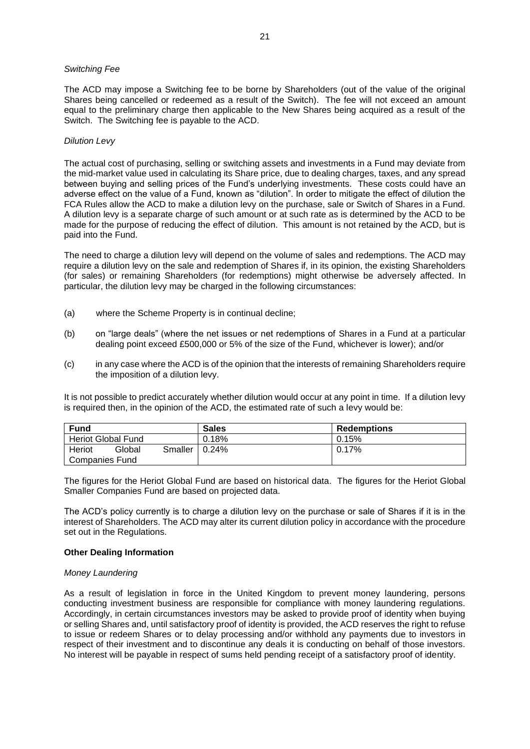#### *Switching Fee*

The ACD may impose a Switching fee to be borne by Shareholders (out of the value of the original Shares being cancelled or redeemed as a result of the Switch). The fee will not exceed an amount equal to the preliminary charge then applicable to the New Shares being acquired as a result of the Switch. The Switching fee is payable to the ACD.

#### *Dilution Levy*

The actual cost of purchasing, selling or switching assets and investments in a Fund may deviate from the mid-market value used in calculating its Share price, due to dealing charges, taxes, and any spread between buying and selling prices of the Fund's underlying investments. These costs could have an adverse effect on the value of a Fund, known as "dilution". In order to mitigate the effect of dilution the FCA Rules allow the ACD to make a dilution levy on the purchase, sale or Switch of Shares in a Fund. A dilution levy is a separate charge of such amount or at such rate as is determined by the ACD to be made for the purpose of reducing the effect of dilution. This amount is not retained by the ACD, but is paid into the Fund.

The need to charge a dilution levy will depend on the volume of sales and redemptions. The ACD may require a dilution levy on the sale and redemption of Shares if, in its opinion, the existing Shareholders (for sales) or remaining Shareholders (for redemptions) might otherwise be adversely affected. In particular, the dilution levy may be charged in the following circumstances:

- (a) where the Scheme Property is in continual decline;
- (b) on "large deals" (where the net issues or net redemptions of Shares in a Fund at a particular dealing point exceed £500,000 or 5% of the size of the Fund, whichever is lower); and/or
- (c) in any case where the ACD is of the opinion that the interests of remaining Shareholders require the imposition of a dilution levy.

It is not possible to predict accurately whether dilution would occur at any point in time. If a dilution levy is required then, in the opinion of the ACD, the estimated rate of such a levy would be:

| <b>Fund</b>                 |                           | <b>Sales</b>       | <b>Redemptions</b> |
|-----------------------------|---------------------------|--------------------|--------------------|
|                             | <b>Heriot Global Fund</b> | 0.18%              | 0.15%              |
| Global<br>Heriot<br>Smaller |                           | $\mid 0.24\% \mid$ | $0.17\%$           |
| <b>Companies Fund</b>       |                           |                    |                    |

The figures for the Heriot Global Fund are based on historical data. The figures for the Heriot Global Smaller Companies Fund are based on projected data.

The ACD's policy currently is to charge a dilution levy on the purchase or sale of Shares if it is in the interest of Shareholders. The ACD may alter its current dilution policy in accordance with the procedure set out in the Regulations.

#### **Other Dealing Information**

#### *Money Laundering*

As a result of legislation in force in the United Kingdom to prevent money laundering, persons conducting investment business are responsible for compliance with money laundering regulations. Accordingly, in certain circumstances investors may be asked to provide proof of identity when buying or selling Shares and, until satisfactory proof of identity is provided, the ACD reserves the right to refuse to issue or redeem Shares or to delay processing and/or withhold any payments due to investors in respect of their investment and to discontinue any deals it is conducting on behalf of those investors. No interest will be payable in respect of sums held pending receipt of a satisfactory proof of identity.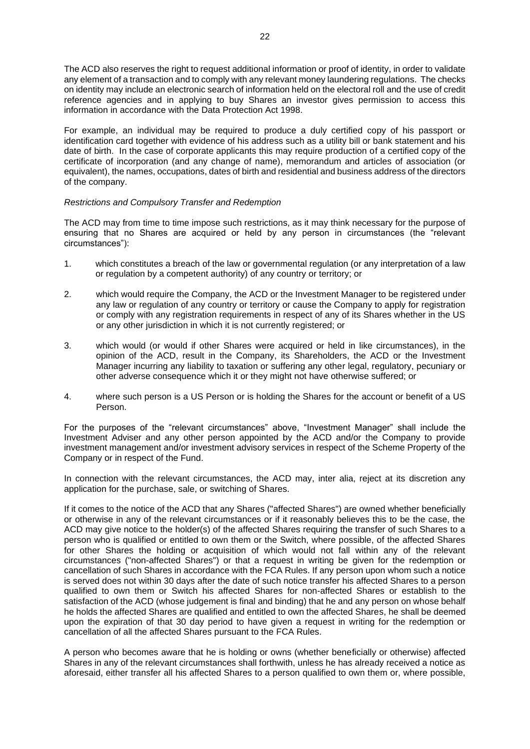The ACD also reserves the right to request additional information or proof of identity, in order to validate any element of a transaction and to comply with any relevant money laundering regulations. The checks on identity may include an electronic search of information held on the electoral roll and the use of credit reference agencies and in applying to buy Shares an investor gives permission to access this information in accordance with the Data Protection Act 1998.

For example, an individual may be required to produce a duly certified copy of his passport or identification card together with evidence of his address such as a utility bill or bank statement and his date of birth. In the case of corporate applicants this may require production of a certified copy of the certificate of incorporation (and any change of name), memorandum and articles of association (or equivalent), the names, occupations, dates of birth and residential and business address of the directors of the company.

#### *Restrictions and Compulsory Transfer and Redemption*

The ACD may from time to time impose such restrictions, as it may think necessary for the purpose of ensuring that no Shares are acquired or held by any person in circumstances (the "relevant circumstances"):

- 1. which constitutes a breach of the law or governmental regulation (or any interpretation of a law or regulation by a competent authority) of any country or territory; or
- 2. which would require the Company, the ACD or the Investment Manager to be registered under any law or regulation of any country or territory or cause the Company to apply for registration or comply with any registration requirements in respect of any of its Shares whether in the US or any other jurisdiction in which it is not currently registered; or
- 3. which would (or would if other Shares were acquired or held in like circumstances), in the opinion of the ACD, result in the Company, its Shareholders, the ACD or the Investment Manager incurring any liability to taxation or suffering any other legal, regulatory, pecuniary or other adverse consequence which it or they might not have otherwise suffered; or
- 4. where such person is a US Person or is holding the Shares for the account or benefit of a US Person.

For the purposes of the "relevant circumstances" above, "Investment Manager" shall include the Investment Adviser and any other person appointed by the ACD and/or the Company to provide investment management and/or investment advisory services in respect of the Scheme Property of the Company or in respect of the Fund.

In connection with the relevant circumstances, the ACD may, inter alia, reject at its discretion any application for the purchase, sale, or switching of Shares.

If it comes to the notice of the ACD that any Shares ("affected Shares") are owned whether beneficially or otherwise in any of the relevant circumstances or if it reasonably believes this to be the case, the ACD may give notice to the holder(s) of the affected Shares requiring the transfer of such Shares to a person who is qualified or entitled to own them or the Switch, where possible, of the affected Shares for other Shares the holding or acquisition of which would not fall within any of the relevant circumstances ("non-affected Shares") or that a request in writing be given for the redemption or cancellation of such Shares in accordance with the FCA Rules. If any person upon whom such a notice is served does not within 30 days after the date of such notice transfer his affected Shares to a person qualified to own them or Switch his affected Shares for non-affected Shares or establish to the satisfaction of the ACD (whose judgement is final and binding) that he and any person on whose behalf he holds the affected Shares are qualified and entitled to own the affected Shares, he shall be deemed upon the expiration of that 30 day period to have given a request in writing for the redemption or cancellation of all the affected Shares pursuant to the FCA Rules.

A person who becomes aware that he is holding or owns (whether beneficially or otherwise) affected Shares in any of the relevant circumstances shall forthwith, unless he has already received a notice as aforesaid, either transfer all his affected Shares to a person qualified to own them or, where possible,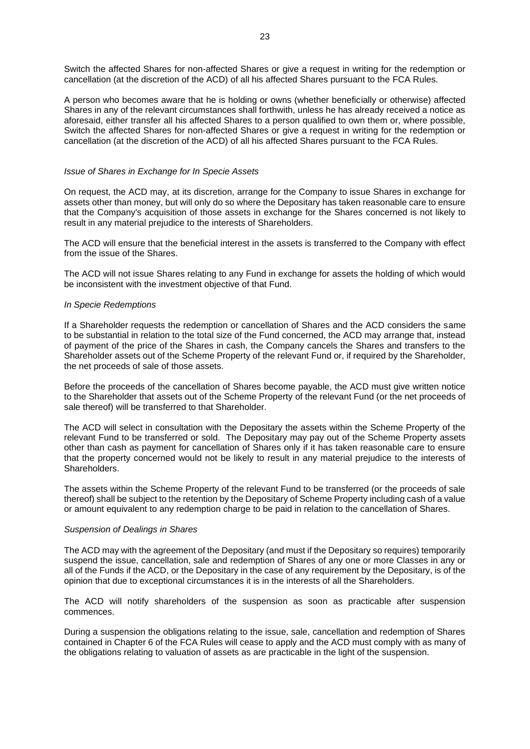Switch the affected Shares for non-affected Shares or give a request in writing for the redemption or cancellation (at the discretion of the ACD) of all his affected Shares pursuant to the FCA Rules.

A person who becomes aware that he is holding or owns (whether beneficially or otherwise) affected Shares in any of the relevant circumstances shall forthwith, unless he has already received a notice as aforesaid, either transfer all his affected Shares to a person qualified to own them or, where possible, Switch the affected Shares for non-affected Shares or give a request in writing for the redemption or cancellation (at the discretion of the ACD) of all his affected Shares pursuant to the FCA Rules.

#### *Issue of Shares in Exchange for In Specie Assets*

On request, the ACD may, at its discretion, arrange for the Company to issue Shares in exchange for assets other than money, but will only do so where the Depositary has taken reasonable care to ensure that the Company's acquisition of those assets in exchange for the Shares concerned is not likely to result in any material prejudice to the interests of Shareholders.

The ACD will ensure that the beneficial interest in the assets is transferred to the Company with effect from the issue of the Shares.

The ACD will not issue Shares relating to any Fund in exchange for assets the holding of which would be inconsistent with the investment objective of that Fund.

#### *In Specie Redemptions*

If a Shareholder requests the redemption or cancellation of Shares and the ACD considers the same to be substantial in relation to the total size of the Fund concerned, the ACD may arrange that, instead of payment of the price of the Shares in cash, the Company cancels the Shares and transfers to the Shareholder assets out of the Scheme Property of the relevant Fund or, if required by the Shareholder, the net proceeds of sale of those assets.

Before the proceeds of the cancellation of Shares become payable, the ACD must give written notice to the Shareholder that assets out of the Scheme Property of the relevant Fund (or the net proceeds of sale thereof) will be transferred to that Shareholder.

The ACD will select in consultation with the Depositary the assets within the Scheme Property of the relevant Fund to be transferred or sold. The Depositary may pay out of the Scheme Property assets other than cash as payment for cancellation of Shares only if it has taken reasonable care to ensure that the property concerned would not be likely to result in any material prejudice to the interests of Shareholders.

The assets within the Scheme Property of the relevant Fund to be transferred (or the proceeds of sale thereof) shall be subject to the retention by the Depositary of Scheme Property including cash of a value or amount equivalent to any redemption charge to be paid in relation to the cancellation of Shares.

#### *Suspension of Dealings in Shares*

The ACD may with the agreement of the Depositary (and must if the Depositary so requires) temporarily suspend the issue, cancellation, sale and redemption of Shares of any one or more Classes in any or all of the Funds if the ACD, or the Depositary in the case of any requirement by the Depositary, is of the opinion that due to exceptional circumstances it is in the interests of all the Shareholders.

The ACD will notify shareholders of the suspension as soon as practicable after suspension commences.

During a suspension the obligations relating to the issue, sale, cancellation and redemption of Shares contained in Chapter 6 of the FCA Rules will cease to apply and the ACD must comply with as many of the obligations relating to valuation of assets as are practicable in the light of the suspension.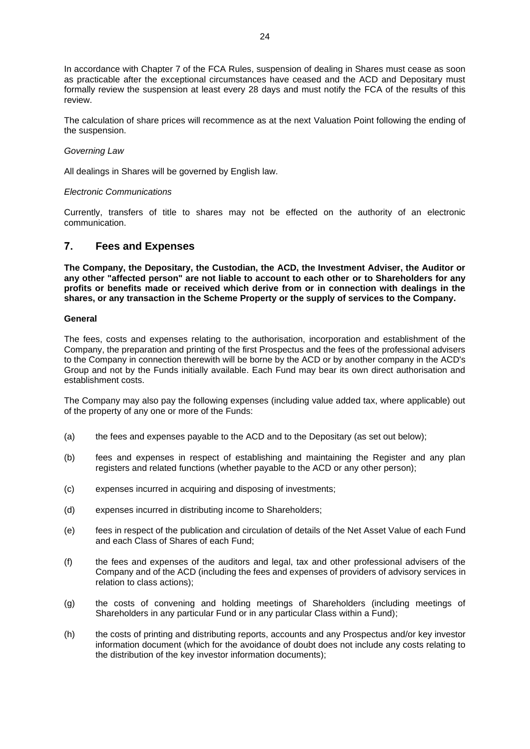In accordance with Chapter 7 of the FCA Rules, suspension of dealing in Shares must cease as soon as practicable after the exceptional circumstances have ceased and the ACD and Depositary must formally review the suspension at least every 28 days and must notify the FCA of the results of this review.

The calculation of share prices will recommence as at the next Valuation Point following the ending of the suspension.

#### *Governing Law*

All dealings in Shares will be governed by English law.

#### *Electronic Communications*

Currently, transfers of title to shares may not be effected on the authority of an electronic communication.

### <span id="page-23-0"></span>**7. Fees and Expenses**

**The Company, the Depositary, the Custodian, the ACD, the Investment Adviser, the Auditor or any other "affected person" are not liable to account to each other or to Shareholders for any profits or benefits made or received which derive from or in connection with dealings in the shares, or any transaction in the Scheme Property or the supply of services to the Company.**

#### **General**

The fees, costs and expenses relating to the authorisation, incorporation and establishment of the Company, the preparation and printing of the first Prospectus and the fees of the professional advisers to the Company in connection therewith will be borne by the ACD or by another company in the ACD's Group and not by the Funds initially available. Each Fund may bear its own direct authorisation and establishment costs.

The Company may also pay the following expenses (including value added tax, where applicable) out of the property of any one or more of the Funds:

- (a) the fees and expenses payable to the ACD and to the Depositary (as set out below);
- (b) fees and expenses in respect of establishing and maintaining the Register and any plan registers and related functions (whether payable to the ACD or any other person);
- (c) expenses incurred in acquiring and disposing of investments;
- (d) expenses incurred in distributing income to Shareholders;
- (e) fees in respect of the publication and circulation of details of the Net Asset Value of each Fund and each Class of Shares of each Fund;
- (f) the fees and expenses of the auditors and legal, tax and other professional advisers of the Company and of the ACD (including the fees and expenses of providers of advisory services in relation to class actions);
- (g) the costs of convening and holding meetings of Shareholders (including meetings of Shareholders in any particular Fund or in any particular Class within a Fund);
- (h) the costs of printing and distributing reports, accounts and any Prospectus and/or key investor information document (which for the avoidance of doubt does not include any costs relating to the distribution of the key investor information documents);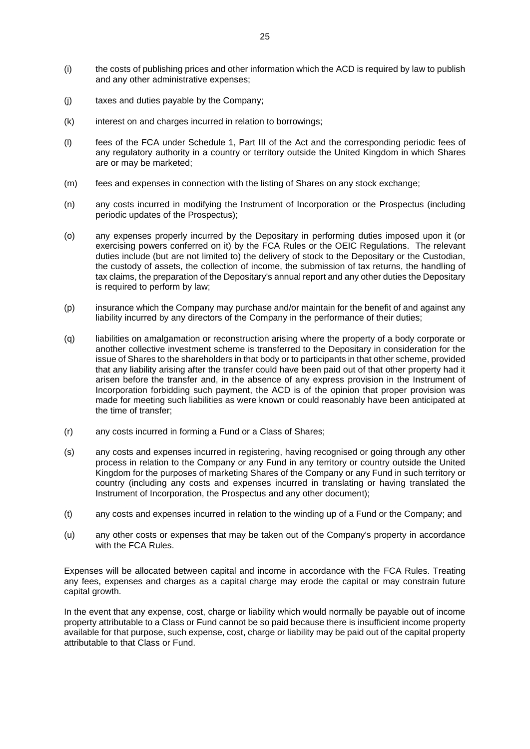- (i) the costs of publishing prices and other information which the ACD is required by law to publish and any other administrative expenses;
- (j) taxes and duties payable by the Company;
- (k) interest on and charges incurred in relation to borrowings;
- (l) fees of the FCA under Schedule 1, Part III of the Act and the corresponding periodic fees of any regulatory authority in a country or territory outside the United Kingdom in which Shares are or may be marketed;
- (m) fees and expenses in connection with the listing of Shares on any stock exchange;
- (n) any costs incurred in modifying the Instrument of Incorporation or the Prospectus (including periodic updates of the Prospectus);
- (o) any expenses properly incurred by the Depositary in performing duties imposed upon it (or exercising powers conferred on it) by the FCA Rules or the OEIC Regulations. The relevant duties include (but are not limited to) the delivery of stock to the Depositary or the Custodian, the custody of assets, the collection of income, the submission of tax returns, the handling of tax claims, the preparation of the Depositary's annual report and any other duties the Depositary is required to perform by law;
- (p) insurance which the Company may purchase and/or maintain for the benefit of and against any liability incurred by any directors of the Company in the performance of their duties;
- (q) liabilities on amalgamation or reconstruction arising where the property of a body corporate or another collective investment scheme is transferred to the Depositary in consideration for the issue of Shares to the shareholders in that body or to participants in that other scheme, provided that any liability arising after the transfer could have been paid out of that other property had it arisen before the transfer and, in the absence of any express provision in the Instrument of Incorporation forbidding such payment, the ACD is of the opinion that proper provision was made for meeting such liabilities as were known or could reasonably have been anticipated at the time of transfer;
- (r) any costs incurred in forming a Fund or a Class of Shares;
- (s) any costs and expenses incurred in registering, having recognised or going through any other process in relation to the Company or any Fund in any territory or country outside the United Kingdom for the purposes of marketing Shares of the Company or any Fund in such territory or country (including any costs and expenses incurred in translating or having translated the Instrument of Incorporation, the Prospectus and any other document);
- (t) any costs and expenses incurred in relation to the winding up of a Fund or the Company; and
- (u) any other costs or expenses that may be taken out of the Company's property in accordance with the FCA Rules.

Expenses will be allocated between capital and income in accordance with the FCA Rules. Treating any fees, expenses and charges as a capital charge may erode the capital or may constrain future capital growth.

In the event that any expense, cost, charge or liability which would normally be payable out of income property attributable to a Class or Fund cannot be so paid because there is insufficient income property available for that purpose, such expense, cost, charge or liability may be paid out of the capital property attributable to that Class or Fund.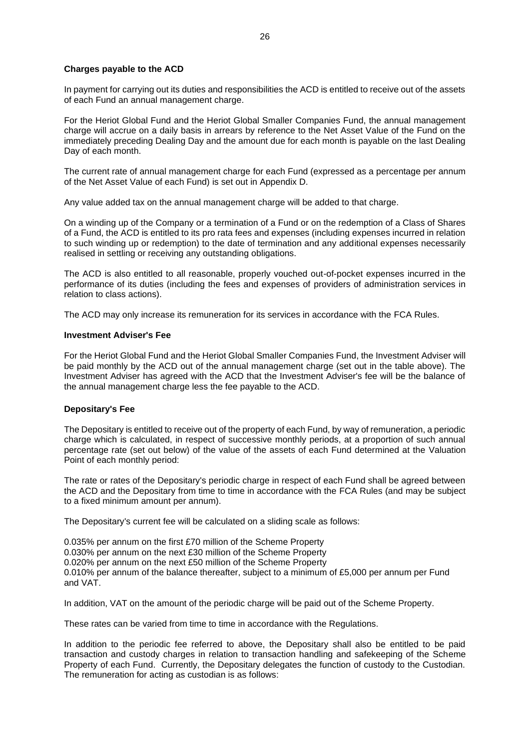#### **Charges payable to the ACD**

In payment for carrying out its duties and responsibilities the ACD is entitled to receive out of the assets of each Fund an annual management charge.

For the Heriot Global Fund and the Heriot Global Smaller Companies Fund, the annual management charge will accrue on a daily basis in arrears by reference to the Net Asset Value of the Fund on the immediately preceding Dealing Day and the amount due for each month is payable on the last Dealing Day of each month.

The current rate of annual management charge for each Fund (expressed as a percentage per annum of the Net Asset Value of each Fund) is set out in Appendix D.

Any value added tax on the annual management charge will be added to that charge.

On a winding up of the Company or a termination of a Fund or on the redemption of a Class of Shares of a Fund, the ACD is entitled to its pro rata fees and expenses (including expenses incurred in relation to such winding up or redemption) to the date of termination and any additional expenses necessarily realised in settling or receiving any outstanding obligations.

The ACD is also entitled to all reasonable, properly vouched out-of-pocket expenses incurred in the performance of its duties (including the fees and expenses of providers of administration services in relation to class actions).

The ACD may only increase its remuneration for its services in accordance with the FCA Rules.

#### **Investment Adviser's Fee**

For the Heriot Global Fund and the Heriot Global Smaller Companies Fund, the Investment Adviser will be paid monthly by the ACD out of the annual management charge (set out in the table above). The Investment Adviser has agreed with the ACD that the Investment Adviser's fee will be the balance of the annual management charge less the fee payable to the ACD.

#### **Depositary's Fee**

The Depositary is entitled to receive out of the property of each Fund, by way of remuneration, a periodic charge which is calculated, in respect of successive monthly periods, at a proportion of such annual percentage rate (set out below) of the value of the assets of each Fund determined at the Valuation Point of each monthly period:

The rate or rates of the Depositary's periodic charge in respect of each Fund shall be agreed between the ACD and the Depositary from time to time in accordance with the FCA Rules (and may be subject to a fixed minimum amount per annum).

The Depositary's current fee will be calculated on a sliding scale as follows:

0.035% per annum on the first £70 million of the Scheme Property 0.030% per annum on the next £30 million of the Scheme Property 0.020% per annum on the next £50 million of the Scheme Property 0.010% per annum of the balance thereafter, subject to a minimum of £5,000 per annum per Fund and VAT.

In addition, VAT on the amount of the periodic charge will be paid out of the Scheme Property.

These rates can be varied from time to time in accordance with the Regulations.

In addition to the periodic fee referred to above, the Depositary shall also be entitled to be paid transaction and custody charges in relation to transaction handling and safekeeping of the Scheme Property of each Fund. Currently, the Depositary delegates the function of custody to the Custodian. The remuneration for acting as custodian is as follows: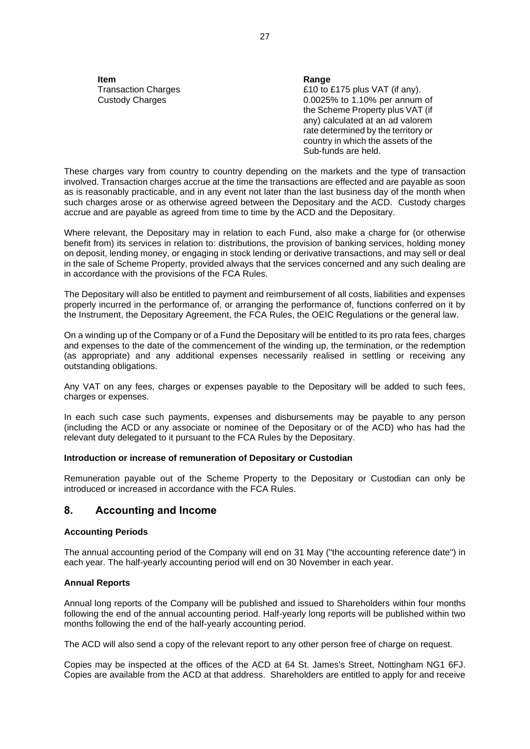**Item Range**

Transaction Charges  $£10$  to £175 plus VAT (if any). Custody Charges 0.0025% to 1.10% per annum of the Scheme Property plus VAT (if any) calculated at an ad valorem rate determined by the territory or country in which the assets of the Sub-funds are held.

These charges vary from country to country depending on the markets and the type of transaction involved. Transaction charges accrue at the time the transactions are effected and are payable as soon as is reasonably practicable, and in any event not later than the last business day of the month when such charges arose or as otherwise agreed between the Depositary and the ACD. Custody charges accrue and are payable as agreed from time to time by the ACD and the Depositary.

Where relevant, the Depositary may in relation to each Fund, also make a charge for (or otherwise benefit from) its services in relation to: distributions, the provision of banking services, holding money on deposit, lending money, or engaging in stock lending or derivative transactions, and may sell or deal in the sale of Scheme Property, provided always that the services concerned and any such dealing are in accordance with the provisions of the FCA Rules.

The Depositary will also be entitled to payment and reimbursement of all costs, liabilities and expenses properly incurred in the performance of, or arranging the performance of, functions conferred on it by the Instrument, the Depositary Agreement, the FCA Rules, the OEIC Regulations or the general law.

On a winding up of the Company or of a Fund the Depositary will be entitled to its pro rata fees, charges and expenses to the date of the commencement of the winding up, the termination, or the redemption (as appropriate) and any additional expenses necessarily realised in settling or receiving any outstanding obligations.

Any VAT on any fees, charges or expenses payable to the Depositary will be added to such fees, charges or expenses.

In each such case such payments, expenses and disbursements may be payable to any person (including the ACD or any associate or nominee of the Depositary or of the ACD) who has had the relevant duty delegated to it pursuant to the FCA Rules by the Depositary.

#### **Introduction or increase of remuneration of Depositary or Custodian**

Remuneration payable out of the Scheme Property to the Depositary or Custodian can only be introduced or increased in accordance with the FCA Rules.

#### <span id="page-26-0"></span>**8. Accounting and Income**

#### **Accounting Periods**

The annual accounting period of the Company will end on 31 May ("the accounting reference date") in each year. The half-yearly accounting period will end on 30 November in each year.

#### **Annual Reports**

Annual long reports of the Company will be published and issued to Shareholders within four months following the end of the annual accounting period. Half-yearly long reports will be published within two months following the end of the half-yearly accounting period.

The ACD will also send a copy of the relevant report to any other person free of charge on request.

Copies may be inspected at the offices of the ACD at 64 St. James's Street, Nottingham NG1 6FJ. Copies are available from the ACD at that address. Shareholders are entitled to apply for and receive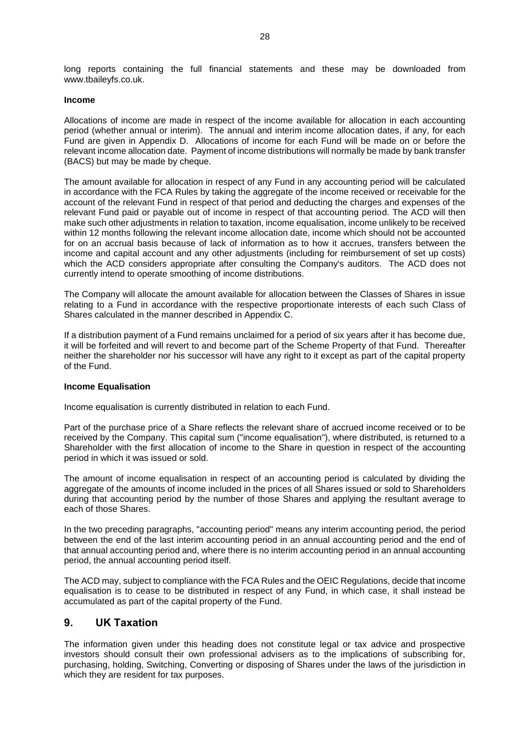long reports containing the full financial statements and these may be downloaded from www.tbaileyfs.co.uk.

#### **Income**

Allocations of income are made in respect of the income available for allocation in each accounting period (whether annual or interim). The annual and interim income allocation dates, if any, for each Fund are given in Appendix D. Allocations of income for each Fund will be made on or before the relevant income allocation date. Payment of income distributions will normally be made by bank transfer (BACS) but may be made by cheque.

The amount available for allocation in respect of any Fund in any accounting period will be calculated in accordance with the FCA Rules by taking the aggregate of the income received or receivable for the account of the relevant Fund in respect of that period and deducting the charges and expenses of the relevant Fund paid or payable out of income in respect of that accounting period. The ACD will then make such other adjustments in relation to taxation, income equalisation, income unlikely to be received within 12 months following the relevant income allocation date, income which should not be accounted for on an accrual basis because of lack of information as to how it accrues, transfers between the income and capital account and any other adjustments (including for reimbursement of set up costs) which the ACD considers appropriate after consulting the Company's auditors. The ACD does not currently intend to operate smoothing of income distributions.

The Company will allocate the amount available for allocation between the Classes of Shares in issue relating to a Fund in accordance with the respective proportionate interests of each such Class of Shares calculated in the manner described in Appendix C.

If a distribution payment of a Fund remains unclaimed for a period of six years after it has become due, it will be forfeited and will revert to and become part of the Scheme Property of that Fund. Thereafter neither the shareholder nor his successor will have any right to it except as part of the capital property of the Fund.

#### **Income Equalisation**

Income equalisation is currently distributed in relation to each Fund.

Part of the purchase price of a Share reflects the relevant share of accrued income received or to be received by the Company. This capital sum ("income equalisation"), where distributed, is returned to a Shareholder with the first allocation of income to the Share in question in respect of the accounting period in which it was issued or sold.

The amount of income equalisation in respect of an accounting period is calculated by dividing the aggregate of the amounts of income included in the prices of all Shares issued or sold to Shareholders during that accounting period by the number of those Shares and applying the resultant average to each of those Shares.

In the two preceding paragraphs, "accounting period" means any interim accounting period, the period between the end of the last interim accounting period in an annual accounting period and the end of that annual accounting period and, where there is no interim accounting period in an annual accounting period, the annual accounting period itself.

The ACD may, subject to compliance with the FCA Rules and the OEIC Regulations, decide that income equalisation is to cease to be distributed in respect of any Fund, in which case, it shall instead be accumulated as part of the capital property of the Fund.

## <span id="page-27-0"></span>**9. UK Taxation**

The information given under this heading does not constitute legal or tax advice and prospective investors should consult their own professional advisers as to the implications of subscribing for, purchasing, holding, Switching, Converting or disposing of Shares under the laws of the jurisdiction in which they are resident for tax purposes.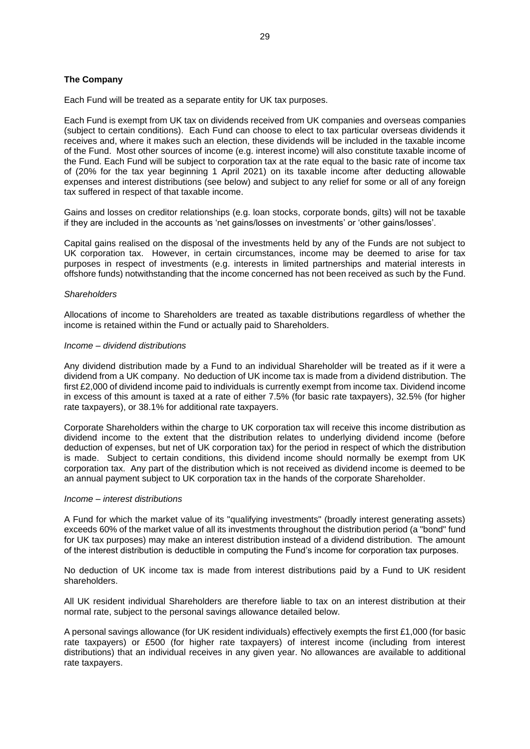#### **The Company**

Each Fund will be treated as a separate entity for UK tax purposes.

Each Fund is exempt from UK tax on dividends received from UK companies and overseas companies (subject to certain conditions). Each Fund can choose to elect to tax particular overseas dividends it receives and, where it makes such an election, these dividends will be included in the taxable income of the Fund. Most other sources of income (e.g. interest income) will also constitute taxable income of the Fund. Each Fund will be subject to corporation tax at the rate equal to the basic rate of income tax of (20% for the tax year beginning 1 April 2021) on its taxable income after deducting allowable expenses and interest distributions (see below) and subject to any relief for some or all of any foreign tax suffered in respect of that taxable income.

Gains and losses on creditor relationships (e.g. loan stocks, corporate bonds, gilts) will not be taxable if they are included in the accounts as 'net gains/losses on investments' or 'other gains/losses'.

Capital gains realised on the disposal of the investments held by any of the Funds are not subject to UK corporation tax. However, in certain circumstances, income may be deemed to arise for tax purposes in respect of investments (e.g. interests in limited partnerships and material interests in offshore funds) notwithstanding that the income concerned has not been received as such by the Fund.

#### *Shareholders*

Allocations of income to Shareholders are treated as taxable distributions regardless of whether the income is retained within the Fund or actually paid to Shareholders.

#### *Income – dividend distributions*

Any dividend distribution made by a Fund to an individual Shareholder will be treated as if it were a dividend from a UK company. No deduction of UK income tax is made from a dividend distribution. The first £2,000 of dividend income paid to individuals is currently exempt from income tax. Dividend income in excess of this amount is taxed at a rate of either 7.5% (for basic rate taxpayers), 32.5% (for higher rate taxpayers), or 38.1% for additional rate taxpayers.

Corporate Shareholders within the charge to UK corporation tax will receive this income distribution as dividend income to the extent that the distribution relates to underlying dividend income (before deduction of expenses, but net of UK corporation tax) for the period in respect of which the distribution is made. Subject to certain conditions, this dividend income should normally be exempt from UK corporation tax. Any part of the distribution which is not received as dividend income is deemed to be an annual payment subject to UK corporation tax in the hands of the corporate Shareholder.

#### *Income – interest distributions*

A Fund for which the market value of its "qualifying investments" (broadly interest generating assets) exceeds 60% of the market value of all its investments throughout the distribution period (a "bond" fund for UK tax purposes) may make an interest distribution instead of a dividend distribution. The amount of the interest distribution is deductible in computing the Fund's income for corporation tax purposes.

No deduction of UK income tax is made from interest distributions paid by a Fund to UK resident shareholders.

All UK resident individual Shareholders are therefore liable to tax on an interest distribution at their normal rate, subject to the personal savings allowance detailed below.

A personal savings allowance (for UK resident individuals) effectively exempts the first £1,000 (for basic rate taxpayers) or £500 (for higher rate taxpayers) of interest income (including from interest distributions) that an individual receives in any given year. No allowances are available to additional rate taxpayers.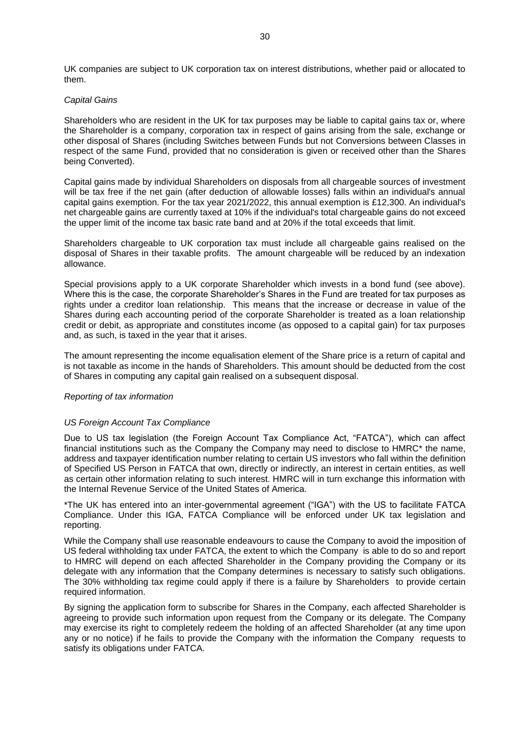UK companies are subject to UK corporation tax on interest distributions, whether paid or allocated to them.

#### *Capital Gains*

Shareholders who are resident in the UK for tax purposes may be liable to capital gains tax or, where the Shareholder is a company, corporation tax in respect of gains arising from the sale, exchange or other disposal of Shares (including Switches between Funds but not Conversions between Classes in respect of the same Fund, provided that no consideration is given or received other than the Shares being Converted).

Capital gains made by individual Shareholders on disposals from all chargeable sources of investment will be tax free if the net gain (after deduction of allowable losses) falls within an individual's annual capital gains exemption. For the tax year 2021/2022, this annual exemption is £12,300. An individual's net chargeable gains are currently taxed at 10% if the individual's total chargeable gains do not exceed the upper limit of the income tax basic rate band and at 20% if the total exceeds that limit.

Shareholders chargeable to UK corporation tax must include all chargeable gains realised on the disposal of Shares in their taxable profits. The amount chargeable will be reduced by an indexation allowance.

Special provisions apply to a UK corporate Shareholder which invests in a bond fund (see above). Where this is the case, the corporate Shareholder's Shares in the Fund are treated for tax purposes as rights under a creditor loan relationship. This means that the increase or decrease in value of the Shares during each accounting period of the corporate Shareholder is treated as a loan relationship credit or debit, as appropriate and constitutes income (as opposed to a capital gain) for tax purposes and, as such, is taxed in the year that it arises.

The amount representing the income equalisation element of the Share price is a return of capital and is not taxable as income in the hands of Shareholders. This amount should be deducted from the cost of Shares in computing any capital gain realised on a subsequent disposal.

#### *Reporting of tax information*

#### *US Foreign Account Tax Compliance*

Due to US tax legislation (the Foreign Account Tax Compliance Act, "FATCA"), which can affect financial institutions such as the Company the Company may need to disclose to HMRC\* the name, address and taxpayer identification number relating to certain US investors who fall within the definition of Specified US Person in FATCA that own, directly or indirectly, an interest in certain entities, as well as certain other information relating to such interest. HMRC will in turn exchange this information with the Internal Revenue Service of the United States of America.

\*The UK has entered into an inter-governmental agreement ("IGA") with the US to facilitate FATCA Compliance. Under this IGA, FATCA Compliance will be enforced under UK tax legislation and reporting.

While the Company shall use reasonable endeavours to cause the Company to avoid the imposition of US federal withholding tax under FATCA, the extent to which the Company is able to do so and report to HMRC will depend on each affected Shareholder in the Company providing the Company or its delegate with any information that the Company determines is necessary to satisfy such obligations. The 30% withholding tax regime could apply if there is a failure by Shareholders to provide certain required information.

By signing the application form to subscribe for Shares in the Company, each affected Shareholder is agreeing to provide such information upon request from the Company or its delegate. The Company may exercise its right to completely redeem the holding of an affected Shareholder (at any time upon any or no notice) if he fails to provide the Company with the information the Company requests to satisfy its obligations under FATCA.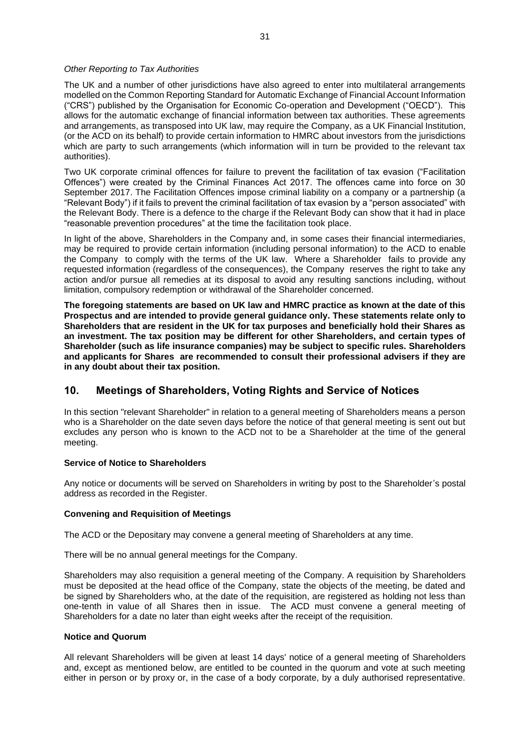#### *Other Reporting to Tax Authorities*

The UK and a number of other jurisdictions have also agreed to enter into multilateral arrangements modelled on the Common Reporting Standard for Automatic Exchange of Financial Account Information ("CRS") published by the Organisation for Economic Co-operation and Development ("OECD"). This allows for the automatic exchange of financial information between tax authorities. These agreements and arrangements, as transposed into UK law, may require the Company, as a UK Financial Institution, (or the ACD on its behalf) to provide certain information to HMRC about investors from the jurisdictions which are party to such arrangements (which information will in turn be provided to the relevant tax authorities).

Two UK corporate criminal offences for failure to prevent the facilitation of tax evasion ("Facilitation Offences") were created by the Criminal Finances Act 2017. The offences came into force on 30 September 2017. The Facilitation Offences impose criminal liability on a company or a partnership (a "Relevant Body") if it fails to prevent the criminal facilitation of tax evasion by a "person associated" with the Relevant Body. There is a defence to the charge if the Relevant Body can show that it had in place "reasonable prevention procedures" at the time the facilitation took place.

In light of the above, Shareholders in the Company and, in some cases their financial intermediaries, may be required to provide certain information (including personal information) to the ACD to enable the Company to comply with the terms of the UK law. Where a Shareholder fails to provide any requested information (regardless of the consequences), the Company reserves the right to take any action and/or pursue all remedies at its disposal to avoid any resulting sanctions including, without limitation, compulsory redemption or withdrawal of the Shareholder concerned.

**The foregoing statements are based on UK law and HMRC practice as known at the date of this Prospectus and are intended to provide general guidance only. These statements relate only to Shareholders that are resident in the UK for tax purposes and beneficially hold their Shares as an investment. The tax position may be different for other Shareholders, and certain types of Shareholder (such as life insurance companies) may be subject to specific rules. Shareholders and applicants for Shares are recommended to consult their professional advisers if they are in any doubt about their tax position.**

#### <span id="page-30-0"></span>**10. Meetings of Shareholders, Voting Rights and Service of Notices**

In this section "relevant Shareholder" in relation to a general meeting of Shareholders means a person who is a Shareholder on the date seven days before the notice of that general meeting is sent out but excludes any person who is known to the ACD not to be a Shareholder at the time of the general meeting.

#### **Service of Notice to Shareholders**

Any notice or documents will be served on Shareholders in writing by post to the Shareholder's postal address as recorded in the Register.

#### **Convening and Requisition of Meetings**

The ACD or the Depositary may convene a general meeting of Shareholders at any time.

There will be no annual general meetings for the Company.

Shareholders may also requisition a general meeting of the Company. A requisition by Shareholders must be deposited at the head office of the Company, state the objects of the meeting, be dated and be signed by Shareholders who, at the date of the requisition, are registered as holding not less than one-tenth in value of all Shares then in issue. The ACD must convene a general meeting of Shareholders for a date no later than eight weeks after the receipt of the requisition.

#### **Notice and Quorum**

All relevant Shareholders will be given at least 14 days' notice of a general meeting of Shareholders and, except as mentioned below, are entitled to be counted in the quorum and vote at such meeting either in person or by proxy or, in the case of a body corporate, by a duly authorised representative.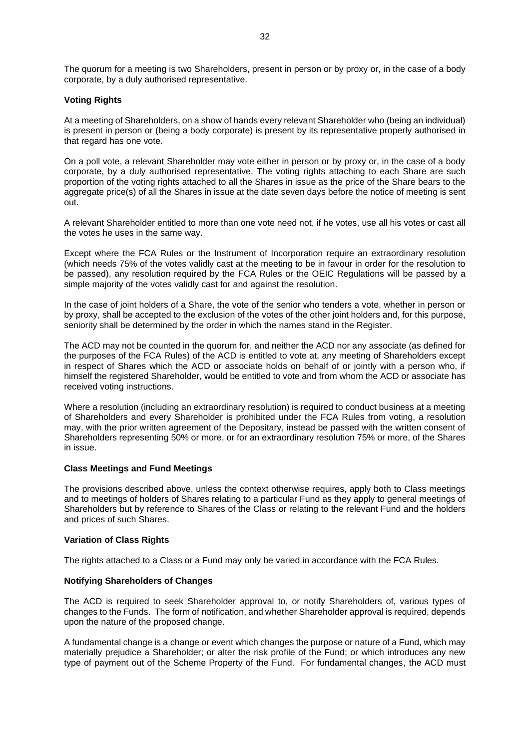The quorum for a meeting is two Shareholders, present in person or by proxy or, in the case of a body corporate, by a duly authorised representative.

#### **Voting Rights**

At a meeting of Shareholders, on a show of hands every relevant Shareholder who (being an individual) is present in person or (being a body corporate) is present by its representative properly authorised in that regard has one vote.

On a poll vote, a relevant Shareholder may vote either in person or by proxy or, in the case of a body corporate, by a duly authorised representative. The voting rights attaching to each Share are such proportion of the voting rights attached to all the Shares in issue as the price of the Share bears to the aggregate price(s) of all the Shares in issue at the date seven days before the notice of meeting is sent out.

A relevant Shareholder entitled to more than one vote need not, if he votes, use all his votes or cast all the votes he uses in the same way.

Except where the FCA Rules or the Instrument of Incorporation require an extraordinary resolution (which needs 75% of the votes validly cast at the meeting to be in favour in order for the resolution to be passed), any resolution required by the FCA Rules or the OEIC Regulations will be passed by a simple majority of the votes validly cast for and against the resolution.

In the case of joint holders of a Share, the vote of the senior who tenders a vote, whether in person or by proxy, shall be accepted to the exclusion of the votes of the other joint holders and, for this purpose, seniority shall be determined by the order in which the names stand in the Register.

The ACD may not be counted in the quorum for, and neither the ACD nor any associate (as defined for the purposes of the FCA Rules) of the ACD is entitled to vote at, any meeting of Shareholders except in respect of Shares which the ACD or associate holds on behalf of or jointly with a person who, if himself the registered Shareholder, would be entitled to vote and from whom the ACD or associate has received voting instructions.

Where a resolution (including an extraordinary resolution) is required to conduct business at a meeting of Shareholders and every Shareholder is prohibited under the FCA Rules from voting, a resolution may, with the prior written agreement of the Depositary, instead be passed with the written consent of Shareholders representing 50% or more, or for an extraordinary resolution 75% or more, of the Shares in issue.

#### **Class Meetings and Fund Meetings**

The provisions described above, unless the context otherwise requires, apply both to Class meetings and to meetings of holders of Shares relating to a particular Fund as they apply to general meetings of Shareholders but by reference to Shares of the Class or relating to the relevant Fund and the holders and prices of such Shares.

#### **Variation of Class Rights**

The rights attached to a Class or a Fund may only be varied in accordance with the FCA Rules.

#### **Notifying Shareholders of Changes**

The ACD is required to seek Shareholder approval to, or notify Shareholders of, various types of changes to the Funds. The form of notification, and whether Shareholder approval is required, depends upon the nature of the proposed change.

A fundamental change is a change or event which changes the purpose or nature of a Fund, which may materially prejudice a Shareholder; or alter the risk profile of the Fund; or which introduces any new type of payment out of the Scheme Property of the Fund. For fundamental changes, the ACD must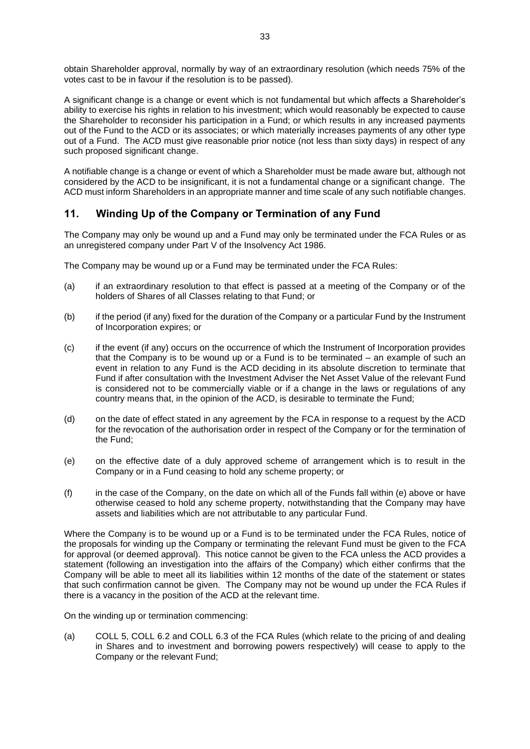obtain Shareholder approval, normally by way of an extraordinary resolution (which needs 75% of the votes cast to be in favour if the resolution is to be passed).

A significant change is a change or event which is not fundamental but which affects a Shareholder's ability to exercise his rights in relation to his investment; which would reasonably be expected to cause the Shareholder to reconsider his participation in a Fund; or which results in any increased payments out of the Fund to the ACD or its associates; or which materially increases payments of any other type out of a Fund. The ACD must give reasonable prior notice (not less than sixty days) in respect of any such proposed significant change.

A notifiable change is a change or event of which a Shareholder must be made aware but, although not considered by the ACD to be insignificant, it is not a fundamental change or a significant change. The ACD must inform Shareholders in an appropriate manner and time scale of any such notifiable changes.

## <span id="page-32-0"></span>**11. Winding Up of the Company or Termination of any Fund**

The Company may only be wound up and a Fund may only be terminated under the FCA Rules or as an unregistered company under Part V of the Insolvency Act 1986.

The Company may be wound up or a Fund may be terminated under the FCA Rules:

- (a) if an extraordinary resolution to that effect is passed at a meeting of the Company or of the holders of Shares of all Classes relating to that Fund; or
- (b) if the period (if any) fixed for the duration of the Company or a particular Fund by the Instrument of Incorporation expires; or
- (c) if the event (if any) occurs on the occurrence of which the Instrument of Incorporation provides that the Company is to be wound up or a Fund is to be terminated – an example of such an event in relation to any Fund is the ACD deciding in its absolute discretion to terminate that Fund if after consultation with the Investment Adviser the Net Asset Value of the relevant Fund is considered not to be commercially viable or if a change in the laws or regulations of any country means that, in the opinion of the ACD, is desirable to terminate the Fund;
- (d) on the date of effect stated in any agreement by the FCA in response to a request by the ACD for the revocation of the authorisation order in respect of the Company or for the termination of the Fund;
- (e) on the effective date of a duly approved scheme of arrangement which is to result in the Company or in a Fund ceasing to hold any scheme property; or
- (f) in the case of the Company, on the date on which all of the Funds fall within (e) above or have otherwise ceased to hold any scheme property, notwithstanding that the Company may have assets and liabilities which are not attributable to any particular Fund.

Where the Company is to be wound up or a Fund is to be terminated under the FCA Rules, notice of the proposals for winding up the Company or terminating the relevant Fund must be given to the FCA for approval (or deemed approval). This notice cannot be given to the FCA unless the ACD provides a statement (following an investigation into the affairs of the Company) which either confirms that the Company will be able to meet all its liabilities within 12 months of the date of the statement or states that such confirmation cannot be given. The Company may not be wound up under the FCA Rules if there is a vacancy in the position of the ACD at the relevant time.

On the winding up or termination commencing:

(a) COLL 5, COLL 6.2 and COLL 6.3 of the FCA Rules (which relate to the pricing of and dealing in Shares and to investment and borrowing powers respectively) will cease to apply to the Company or the relevant Fund;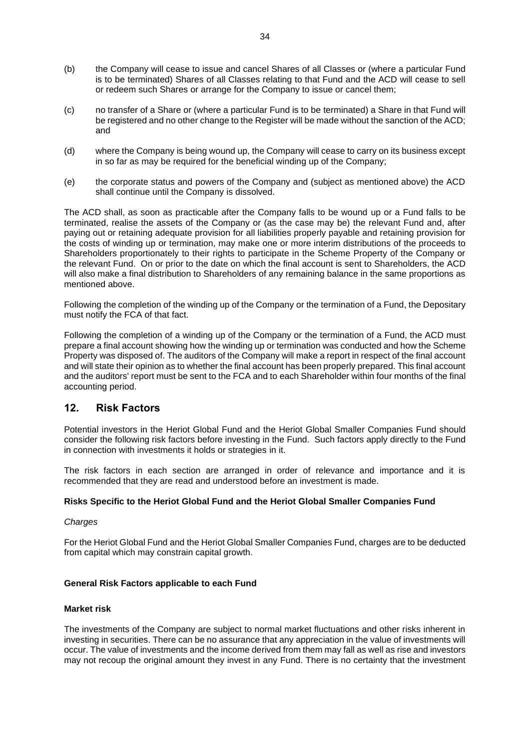- (b) the Company will cease to issue and cancel Shares of all Classes or (where a particular Fund is to be terminated) Shares of all Classes relating to that Fund and the ACD will cease to sell or redeem such Shares or arrange for the Company to issue or cancel them;
- (c) no transfer of a Share or (where a particular Fund is to be terminated) a Share in that Fund will be registered and no other change to the Register will be made without the sanction of the ACD; and
- (d) where the Company is being wound up, the Company will cease to carry on its business except in so far as may be required for the beneficial winding up of the Company;
- (e) the corporate status and powers of the Company and (subject as mentioned above) the ACD shall continue until the Company is dissolved.

The ACD shall, as soon as practicable after the Company falls to be wound up or a Fund falls to be terminated, realise the assets of the Company or (as the case may be) the relevant Fund and, after paying out or retaining adequate provision for all liabilities properly payable and retaining provision for the costs of winding up or termination, may make one or more interim distributions of the proceeds to Shareholders proportionately to their rights to participate in the Scheme Property of the Company or the relevant Fund. On or prior to the date on which the final account is sent to Shareholders, the ACD will also make a final distribution to Shareholders of any remaining balance in the same proportions as mentioned above.

Following the completion of the winding up of the Company or the termination of a Fund, the Depositary must notify the FCA of that fact.

Following the completion of a winding up of the Company or the termination of a Fund, the ACD must prepare a final account showing how the winding up or termination was conducted and how the Scheme Property was disposed of. The auditors of the Company will make a report in respect of the final account and will state their opinion as to whether the final account has been properly prepared. This final account and the auditors' report must be sent to the FCA and to each Shareholder within four months of the final accounting period.

## <span id="page-33-0"></span>**12. Risk Factors**

Potential investors in the Heriot Global Fund and the Heriot Global Smaller Companies Fund should consider the following risk factors before investing in the Fund. Such factors apply directly to the Fund in connection with investments it holds or strategies in it.

The risk factors in each section are arranged in order of relevance and importance and it is recommended that they are read and understood before an investment is made.

#### **Risks Specific to the Heriot Global Fund and the Heriot Global Smaller Companies Fund**

#### *Charges*

For the Heriot Global Fund and the Heriot Global Smaller Companies Fund, charges are to be deducted from capital which may constrain capital growth.

#### **General Risk Factors applicable to each Fund**

#### **Market risk**

The investments of the Company are subject to normal market fluctuations and other risks inherent in investing in securities. There can be no assurance that any appreciation in the value of investments will occur. The value of investments and the income derived from them may fall as well as rise and investors may not recoup the original amount they invest in any Fund. There is no certainty that the investment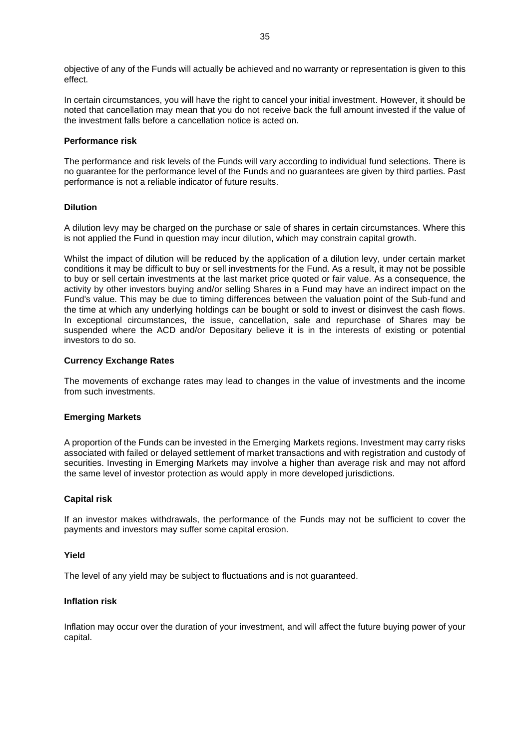objective of any of the Funds will actually be achieved and no warranty or representation is given to this effect.

In certain circumstances, you will have the right to cancel your initial investment. However, it should be noted that cancellation may mean that you do not receive back the full amount invested if the value of the investment falls before a cancellation notice is acted on.

#### **Performance risk**

The performance and risk levels of the Funds will vary according to individual fund selections. There is no guarantee for the performance level of the Funds and no guarantees are given by third parties. Past performance is not a reliable indicator of future results.

#### **Dilution**

A dilution levy may be charged on the purchase or sale of shares in certain circumstances. Where this is not applied the Fund in question may incur dilution, which may constrain capital growth.

Whilst the impact of dilution will be reduced by the application of a dilution levy, under certain market conditions it may be difficult to buy or sell investments for the Fund. As a result, it may not be possible to buy or sell certain investments at the last market price quoted or fair value. As a consequence, the activity by other investors buying and/or selling Shares in a Fund may have an indirect impact on the Fund's value. This may be due to timing differences between the valuation point of the Sub-fund and the time at which any underlying holdings can be bought or sold to invest or disinvest the cash flows. In exceptional circumstances, the issue, cancellation, sale and repurchase of Shares may be suspended where the ACD and/or Depositary believe it is in the interests of existing or potential investors to do so.

#### **Currency Exchange Rates**

The movements of exchange rates may lead to changes in the value of investments and the income from such investments.

#### **Emerging Markets**

A proportion of the Funds can be invested in the Emerging Markets regions. Investment may carry risks associated with failed or delayed settlement of market transactions and with registration and custody of securities. Investing in Emerging Markets may involve a higher than average risk and may not afford the same level of investor protection as would apply in more developed jurisdictions.

#### **Capital risk**

If an investor makes withdrawals, the performance of the Funds may not be sufficient to cover the payments and investors may suffer some capital erosion.

#### **Yield**

The level of any yield may be subject to fluctuations and is not guaranteed.

#### **Inflation risk**

Inflation may occur over the duration of your investment, and will affect the future buying power of your capital.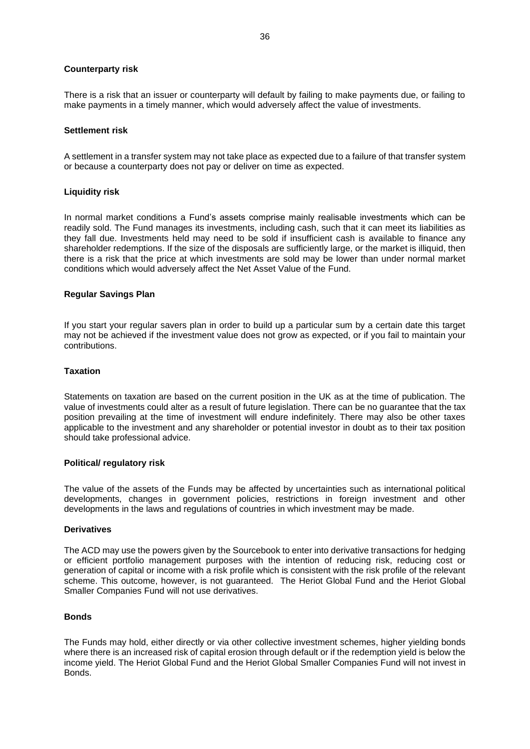#### **Counterparty risk**

There is a risk that an issuer or counterparty will default by failing to make payments due, or failing to make payments in a timely manner, which would adversely affect the value of investments.

#### **Settlement risk**

A settlement in a transfer system may not take place as expected due to a failure of that transfer system or because a counterparty does not pay or deliver on time as expected.

#### **Liquidity risk**

In normal market conditions a Fund's assets comprise mainly realisable investments which can be readily sold. The Fund manages its investments, including cash, such that it can meet its liabilities as they fall due. Investments held may need to be sold if insufficient cash is available to finance any shareholder redemptions. If the size of the disposals are sufficiently large, or the market is illiquid, then there is a risk that the price at which investments are sold may be lower than under normal market conditions which would adversely affect the Net Asset Value of the Fund.

#### **Regular Savings Plan**

If you start your regular savers plan in order to build up a particular sum by a certain date this target may not be achieved if the investment value does not grow as expected, or if you fail to maintain your contributions.

#### **Taxation**

Statements on taxation are based on the current position in the UK as at the time of publication. The value of investments could alter as a result of future legislation. There can be no guarantee that the tax position prevailing at the time of investment will endure indefinitely. There may also be other taxes applicable to the investment and any shareholder or potential investor in doubt as to their tax position should take professional advice.

#### **Political/ regulatory risk**

The value of the assets of the Funds may be affected by uncertainties such as international political developments, changes in government policies, restrictions in foreign investment and other developments in the laws and regulations of countries in which investment may be made.

#### **Derivatives**

The ACD may use the powers given by the Sourcebook to enter into derivative transactions for hedging or efficient portfolio management purposes with the intention of reducing risk, reducing cost or generation of capital or income with a risk profile which is consistent with the risk profile of the relevant scheme. This outcome, however, is not guaranteed. The Heriot Global Fund and the Heriot Global Smaller Companies Fund will not use derivatives.

#### **Bonds**

The Funds may hold, either directly or via other collective investment schemes, higher yielding bonds where there is an increased risk of capital erosion through default or if the redemption yield is below the income yield. The Heriot Global Fund and the Heriot Global Smaller Companies Fund will not invest in Bonds.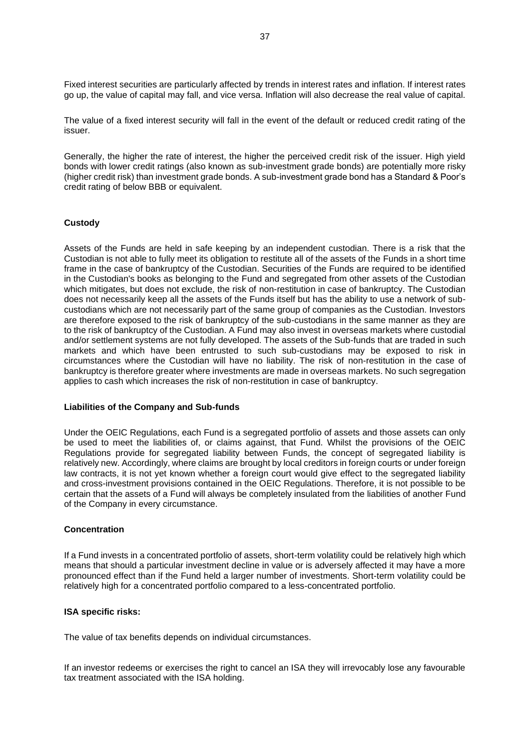Fixed interest securities are particularly affected by trends in interest rates and inflation. If interest rates go up, the value of capital may fall, and vice versa. Inflation will also decrease the real value of capital.

The value of a fixed interest security will fall in the event of the default or reduced credit rating of the issuer.

Generally, the higher the rate of interest, the higher the perceived credit risk of the issuer. High yield bonds with lower credit ratings (also known as sub-investment grade bonds) are potentially more risky (higher credit risk) than investment grade bonds. A sub-investment grade bond has a Standard & Poor's credit rating of below BBB or equivalent.

#### **Custody**

Assets of the Funds are held in safe keeping by an independent custodian. There is a risk that the Custodian is not able to fully meet its obligation to restitute all of the assets of the Funds in a short time frame in the case of bankruptcy of the Custodian. Securities of the Funds are required to be identified in the Custodian's books as belonging to the Fund and segregated from other assets of the Custodian which mitigates, but does not exclude, the risk of non-restitution in case of bankruptcy. The Custodian does not necessarily keep all the assets of the Funds itself but has the ability to use a network of subcustodians which are not necessarily part of the same group of companies as the Custodian. Investors are therefore exposed to the risk of bankruptcy of the sub-custodians in the same manner as they are to the risk of bankruptcy of the Custodian. A Fund may also invest in overseas markets where custodial and/or settlement systems are not fully developed. The assets of the Sub-funds that are traded in such markets and which have been entrusted to such sub-custodians may be exposed to risk in circumstances where the Custodian will have no liability. The risk of non-restitution in the case of bankruptcy is therefore greater where investments are made in overseas markets. No such segregation applies to cash which increases the risk of non-restitution in case of bankruptcy.

#### **Liabilities of the Company and Sub-funds**

Under the OEIC Regulations, each Fund is a segregated portfolio of assets and those assets can only be used to meet the liabilities of, or claims against, that Fund. Whilst the provisions of the OEIC Regulations provide for segregated liability between Funds, the concept of segregated liability is relatively new. Accordingly, where claims are brought by local creditors in foreign courts or under foreign law contracts, it is not yet known whether a foreign court would give effect to the segregated liability and cross-investment provisions contained in the OEIC Regulations. Therefore, it is not possible to be certain that the assets of a Fund will always be completely insulated from the liabilities of another Fund of the Company in every circumstance.

#### **Concentration**

If a Fund invests in a concentrated portfolio of assets, short-term volatility could be relatively high which means that should a particular investment decline in value or is adversely affected it may have a more pronounced effect than if the Fund held a larger number of investments. Short-term volatility could be relatively high for a concentrated portfolio compared to a less-concentrated portfolio.

#### **ISA specific risks:**

The value of tax benefits depends on individual circumstances.

If an investor redeems or exercises the right to cancel an ISA they will irrevocably lose any favourable tax treatment associated with the ISA holding.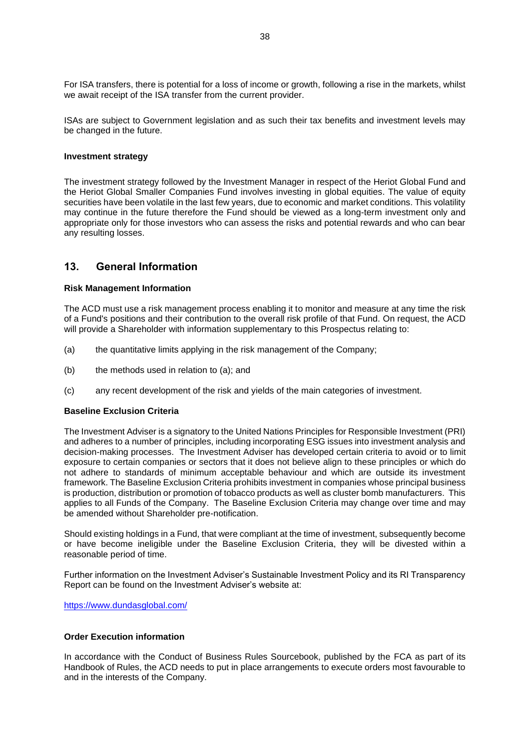For ISA transfers, there is potential for a loss of income or growth, following a rise in the markets, whilst we await receipt of the ISA transfer from the current provider.

ISAs are subject to Government legislation and as such their tax benefits and investment levels may be changed in the future.

#### **Investment strategy**

The investment strategy followed by the Investment Manager in respect of the Heriot Global Fund and the Heriot Global Smaller Companies Fund involves investing in global equities. The value of equity securities have been volatile in the last few years, due to economic and market conditions. This volatility may continue in the future therefore the Fund should be viewed as a long-term investment only and appropriate only for those investors who can assess the risks and potential rewards and who can bear any resulting losses.

### <span id="page-37-0"></span>**13. General Information**

#### **Risk Management Information**

The ACD must use a risk management process enabling it to monitor and measure at any time the risk of a Fund's positions and their contribution to the overall risk profile of that Fund. On request, the ACD will provide a Shareholder with information supplementary to this Prospectus relating to:

- <span id="page-37-1"></span>(a) the quantitative limits applying in the risk management of the Company;
- (b) the methods used in relation to [\(a\);](#page-37-1) and
- (c) any recent development of the risk and yields of the main categories of investment.

#### **Baseline Exclusion Criteria**

The Investment Adviser is a signatory to the United Nations Principles for Responsible Investment (PRI) and adheres to a number of principles, including incorporating ESG issues into investment analysis and decision-making processes. The Investment Adviser has developed certain criteria to avoid or to limit exposure to certain companies or sectors that it does not believe align to these principles or which do not adhere to standards of minimum acceptable behaviour and which are outside its investment framework. The Baseline Exclusion Criteria prohibits investment in companies whose principal business is production, distribution or promotion of tobacco products as well as cluster bomb manufacturers. This applies to all Funds of the Company. The Baseline Exclusion Criteria may change over time and may be amended without Shareholder pre-notification.

Should existing holdings in a Fund, that were compliant at the time of investment, subsequently become or have become ineligible under the Baseline Exclusion Criteria, they will be divested within a reasonable period of time.

Further information on the Investment Adviser's Sustainable Investment Policy and its RI Transparency Report can be found on the Investment Adviser's website at:

<https://www.dundasglobal.com/>

#### **Order Execution information**

In accordance with the Conduct of Business Rules Sourcebook, published by the FCA as part of its Handbook of Rules, the ACD needs to put in place arrangements to execute orders most favourable to and in the interests of the Company.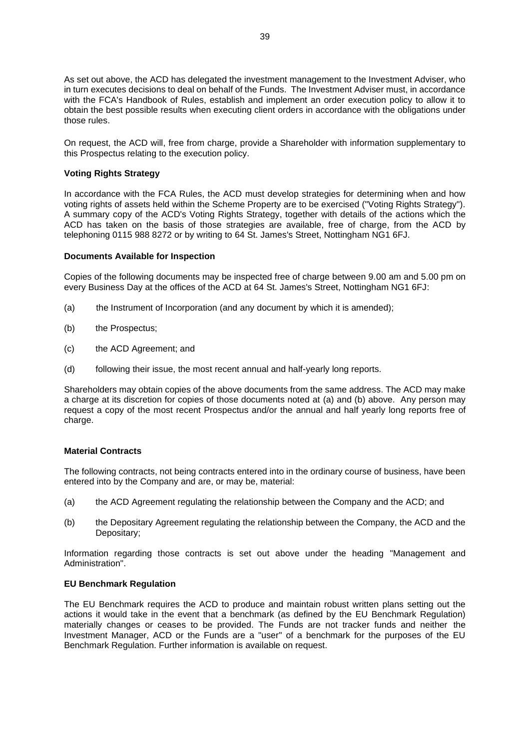As set out above, the ACD has delegated the investment management to the Investment Adviser, who in turn executes decisions to deal on behalf of the Funds. The Investment Adviser must, in accordance with the FCA's Handbook of Rules, establish and implement an order execution policy to allow it to obtain the best possible results when executing client orders in accordance with the obligations under those rules.

On request, the ACD will, free from charge, provide a Shareholder with information supplementary to this Prospectus relating to the execution policy.

#### **Voting Rights Strategy**

In accordance with the FCA Rules, the ACD must develop strategies for determining when and how voting rights of assets held within the Scheme Property are to be exercised ("Voting Rights Strategy"). A summary copy of the ACD's Voting Rights Strategy, together with details of the actions which the ACD has taken on the basis of those strategies are available, free of charge, from the ACD by telephoning 0115 988 8272 or by writing to 64 St. James's Street, Nottingham NG1 6FJ.

#### **Documents Available for Inspection**

Copies of the following documents may be inspected free of charge between 9.00 am and 5.00 pm on every Business Day at the offices of the ACD at 64 St. James's Street, Nottingham NG1 6FJ:

- <span id="page-38-0"></span>(a) the Instrument of Incorporation (and any document by which it is amended);
- <span id="page-38-1"></span>(b) the Prospectus;
- (c) the ACD Agreement; and
- (d) following their issue, the most recent annual and half-yearly long reports.

Shareholders may obtain copies of the above documents from the same address. The ACD may make a charge at its discretion for copies of those documents noted at [\(a\)](#page-38-0) and [\(b\)](#page-38-1) above. Any person may request a copy of the most recent Prospectus and/or the annual and half yearly long reports free of charge.

#### **Material Contracts**

The following contracts, not being contracts entered into in the ordinary course of business, have been entered into by the Company and are, or may be, material:

- (a) the ACD Agreement regulating the relationship between the Company and the ACD; and
- (b) the Depositary Agreement regulating the relationship between the Company, the ACD and the Depositary;

Information regarding those contracts is set out above under the heading "Management and Administration".

#### **EU Benchmark Regulation**

The EU Benchmark requires the ACD to produce and maintain robust written plans setting out the actions it would take in the event that a benchmark (as defined by the EU Benchmark Regulation) materially changes or ceases to be provided. The Funds are not tracker funds and neither the Investment Manager, ACD or the Funds are a "user" of a benchmark for the purposes of the EU Benchmark Regulation. Further information is available on request.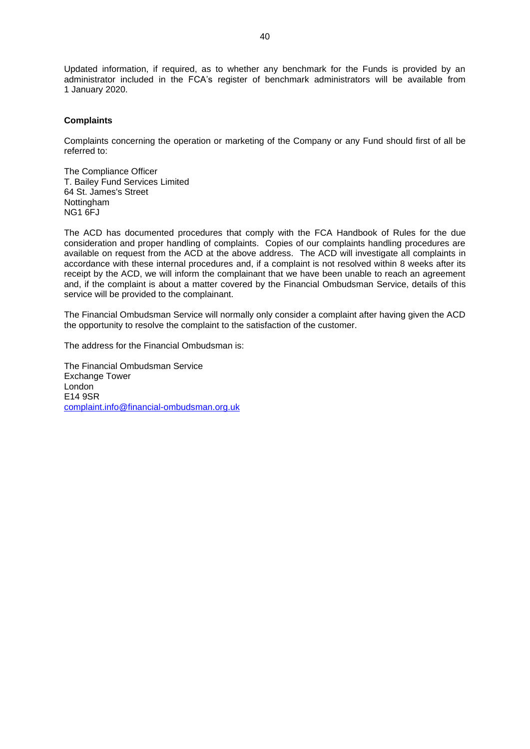Updated information, if required, as to whether any benchmark for the Funds is provided by an administrator included in the FCA's register of benchmark administrators will be available from 1 January 2020.

#### **Complaints**

Complaints concerning the operation or marketing of the Company or any Fund should first of all be referred to:

The Compliance Officer T. Bailey Fund Services Limited 64 St. James's Street **Nottingham** NG1 6FJ

The ACD has documented procedures that comply with the FCA Handbook of Rules for the due consideration and proper handling of complaints. Copies of our complaints handling procedures are available on request from the ACD at the above address. The ACD will investigate all complaints in accordance with these internal procedures and, if a complaint is not resolved within 8 weeks after its receipt by the ACD, we will inform the complainant that we have been unable to reach an agreement and, if the complaint is about a matter covered by the Financial Ombudsman Service, details of this service will be provided to the complainant.

The Financial Ombudsman Service will normally only consider a complaint after having given the ACD the opportunity to resolve the complaint to the satisfaction of the customer.

The address for the Financial Ombudsman is:

The Financial Ombudsman Service Exchange Tower London<sup>1</sup> E14 9SR [complaint.info@financial-ombudsman.org.uk](mailto:complaint.info@financial-ombudsman.org.uk)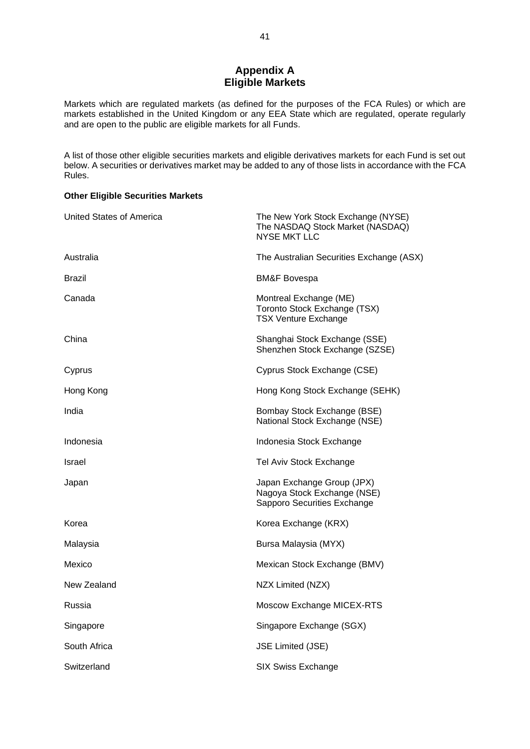## **Appendix A Eligible Markets**

<span id="page-40-0"></span>Markets which are regulated markets (as defined for the purposes of the FCA Rules) or which are markets established in the United Kingdom or any EEA State which are regulated, operate regularly and are open to the public are eligible markets for all Funds.

A list of those other eligible securities markets and eligible derivatives markets for each Fund is set out below. A securities or derivatives market may be added to any of those lists in accordance with the FCA Rules.

#### **Other Eligible Securities Markets**

| United States of America | The New York Stock Exchange (NYSE)<br>The NASDAQ Stock Market (NASDAQ)<br><b>NYSE MKT LLC</b> |
|--------------------------|-----------------------------------------------------------------------------------------------|
| Australia                | The Australian Securities Exchange (ASX)                                                      |
| Brazil                   | <b>BM&amp;F Bovespa</b>                                                                       |
| Canada                   | Montreal Exchange (ME)<br>Toronto Stock Exchange (TSX)<br><b>TSX Venture Exchange</b>         |
| China                    | Shanghai Stock Exchange (SSE)<br>Shenzhen Stock Exchange (SZSE)                               |
| Cyprus                   | Cyprus Stock Exchange (CSE)                                                                   |
| Hong Kong                | Hong Kong Stock Exchange (SEHK)                                                               |
| India                    | Bombay Stock Exchange (BSE)<br>National Stock Exchange (NSE)                                  |
| Indonesia                | Indonesia Stock Exchange                                                                      |
| Israel                   | Tel Aviv Stock Exchange                                                                       |
| Japan                    | Japan Exchange Group (JPX)<br>Nagoya Stock Exchange (NSE)<br>Sapporo Securities Exchange      |
| Korea                    | Korea Exchange (KRX)                                                                          |
| Malaysia                 | Bursa Malaysia (MYX)                                                                          |
| Mexico                   | Mexican Stock Exchange (BMV)                                                                  |
| New Zealand              | NZX Limited (NZX)                                                                             |
| Russia                   | Moscow Exchange MICEX-RTS                                                                     |
| Singapore                | Singapore Exchange (SGX)                                                                      |
| South Africa             | <b>JSE Limited (JSE)</b>                                                                      |
| Switzerland              | <b>SIX Swiss Exchange</b>                                                                     |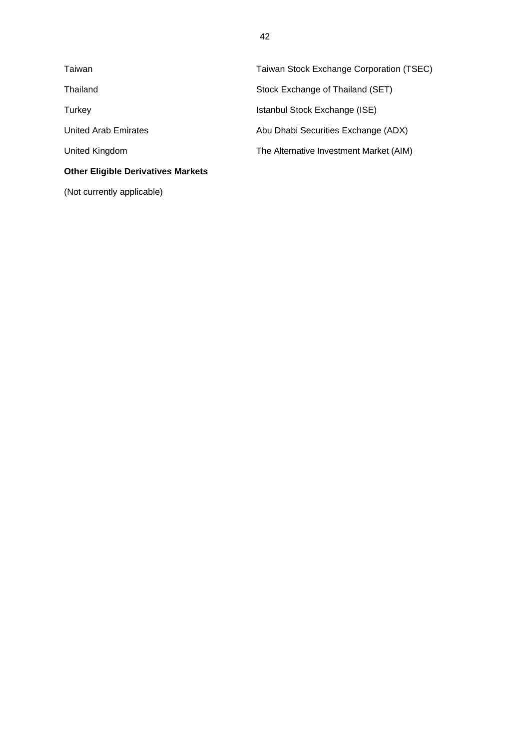| Taiwan                                    | Taiwan Stock Exchange Corporation (TSEC) |
|-------------------------------------------|------------------------------------------|
| Thailand                                  | Stock Exchange of Thailand (SET)         |
| Turkey                                    | Istanbul Stock Exchange (ISE)            |
| <b>United Arab Emirates</b>               | Abu Dhabi Securities Exchange (ADX)      |
| United Kingdom                            | The Alternative Investment Market (AIM)  |
| <b>Other Eligible Derivatives Markets</b> |                                          |
| (Not currently applicable)                |                                          |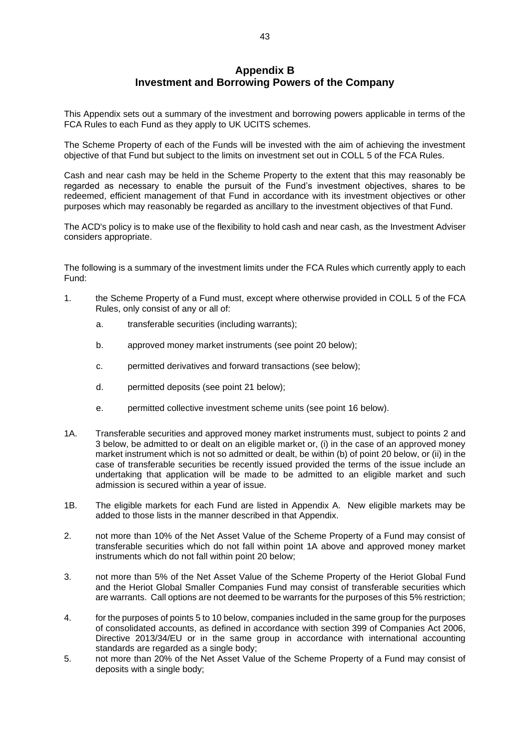## **Appendix B Investment and Borrowing Powers of the Company**

<span id="page-42-0"></span>This Appendix sets out a summary of the investment and borrowing powers applicable in terms of the FCA Rules to each Fund as they apply to UK UCITS schemes.

The Scheme Property of each of the Funds will be invested with the aim of achieving the investment objective of that Fund but subject to the limits on investment set out in COLL 5 of the FCA Rules.

Cash and near cash may be held in the Scheme Property to the extent that this may reasonably be regarded as necessary to enable the pursuit of the Fund's investment objectives, shares to be redeemed, efficient management of that Fund in accordance with its investment objectives or other purposes which may reasonably be regarded as ancillary to the investment objectives of that Fund.

The ACD's policy is to make use of the flexibility to hold cash and near cash, as the Investment Adviser considers appropriate.

The following is a summary of the investment limits under the FCA Rules which currently apply to each Fund:

- 1. the Scheme Property of a Fund must, except where otherwise provided in COLL 5 of the FCA Rules, only consist of any or all of:
	- a. transferable securities (including warrants);
	- b. approved money market instruments (see point [20](#page-45-0) below);
	- c. permitted derivatives and forward transactions (see below);
	- d. permitted deposits (see point [21](#page-45-1) below);
	- e. permitted collective investment scheme units (see point [16](#page-44-0) below).
- 1A. Transferable securities and approved money market instruments must, subject to points [2](#page-42-1) and [3](#page-42-2) below, be admitted to or dealt on an eligible market or, (i) in the case of an approved money market instrument which is not so admitted or dealt, be within (b) of point [20](#page-45-0) below, or (ii) in the case of transferable securities be recently issued provided the terms of the issue include an undertaking that application will be made to be admitted to an eligible market and such admission is secured within a year of issue.
- 1B. The eligible markets for each Fund are listed in Appendix A. New eligible markets may be added to those lists in the manner described in that Appendix.
- <span id="page-42-1"></span>2. not more than 10% of the Net Asset Value of the Scheme Property of a Fund may consist of transferable securities which do not fall within point 1A above and approved money market instruments which do not fall within point [20](#page-45-0) below;
- <span id="page-42-2"></span>3. not more than 5% of the Net Asset Value of the Scheme Property of the Heriot Global Fund and the Heriot Global Smaller Companies Fund may consist of transferable securities which are warrants. Call options are not deemed to be warrants for the purposes of this 5% restriction;
- 4. for the purposes of points [5](#page-42-3) to [10](#page-43-0) below, companies included in the same group for the purposes of consolidated accounts, as defined in accordance with section 399 of Companies Act 2006, Directive 2013/34/EU or in the same group in accordance with international accounting standards are regarded as a single body;
- <span id="page-42-3"></span>5. not more than 20% of the Net Asset Value of the Scheme Property of a Fund may consist of deposits with a single body;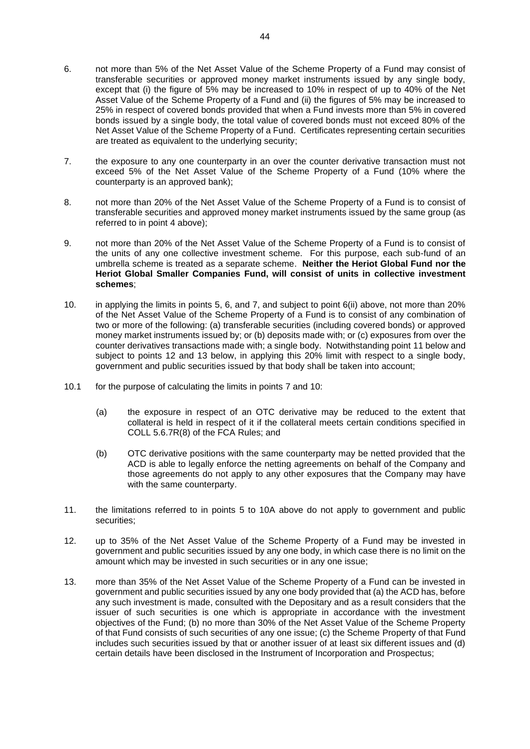- <span id="page-43-1"></span>6. not more than 5% of the Net Asset Value of the Scheme Property of a Fund may consist of transferable securities or approved money market instruments issued by any single body, except that (i) the figure of 5% may be increased to 10% in respect of up to 40% of the Net Asset Value of the Scheme Property of a Fund and (ii) the figures of 5% may be increased to 25% in respect of covered bonds provided that when a Fund invests more than 5% in covered bonds issued by a single body, the total value of covered bonds must not exceed 80% of the Net Asset Value of the Scheme Property of a Fund. Certificates representing certain securities are treated as equivalent to the underlying security;
- <span id="page-43-2"></span>7. the exposure to any one counterparty in an over the counter derivative transaction must not exceed 5% of the Net Asset Value of the Scheme Property of a Fund (10% where the counterparty is an approved bank);
- 8. not more than 20% of the Net Asset Value of the Scheme Property of a Fund is to consist of transferable securities and approved money market instruments issued by the same group (as referred to in point 4 above);
- <span id="page-43-5"></span>9. not more than 20% of the Net Asset Value of the Scheme Property of a Fund is to consist of the units of any one collective investment scheme. For this purpose, each sub-fund of an umbrella scheme is treated as a separate scheme. **Neither the Heriot Global Fund nor the Heriot Global Smaller Companies Fund, will consist of units in collective investment schemes**;
- <span id="page-43-0"></span>10. in applying the limits in points [5,](#page-42-3) [6,](#page-43-1) and [7,](#page-43-2) and subject to point 6(ii) above, not more than 20% of the Net Asset Value of the Scheme Property of a Fund is to consist of any combination of two or more of the following: (a) transferable securities (including covered bonds) or approved money market instruments issued by; or (b) deposits made with; or (c) exposures from over the counter derivatives transactions made with; a single body. Notwithstanding point 11 below and subject to points 12 and 13 below, in applying this 20% limit with respect to a single body, government and public securities issued by that body shall be taken into account;
- 10.1 for the purpose of calculating the limits in points [7](#page-43-2) and [10:](#page-43-0)
	- (a) the exposure in respect of an OTC derivative may be reduced to the extent that collateral is held in respect of it if the collateral meets certain conditions specified in COLL 5.6.7R(8) of the FCA Rules; and
	- (b) OTC derivative positions with the same counterparty may be netted provided that the ACD is able to legally enforce the netting agreements on behalf of the Company and those agreements do not apply to any other exposures that the Company may have with the same counterparty.
- 11. the limitations referred to in points [5](#page-42-3) to 10A above do not apply to government and public securities;
- <span id="page-43-4"></span>12. up to 35% of the Net Asset Value of the Scheme Property of a Fund may be invested in government and public securities issued by any one body, in which case there is no limit on the amount which may be invested in such securities or in any one issue;
- <span id="page-43-3"></span>13. more than 35% of the Net Asset Value of the Scheme Property of a Fund can be invested in government and public securities issued by any one body provided that (a) the ACD has, before any such investment is made, consulted with the Depositary and as a result considers that the issuer of such securities is one which is appropriate in accordance with the investment objectives of the Fund; (b) no more than 30% of the Net Asset Value of the Scheme Property of that Fund consists of such securities of any one issue; (c) the Scheme Property of that Fund includes such securities issued by that or another issuer of at least six different issues and (d) certain details have been disclosed in the Instrument of Incorporation and Prospectus;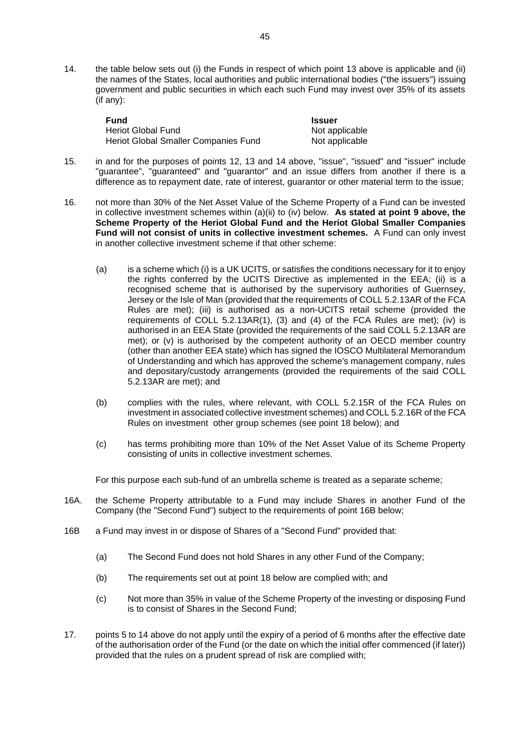<span id="page-44-1"></span>14. the table below sets out (i) the Funds in respect of which point [13](#page-43-3) above is applicable and (ii) the names of the States, local authorities and public international bodies ("the issuers") issuing government and public securities in which each such Fund may invest over 35% of its assets (if any):

| Fund                                 | <b>Issuer</b>  |
|--------------------------------------|----------------|
| <b>Heriot Global Fund</b>            | Not applicable |
| Heriot Global Smaller Companies Fund | Not applicable |

- 15. in and for the purposes of points [12,](#page-43-4) [13](#page-43-3) and [14](#page-44-1) above, "issue", "issued" and "issuer" include "guarantee", "guaranteed" and "guarantor" and an issue differs from another if there is a difference as to repayment date, rate of interest, guarantor or other material term to the issue;
- <span id="page-44-0"></span>16. not more than 30% of the Net Asset Value of the Scheme Property of a Fund can be invested in collective investment schemes within (a)(ii) to (iv) below. **As stated at point [9](#page-43-5) above, the Scheme Property of the Heriot Global Fund and the Heriot Global Smaller Companies Fund will not consist of units in collective investment schemes.** A Fund can only invest in another collective investment scheme if that other scheme:
	- (a) is a scheme which (i) is a UK UCITS, or satisfies the conditions necessary for it to enjoy the rights conferred by the UCITS Directive as implemented in the EEA; (ii) is a recognised scheme that is authorised by the supervisory authorities of Guernsey, Jersey or the Isle of Man (provided that the requirements of COLL 5.2.13AR of the FCA Rules are met); (iii) is authorised as a non-UCITS retail scheme (provided the requirements of COLL 5.2.13AR(1), (3) and (4) of the FCA Rules are met); (iv) is authorised in an EEA State (provided the requirements of the said COLL 5.2.13AR are met); or (v) is authorised by the competent authority of an OECD member country (other than another EEA state) which has signed the IOSCO Multilateral Memorandum of Understanding and which has approved the scheme's management company, rules and depositary/custody arrangements (provided the requirements of the said COLL 5.2.13AR are met); and
	- (b) complies with the rules, where relevant, with COLL 5.2.15R of the FCA Rules on investment in associated collective investment schemes) and COLL 5.2.16R of the FCA Rules on investment other group schemes (see point [18](#page-45-2) below); and
	- (c) has terms prohibiting more than 10% of the Net Asset Value of its Scheme Property consisting of units in collective investment schemes.

For this purpose each sub-fund of an umbrella scheme is treated as a separate scheme;

- 16A. the Scheme Property attributable to a Fund may include Shares in another Fund of the Company (the "Second Fund") subject to the requirements of point 16B below;
- 16B a Fund may invest in or dispose of Shares of a "Second Fund" provided that:
	- (a) The Second Fund does not hold Shares in any other Fund of the Company;
	- (b) The requirements set out at point [18](#page-45-2) below are complied with; and
	- (c) Not more than 35% in value of the Scheme Property of the investing or disposing Fund is to consist of Shares in the Second Fund;
- 17. point[s 5](#page-42-3) to [14](#page-44-1) above do not apply until the expiry of a period of 6 months after the effective date of the authorisation order of the Fund (or the date on which the initial offer commenced (if later)) provided that the rules on a prudent spread of risk are complied with;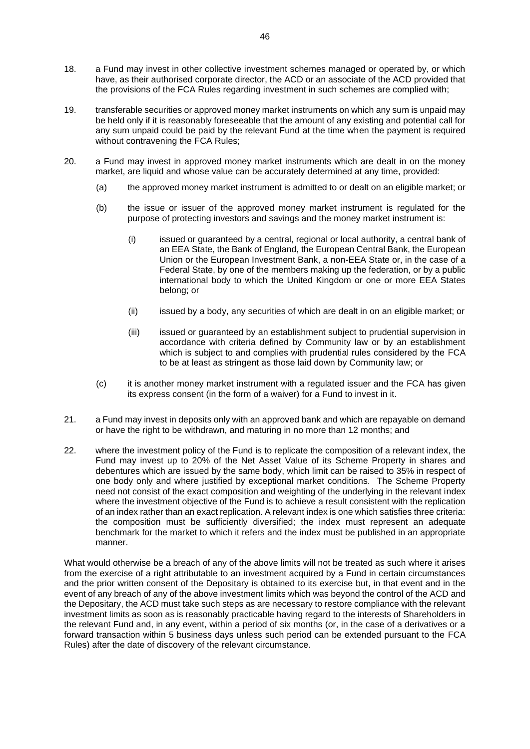- <span id="page-45-2"></span>18. a Fund may invest in other collective investment schemes managed or operated by, or which have, as their authorised corporate director, the ACD or an associate of the ACD provided that the provisions of the FCA Rules regarding investment in such schemes are complied with;
- 19. transferable securities or approved money market instruments on which any sum is unpaid may be held only if it is reasonably foreseeable that the amount of any existing and potential call for any sum unpaid could be paid by the relevant Fund at the time when the payment is required without contravening the FCA Rules;
- <span id="page-45-0"></span>20. a Fund may invest in approved money market instruments which are dealt in on the money market, are liquid and whose value can be accurately determined at any time, provided:
	- (a) the approved money market instrument is admitted to or dealt on an eligible market; or
	- (b) the issue or issuer of the approved money market instrument is regulated for the purpose of protecting investors and savings and the money market instrument is:
		- (i) issued or guaranteed by a central, regional or local authority, a central bank of an EEA State, the Bank of England, the European Central Bank, the European Union or the European Investment Bank, a non-EEA State or, in the case of a Federal State, by one of the members making up the federation, or by a public international body to which the United Kingdom or one or more EEA States belong; or
		- (ii) issued by a body, any securities of which are dealt in on an eligible market; or
		- (iii) issued or guaranteed by an establishment subject to prudential supervision in accordance with criteria defined by Community law or by an establishment which is subject to and complies with prudential rules considered by the FCA to be at least as stringent as those laid down by Community law; or
	- (c) it is another money market instrument with a regulated issuer and the FCA has given its express consent (in the form of a waiver) for a Fund to invest in it.
- <span id="page-45-1"></span>21. a Fund may invest in deposits only with an approved bank and which are repayable on demand or have the right to be withdrawn, and maturing in no more than 12 months; and
- <span id="page-45-3"></span>22. where the investment policy of the Fund is to replicate the composition of a relevant index, the Fund may invest up to 20% of the Net Asset Value of its Scheme Property in shares and debentures which are issued by the same body, which limit can be raised to 35% in respect of one body only and where justified by exceptional market conditions. The Scheme Property need not consist of the exact composition and weighting of the underlying in the relevant index where the investment objective of the Fund is to achieve a result consistent with the replication of an index rather than an exact replication. A relevant index is one which satisfies three criteria: the composition must be sufficiently diversified; the index must represent an adequate benchmark for the market to which it refers and the index must be published in an appropriate manner.

What would otherwise be a breach of any of the above limits will not be treated as such where it arises from the exercise of a right attributable to an investment acquired by a Fund in certain circumstances and the prior written consent of the Depositary is obtained to its exercise but, in that event and in the event of any breach of any of the above investment limits which was beyond the control of the ACD and the Depositary, the ACD must take such steps as are necessary to restore compliance with the relevant investment limits as soon as is reasonably practicable having regard to the interests of Shareholders in the relevant Fund and, in any event, within a period of six months (or, in the case of a derivatives or a forward transaction within 5 business days unless such period can be extended pursuant to the FCA Rules) after the date of discovery of the relevant circumstance.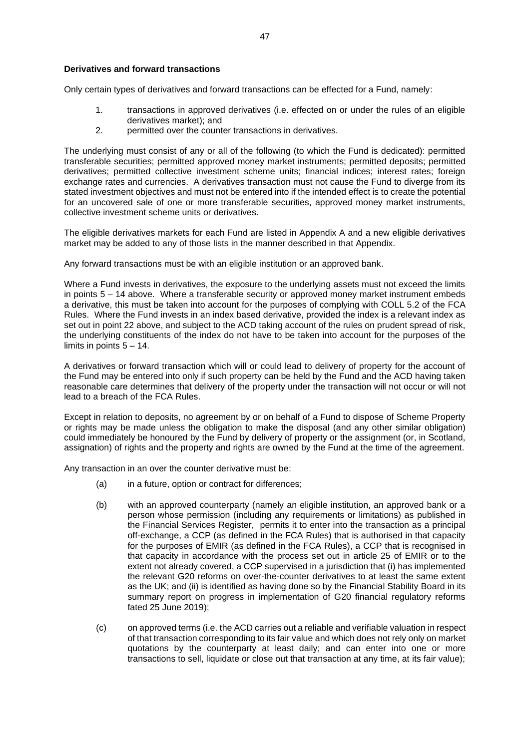#### **Derivatives and forward transactions**

Only certain types of derivatives and forward transactions can be effected for a Fund, namely:

- 1. transactions in approved derivatives (i.e. effected on or under the rules of an eligible derivatives market); and
- 2. permitted over the counter transactions in derivatives.

The underlying must consist of any or all of the following (to which the Fund is dedicated): permitted transferable securities; permitted approved money market instruments; permitted deposits; permitted derivatives; permitted collective investment scheme units; financial indices; interest rates; foreign exchange rates and currencies. A derivatives transaction must not cause the Fund to diverge from its stated investment objectives and must not be entered into if the intended effect is to create the potential for an uncovered sale of one or more transferable securities, approved money market instruments, collective investment scheme units or derivatives.

The eligible derivatives markets for each Fund are listed in Appendix A and a new eligible derivatives market may be added to any of those lists in the manner described in that Appendix.

Any forward transactions must be with an eligible institution or an approved bank.

Where a Fund invests in derivatives, the exposure to the underlying assets must not exceed the limits in points [5](#page-42-3) – [14](#page-44-1) above. Where a transferable security or approved money market instrument embeds a derivative, this must be taken into account for the purposes of complying with COLL 5.2 of the FCA Rules. Where the Fund invests in an index based derivative, provided the index is a relevant index as set out in point [22](#page-45-3) above, and subject to the ACD taking account of the rules on prudent spread of risk, the underlying constituents of the index do not have to be taken into account for the purposes of the limits in points  $5 - 14$ .

A derivatives or forward transaction which will or could lead to delivery of property for the account of the Fund may be entered into only if such property can be held by the Fund and the ACD having taken reasonable care determines that delivery of the property under the transaction will not occur or will not lead to a breach of the FCA Rules.

Except in relation to deposits, no agreement by or on behalf of a Fund to dispose of Scheme Property or rights may be made unless the obligation to make the disposal (and any other similar obligation) could immediately be honoured by the Fund by delivery of property or the assignment (or, in Scotland, assignation) of rights and the property and rights are owned by the Fund at the time of the agreement.

Any transaction in an over the counter derivative must be:

- (a) in a future, option or contract for differences;
- (b) with an approved counterparty (namely an eligible institution, an approved bank or a person whose permission (including any requirements or limitations) as published in the Financial Services Register, permits it to enter into the transaction as a principal off-exchange, a CCP (as defined in the FCA Rules) that is authorised in that capacity for the purposes of EMIR (as defined in the FCA Rules), a CCP that is recognised in that capacity in accordance with the process set out in article 25 of EMIR or to the extent not already covered, a CCP supervised in a jurisdiction that (i) has implemented the relevant G20 reforms on over-the-counter derivatives to at least the same extent as the UK; and (ii) is identified as having done so by the Financial Stability Board in its summary report on progress in implementation of G20 financial regulatory reforms fated 25 June 2019);
- (c) on approved terms (i.e. the ACD carries out a reliable and verifiable valuation in respect of that transaction corresponding to its fair value and which does not rely only on market quotations by the counterparty at least daily; and can enter into one or more transactions to sell, liquidate or close out that transaction at any time, at its fair value);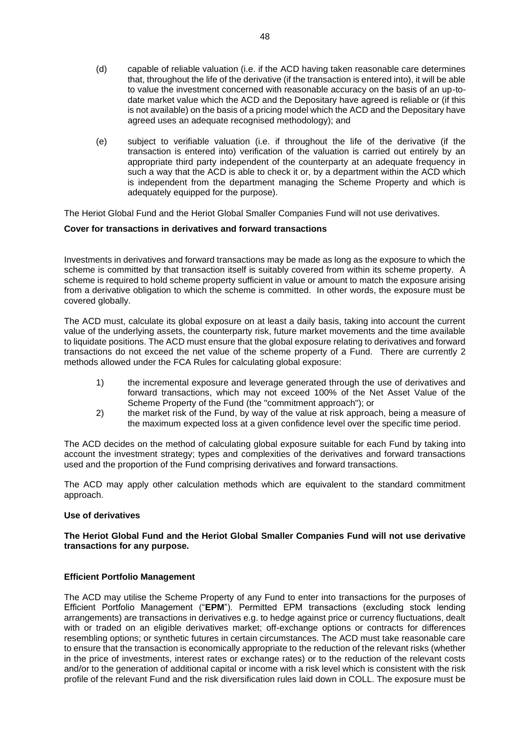- (d) capable of reliable valuation (i.e. if the ACD having taken reasonable care determines that, throughout the life of the derivative (if the transaction is entered into), it will be able to value the investment concerned with reasonable accuracy on the basis of an up-todate market value which the ACD and the Depositary have agreed is reliable or (if this is not available) on the basis of a pricing model which the ACD and the Depositary have agreed uses an adequate recognised methodology); and
- (e) subject to verifiable valuation (i.e. if throughout the life of the derivative (if the transaction is entered into) verification of the valuation is carried out entirely by an appropriate third party independent of the counterparty at an adequate frequency in such a way that the ACD is able to check it or, by a department within the ACD which is independent from the department managing the Scheme Property and which is adequately equipped for the purpose).

The Heriot Global Fund and the Heriot Global Smaller Companies Fund will not use derivatives.

#### **Cover for transactions in derivatives and forward transactions**

Investments in derivatives and forward transactions may be made as long as the exposure to which the scheme is committed by that transaction itself is suitably covered from within its scheme property. A scheme is required to hold scheme property sufficient in value or amount to match the exposure arising from a derivative obligation to which the scheme is committed. In other words, the exposure must be covered globally.

The ACD must, calculate its global exposure on at least a daily basis, taking into account the current value of the underlying assets, the counterparty risk, future market movements and the time available to liquidate positions. The ACD must ensure that the global exposure relating to derivatives and forward transactions do not exceed the net value of the scheme property of a Fund. There are currently 2 methods allowed under the FCA Rules for calculating global exposure:

- 1) the incremental exposure and leverage generated through the use of derivatives and forward transactions, which may not exceed 100% of the Net Asset Value of the Scheme Property of the Fund (the "commitment approach"); or
- 2) the market risk of the Fund, by way of the value at risk approach, being a measure of the maximum expected loss at a given confidence level over the specific time period.

The ACD decides on the method of calculating global exposure suitable for each Fund by taking into account the investment strategy; types and complexities of the derivatives and forward transactions used and the proportion of the Fund comprising derivatives and forward transactions.

The ACD may apply other calculation methods which are equivalent to the standard commitment approach.

#### **Use of derivatives**

#### **The Heriot Global Fund and the Heriot Global Smaller Companies Fund will not use derivative transactions for any purpose.**

#### **Efficient Portfolio Management**

The ACD may utilise the Scheme Property of any Fund to enter into transactions for the purposes of Efficient Portfolio Management ("**EPM**"). Permitted EPM transactions (excluding stock lending arrangements) are transactions in derivatives e.g. to hedge against price or currency fluctuations, dealt with or traded on an eligible derivatives market; off-exchange options or contracts for differences resembling options; or synthetic futures in certain circumstances. The ACD must take reasonable care to ensure that the transaction is economically appropriate to the reduction of the relevant risks (whether in the price of investments, interest rates or exchange rates) or to the reduction of the relevant costs and/or to the generation of additional capital or income with a risk level which is consistent with the risk profile of the relevant Fund and the risk diversification rules laid down in COLL. The exposure must be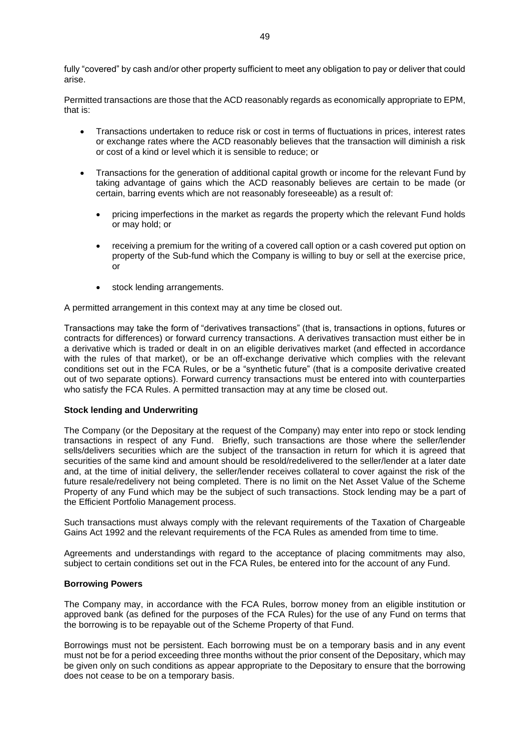fully "covered" by cash and/or other property sufficient to meet any obligation to pay or deliver that could arise.

Permitted transactions are those that the ACD reasonably regards as economically appropriate to EPM, that is:

- Transactions undertaken to reduce risk or cost in terms of fluctuations in prices, interest rates or exchange rates where the ACD reasonably believes that the transaction will diminish a risk or cost of a kind or level which it is sensible to reduce; or
- Transactions for the generation of additional capital growth or income for the relevant Fund by taking advantage of gains which the ACD reasonably believes are certain to be made (or certain, barring events which are not reasonably foreseeable) as a result of:
	- pricing imperfections in the market as regards the property which the relevant Fund holds or may hold; or
	- receiving a premium for the writing of a covered call option or a cash covered put option on property of the Sub-fund which the Company is willing to buy or sell at the exercise price, or
	- stock lending arrangements.

A permitted arrangement in this context may at any time be closed out.

Transactions may take the form of "derivatives transactions" (that is, transactions in options, futures or contracts for differences) or forward currency transactions. A derivatives transaction must either be in a derivative which is traded or dealt in on an eligible derivatives market (and effected in accordance with the rules of that market), or be an off-exchange derivative which complies with the relevant conditions set out in the FCA Rules, or be a "synthetic future" (that is a composite derivative created out of two separate options). Forward currency transactions must be entered into with counterparties who satisfy the FCA Rules. A permitted transaction may at any time be closed out.

#### **Stock lending and Underwriting**

The Company (or the Depositary at the request of the Company) may enter into repo or stock lending transactions in respect of any Fund. Briefly, such transactions are those where the seller/lender sells/delivers securities which are the subject of the transaction in return for which it is agreed that securities of the same kind and amount should be resold/redelivered to the seller/lender at a later date and, at the time of initial delivery, the seller/lender receives collateral to cover against the risk of the future resale/redelivery not being completed. There is no limit on the Net Asset Value of the Scheme Property of any Fund which may be the subject of such transactions. Stock lending may be a part of the Efficient Portfolio Management process.

Such transactions must always comply with the relevant requirements of the Taxation of Chargeable Gains Act 1992 and the relevant requirements of the FCA Rules as amended from time to time.

Agreements and understandings with regard to the acceptance of placing commitments may also, subject to certain conditions set out in the FCA Rules, be entered into for the account of any Fund.

#### **Borrowing Powers**

The Company may, in accordance with the FCA Rules, borrow money from an eligible institution or approved bank (as defined for the purposes of the FCA Rules) for the use of any Fund on terms that the borrowing is to be repayable out of the Scheme Property of that Fund.

Borrowings must not be persistent. Each borrowing must be on a temporary basis and in any event must not be for a period exceeding three months without the prior consent of the Depositary, which may be given only on such conditions as appear appropriate to the Depositary to ensure that the borrowing does not cease to be on a temporary basis.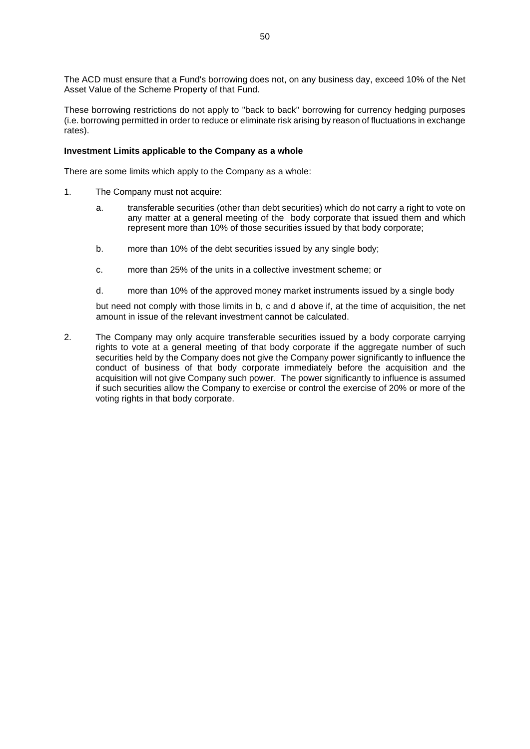The ACD must ensure that a Fund's borrowing does not, on any business day, exceed 10% of the Net Asset Value of the Scheme Property of that Fund.

These borrowing restrictions do not apply to "back to back" borrowing for currency hedging purposes (i.e. borrowing permitted in order to reduce or eliminate risk arising by reason of fluctuations in exchange rates).

#### **Investment Limits applicable to the Company as a whole**

There are some limits which apply to the Company as a whole:

- 1. The Company must not acquire:
	- a. transferable securities (other than debt securities) which do not carry a right to vote on any matter at a general meeting of the body corporate that issued them and which represent more than 10% of those securities issued by that body corporate;
	- b. more than 10% of the debt securities issued by any single body;
	- c. more than 25% of the units in a collective investment scheme; or
	- d. more than 10% of the approved money market instruments issued by a single body

but need not comply with those limits in b, c and d above if, at the time of acquisition, the net amount in issue of the relevant investment cannot be calculated.

2. The Company may only acquire transferable securities issued by a body corporate carrying rights to vote at a general meeting of that body corporate if the aggregate number of such securities held by the Company does not give the Company power significantly to influence the conduct of business of that body corporate immediately before the acquisition and the acquisition will not give Company such power. The power significantly to influence is assumed if such securities allow the Company to exercise or control the exercise of 20% or more of the voting rights in that body corporate.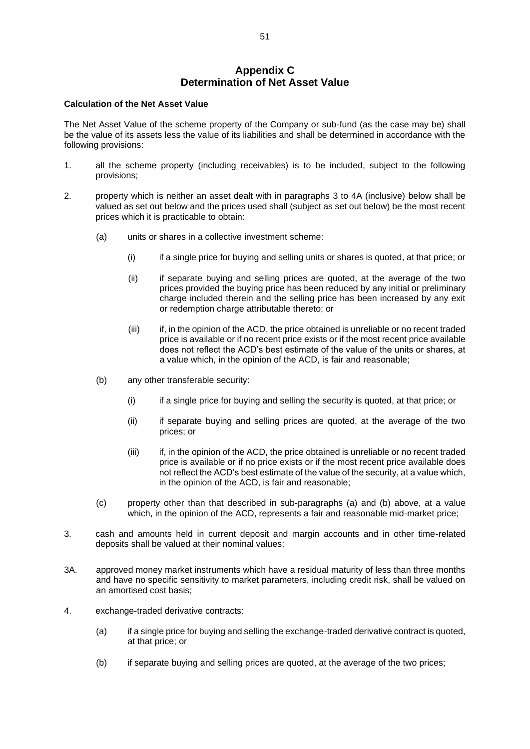## **Appendix C Determination of Net Asset Value**

#### <span id="page-50-0"></span>**Calculation of the Net Asset Value**

The Net Asset Value of the scheme property of the Company or sub-fund (as the case may be) shall be the value of its assets less the value of its liabilities and shall be determined in accordance with the following provisions:

- 1. all the scheme property (including receivables) is to be included, subject to the following provisions;
- <span id="page-50-2"></span>2. property which is neither an asset dealt with in paragraphs [3](#page-50-1) to [4A](#page-51-0) (inclusive) below shall be valued as set out below and the prices used shall (subject as set out below) be the most recent prices which it is practicable to obtain:
	- (a) units or shares in a collective investment scheme:
		- (i) if a single price for buying and selling units or shares is quoted, at that price; or
		- (ii) if separate buying and selling prices are quoted, at the average of the two prices provided the buying price has been reduced by any initial or preliminary charge included therein and the selling price has been increased by any exit or redemption charge attributable thereto; or
		- (iii) if, in the opinion of the ACD, the price obtained is unreliable or no recent traded price is available or if no recent price exists or if the most recent price available does not reflect the ACD's best estimate of the value of the units or shares, at a value which, in the opinion of the ACD, is fair and reasonable;
	- (b) any other transferable security:
		- (i) if a single price for buying and selling the security is quoted, at that price; or
		- (ii) if separate buying and selling prices are quoted, at the average of the two prices; or
		- (iii) if, in the opinion of the ACD, the price obtained is unreliable or no recent traded price is available or if no price exists or if the most recent price available does not reflect the ACD's best estimate of the value of the security, at a value which, in the opinion of the ACD, is fair and reasonable;
	- (c) property other than that described in sub-paragraphs [\(a\)](#page-50-2) and [\(b\)](#page-50-3) above, at a value which, in the opinion of the ACD, represents a fair and reasonable mid-market price;
- <span id="page-50-3"></span><span id="page-50-1"></span>3. cash and amounts held in current deposit and margin accounts and in other time-related deposits shall be valued at their nominal values;
- 3A. approved money market instruments which have a residual maturity of less than three months and have no specific sensitivity to market parameters, including credit risk, shall be valued on an amortised cost basis;
- 4. exchange-traded derivative contracts:
	- (a) if a single price for buying and selling the exchange-traded derivative contract is quoted, at that price; or
	- (b) if separate buying and selling prices are quoted, at the average of the two prices;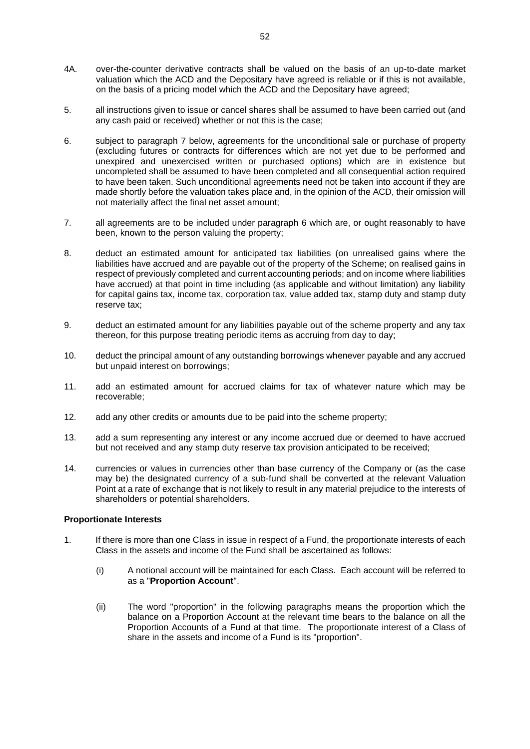- <span id="page-51-0"></span>4A. over-the-counter derivative contracts shall be valued on the basis of an up-to-date market valuation which the ACD and the Depositary have agreed is reliable or if this is not available, on the basis of a pricing model which the ACD and the Depositary have agreed;
- 5. all instructions given to issue or cancel shares shall be assumed to have been carried out (and any cash paid or received) whether or not this is the case;
- <span id="page-51-2"></span>6. subject to paragraph [7](#page-51-1) below, agreements for the unconditional sale or purchase of property (excluding futures or contracts for differences which are not yet due to be performed and unexpired and unexercised written or purchased options) which are in existence but uncompleted shall be assumed to have been completed and all consequential action required to have been taken. Such unconditional agreements need not be taken into account if they are made shortly before the valuation takes place and, in the opinion of the ACD, their omission will not materially affect the final net asset amount;
- <span id="page-51-1"></span>7. all agreements are to be included under paragraph [6](#page-51-2) which are, or ought reasonably to have been, known to the person valuing the property;
- 8. deduct an estimated amount for anticipated tax liabilities (on unrealised gains where the liabilities have accrued and are payable out of the property of the Scheme; on realised gains in respect of previously completed and current accounting periods; and on income where liabilities have accrued) at that point in time including (as applicable and without limitation) any liability for capital gains tax, income tax, corporation tax, value added tax, stamp duty and stamp duty reserve tax;
- 9. deduct an estimated amount for any liabilities payable out of the scheme property and any tax thereon, for this purpose treating periodic items as accruing from day to day;
- 10. deduct the principal amount of any outstanding borrowings whenever payable and any accrued but unpaid interest on borrowings;
- 11. add an estimated amount for accrued claims for tax of whatever nature which may be recoverable;
- 12. add any other credits or amounts due to be paid into the scheme property;
- 13. add a sum representing any interest or any income accrued due or deemed to have accrued but not received and any stamp duty reserve tax provision anticipated to be received;
- 14. currencies or values in currencies other than base currency of the Company or (as the case may be) the designated currency of a sub-fund shall be converted at the relevant Valuation Point at a rate of exchange that is not likely to result in any material prejudice to the interests of shareholders or potential shareholders.

#### **Proportionate Interests**

- 1. If there is more than one Class in issue in respect of a Fund, the proportionate interests of each Class in the assets and income of the Fund shall be ascertained as follows:
	- (i) A notional account will be maintained for each Class. Each account will be referred to as a "**Proportion Account**".
	- (ii) The word "proportion" in the following paragraphs means the proportion which the balance on a Proportion Account at the relevant time bears to the balance on all the Proportion Accounts of a Fund at that time. The proportionate interest of a Class of share in the assets and income of a Fund is its "proportion".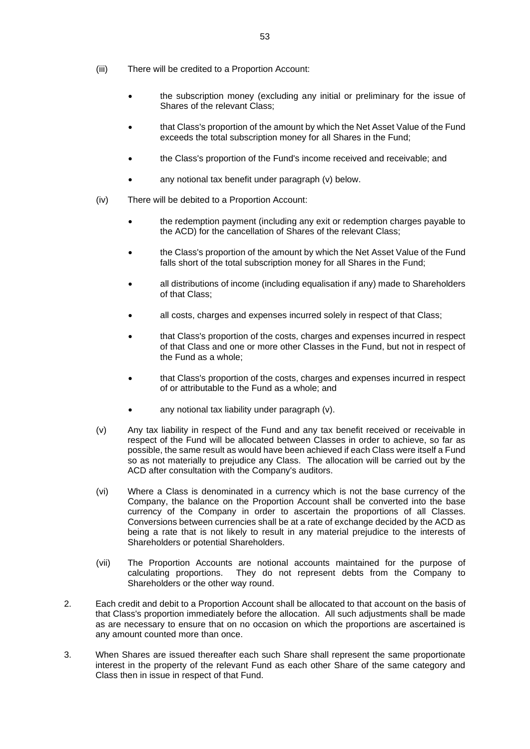- (iii) There will be credited to a Proportion Account:
	- the subscription money (excluding any initial or preliminary for the issue of Shares of the relevant Class;
	- that Class's proportion of the amount by which the Net Asset Value of the Fund exceeds the total subscription money for all Shares in the Fund;
	- the Class's proportion of the Fund's income received and receivable; and
	- any notional tax benefit under paragraph (v) below.
- (iv) There will be debited to a Proportion Account:
	- the redemption payment (including any exit or redemption charges payable to the ACD) for the cancellation of Shares of the relevant Class;
	- the Class's proportion of the amount by which the Net Asset Value of the Fund falls short of the total subscription money for all Shares in the Fund;
	- all distributions of income (including equalisation if any) made to Shareholders of that Class;
	- all costs, charges and expenses incurred solely in respect of that Class:
	- that Class's proportion of the costs, charges and expenses incurred in respect of that Class and one or more other Classes in the Fund, but not in respect of the Fund as a whole;
	- that Class's proportion of the costs, charges and expenses incurred in respect of or attributable to the Fund as a whole; and
	- any notional tax liability under paragraph (y).
- (v) Any tax liability in respect of the Fund and any tax benefit received or receivable in respect of the Fund will be allocated between Classes in order to achieve, so far as possible, the same result as would have been achieved if each Class were itself a Fund so as not materially to prejudice any Class. The allocation will be carried out by the ACD after consultation with the Company's auditors.
- (vi) Where a Class is denominated in a currency which is not the base currency of the Company, the balance on the Proportion Account shall be converted into the base currency of the Company in order to ascertain the proportions of all Classes. Conversions between currencies shall be at a rate of exchange decided by the ACD as being a rate that is not likely to result in any material prejudice to the interests of Shareholders or potential Shareholders.
- (vii) The Proportion Accounts are notional accounts maintained for the purpose of calculating proportions. They do not represent debts from the Company to Shareholders or the other way round.
- 2. Each credit and debit to a Proportion Account shall be allocated to that account on the basis of that Class's proportion immediately before the allocation. All such adjustments shall be made as are necessary to ensure that on no occasion on which the proportions are ascertained is any amount counted more than once.
- 3. When Shares are issued thereafter each such Share shall represent the same proportionate interest in the property of the relevant Fund as each other Share of the same category and Class then in issue in respect of that Fund.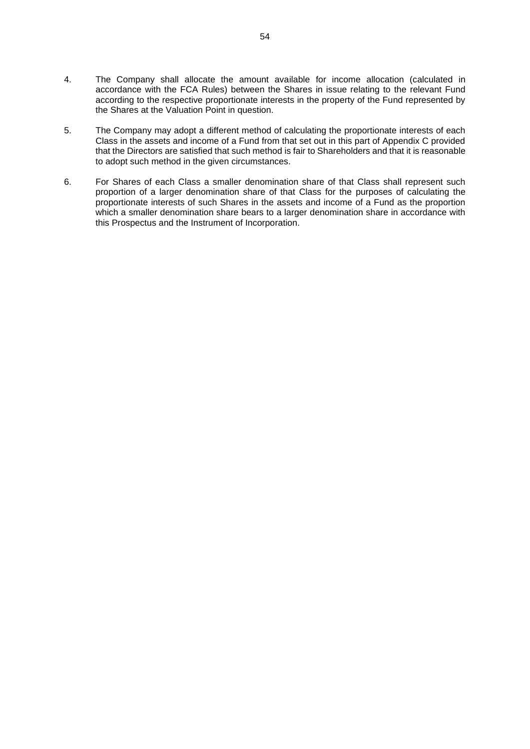- 4. The Company shall allocate the amount available for income allocation (calculated in accordance with the FCA Rules) between the Shares in issue relating to the relevant Fund according to the respective proportionate interests in the property of the Fund represented by the Shares at the Valuation Point in question.
- 5. The Company may adopt a different method of calculating the proportionate interests of each Class in the assets and income of a Fund from that set out in this part of Appendix C provided that the Directors are satisfied that such method is fair to Shareholders and that it is reasonable to adopt such method in the given circumstances.
- 6. For Shares of each Class a smaller denomination share of that Class shall represent such proportion of a larger denomination share of that Class for the purposes of calculating the proportionate interests of such Shares in the assets and income of a Fund as the proportion which a smaller denomination share bears to a larger denomination share in accordance with this Prospectus and the Instrument of Incorporation.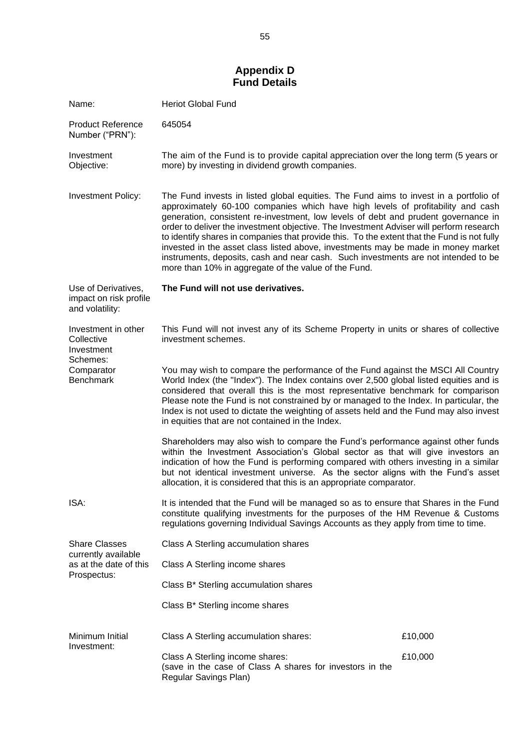## **Appendix D Fund Details**

<span id="page-54-0"></span>

| Name:                                                            | <b>Heriot Global Fund</b>                                                                                                                                                                                                                                                                                                                                                                                                                                                                                                                                                                                                                                                                   |         |
|------------------------------------------------------------------|---------------------------------------------------------------------------------------------------------------------------------------------------------------------------------------------------------------------------------------------------------------------------------------------------------------------------------------------------------------------------------------------------------------------------------------------------------------------------------------------------------------------------------------------------------------------------------------------------------------------------------------------------------------------------------------------|---------|
| <b>Product Reference</b><br>Number ("PRN"):                      | 645054                                                                                                                                                                                                                                                                                                                                                                                                                                                                                                                                                                                                                                                                                      |         |
| Investment<br>Objective:                                         | The aim of the Fund is to provide capital appreciation over the long term (5 years or<br>more) by investing in dividend growth companies.                                                                                                                                                                                                                                                                                                                                                                                                                                                                                                                                                   |         |
| <b>Investment Policy:</b>                                        | The Fund invests in listed global equities. The Fund aims to invest in a portfolio of<br>approximately 60-100 companies which have high levels of profitability and cash<br>generation, consistent re-investment, low levels of debt and prudent governance in<br>order to deliver the investment objective. The Investment Adviser will perform research<br>to identify shares in companies that provide this. To the extent that the Fund is not fully<br>invested in the asset class listed above, investments may be made in money market<br>instruments, deposits, cash and near cash. Such investments are not intended to be<br>more than 10% in aggregate of the value of the Fund. |         |
| Use of Derivatives,<br>impact on risk profile<br>and volatility: | The Fund will not use derivatives.                                                                                                                                                                                                                                                                                                                                                                                                                                                                                                                                                                                                                                                          |         |
| Investment in other<br>Collective<br>Investment<br>Schemes:      | This Fund will not invest any of its Scheme Property in units or shares of collective<br>investment schemes.                                                                                                                                                                                                                                                                                                                                                                                                                                                                                                                                                                                |         |
| Comparator<br><b>Benchmark</b>                                   | You may wish to compare the performance of the Fund against the MSCI All Country<br>World Index (the "Index"). The Index contains over 2,500 global listed equities and is<br>considered that overall this is the most representative benchmark for comparison<br>Please note the Fund is not constrained by or managed to the Index. In particular, the<br>Index is not used to dictate the weighting of assets held and the Fund may also invest<br>in equities that are not contained in the Index.                                                                                                                                                                                      |         |
|                                                                  | Shareholders may also wish to compare the Fund's performance against other funds<br>within the Investment Association's Global sector as that will give investors an<br>indication of how the Fund is performing compared with others investing in a similar<br>but not identical investment universe. As the sector aligns with the Fund's asset<br>allocation, it is considered that this is an appropriate comparator.                                                                                                                                                                                                                                                                   |         |
| ISA:                                                             | It is intended that the Fund will be managed so as to ensure that Shares in the Fund<br>constitute qualifying investments for the purposes of the HM Revenue & Customs<br>regulations governing Individual Savings Accounts as they apply from time to time.                                                                                                                                                                                                                                                                                                                                                                                                                                |         |
| <b>Share Classes</b><br>currently available                      | Class A Sterling accumulation shares                                                                                                                                                                                                                                                                                                                                                                                                                                                                                                                                                                                                                                                        |         |
| as at the date of this<br>Prospectus:                            | Class A Sterling income shares                                                                                                                                                                                                                                                                                                                                                                                                                                                                                                                                                                                                                                                              |         |
|                                                                  | Class B* Sterling accumulation shares                                                                                                                                                                                                                                                                                                                                                                                                                                                                                                                                                                                                                                                       |         |
|                                                                  | Class B* Sterling income shares                                                                                                                                                                                                                                                                                                                                                                                                                                                                                                                                                                                                                                                             |         |
| Minimum Initial<br>Investment:                                   | Class A Sterling accumulation shares:                                                                                                                                                                                                                                                                                                                                                                                                                                                                                                                                                                                                                                                       | £10,000 |
|                                                                  | Class A Sterling income shares:<br>(save in the case of Class A shares for investors in the<br>Regular Savings Plan)                                                                                                                                                                                                                                                                                                                                                                                                                                                                                                                                                                        | £10,000 |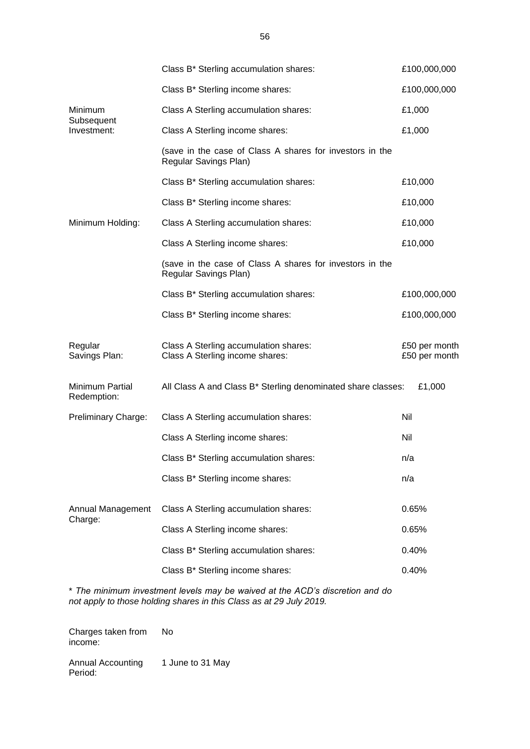|                                | Class B* Sterling accumulation shares:                                            | £100,000,000                   |
|--------------------------------|-----------------------------------------------------------------------------------|--------------------------------|
|                                | Class B* Sterling income shares:                                                  | £100,000,000                   |
| Minimum                        | Class A Sterling accumulation shares:                                             | £1,000                         |
| Subsequent<br>Investment:      | Class A Sterling income shares:                                                   | £1,000                         |
|                                | (save in the case of Class A shares for investors in the<br>Regular Savings Plan) |                                |
|                                | Class B* Sterling accumulation shares:                                            | £10,000                        |
|                                | Class B* Sterling income shares:                                                  | £10,000                        |
| Minimum Holding:               | Class A Sterling accumulation shares:                                             | £10,000                        |
|                                | Class A Sterling income shares:                                                   | £10,000                        |
|                                | (save in the case of Class A shares for investors in the<br>Regular Savings Plan) |                                |
|                                | Class B* Sterling accumulation shares:                                            | £100,000,000                   |
|                                | Class B* Sterling income shares:                                                  | £100,000,000                   |
| Regular<br>Savings Plan:       | Class A Sterling accumulation shares:<br>Class A Sterling income shares:          | £50 per month<br>£50 per month |
| Minimum Partial<br>Redemption: | All Class A and Class B* Sterling denominated share classes:                      | £1,000                         |
| Preliminary Charge:            | Class A Sterling accumulation shares:                                             | Nil                            |
|                                | Class A Sterling income shares:                                                   | Nil                            |
|                                | Class B* Sterling accumulation shares:                                            | n/a                            |
|                                | Class B* Sterling income shares:                                                  | n/a                            |
| Annual Management<br>Charge:   | Class A Sterling accumulation shares:                                             | 0.65%                          |
|                                | Class A Sterling income shares:                                                   | 0.65%                          |
|                                | Class B* Sterling accumulation shares:                                            | 0.40%                          |
|                                | Class B* Sterling income shares:                                                  | 0.40%                          |

\* *The minimum investment levels may be waived at the ACD's discretion and do not apply to those holding shares in this Class as at 29 July 2019.* 

Charges taken from income: No

Annual Accounting Period: 1 June to 31 May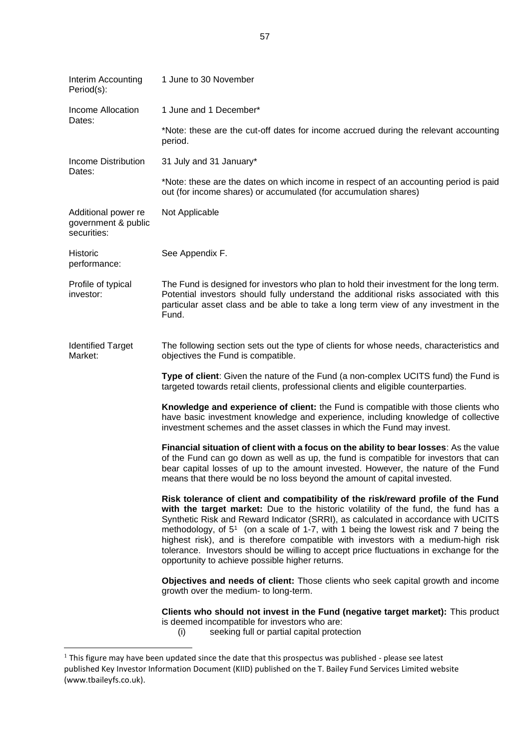| Interim Accounting<br>Period(s):                          | 1 June to 30 November                                                                                                                                                                                                                                                                                                                                                                                                                                                                                                                                                                               |
|-----------------------------------------------------------|-----------------------------------------------------------------------------------------------------------------------------------------------------------------------------------------------------------------------------------------------------------------------------------------------------------------------------------------------------------------------------------------------------------------------------------------------------------------------------------------------------------------------------------------------------------------------------------------------------|
| Income Allocation<br>Dates:                               | 1 June and 1 December*                                                                                                                                                                                                                                                                                                                                                                                                                                                                                                                                                                              |
|                                                           | *Note: these are the cut-off dates for income accrued during the relevant accounting<br>period.                                                                                                                                                                                                                                                                                                                                                                                                                                                                                                     |
| Income Distribution<br>Dates:                             | 31 July and 31 January*                                                                                                                                                                                                                                                                                                                                                                                                                                                                                                                                                                             |
|                                                           | *Note: these are the dates on which income in respect of an accounting period is paid<br>out (for income shares) or accumulated (for accumulation shares)                                                                                                                                                                                                                                                                                                                                                                                                                                           |
| Additional power re<br>government & public<br>securities: | Not Applicable                                                                                                                                                                                                                                                                                                                                                                                                                                                                                                                                                                                      |
| Historic<br>performance:                                  | See Appendix F.                                                                                                                                                                                                                                                                                                                                                                                                                                                                                                                                                                                     |
| Profile of typical<br>investor:                           | The Fund is designed for investors who plan to hold their investment for the long term.<br>Potential investors should fully understand the additional risks associated with this<br>particular asset class and be able to take a long term view of any investment in the<br>Fund.                                                                                                                                                                                                                                                                                                                   |
| <b>Identified Target</b><br>Market:                       | The following section sets out the type of clients for whose needs, characteristics and<br>objectives the Fund is compatible.                                                                                                                                                                                                                                                                                                                                                                                                                                                                       |
|                                                           | Type of client: Given the nature of the Fund (a non-complex UCITS fund) the Fund is<br>targeted towards retail clients, professional clients and eligible counterparties.                                                                                                                                                                                                                                                                                                                                                                                                                           |
|                                                           | Knowledge and experience of client: the Fund is compatible with those clients who<br>have basic investment knowledge and experience, including knowledge of collective<br>investment schemes and the asset classes in which the Fund may invest.                                                                                                                                                                                                                                                                                                                                                    |
|                                                           | Financial situation of client with a focus on the ability to bear losses: As the value<br>of the Fund can go down as well as up, the fund is compatible for investors that can<br>bear capital losses of up to the amount invested. However, the nature of the Fund<br>means that there would be no loss beyond the amount of capital invested.                                                                                                                                                                                                                                                     |
|                                                           | Risk tolerance of client and compatibility of the risk/reward profile of the Fund<br>with the target market: Due to the historic volatility of the fund, the fund has a<br>Synthetic Risk and Reward Indicator (SRRI), as calculated in accordance with UCITS<br>methodology, of 5 <sup>1</sup> (on a scale of 1-7, with 1 being the lowest risk and 7 being the<br>highest risk), and is therefore compatible with investors with a medium-high risk<br>tolerance. Investors should be willing to accept price fluctuations in exchange for the<br>opportunity to achieve possible higher returns. |
|                                                           | Objectives and needs of client: Those clients who seek capital growth and income<br>growth over the medium- to long-term.                                                                                                                                                                                                                                                                                                                                                                                                                                                                           |
|                                                           | Clients who should not invest in the Fund (negative target market): This product<br>is deemed incompatible for investors who are:<br>seeking full or partial capital protection<br>(i)                                                                                                                                                                                                                                                                                                                                                                                                              |

 $<sup>1</sup>$  This figure may have been updated since the date that this prospectus was published - please see latest</sup> published Key Investor Information Document (KIID) published on the T. Bailey Fund Services Limited website [\(www.tbaileyfs.co.uk\)](http://www.tbaileyfs.co.uk/).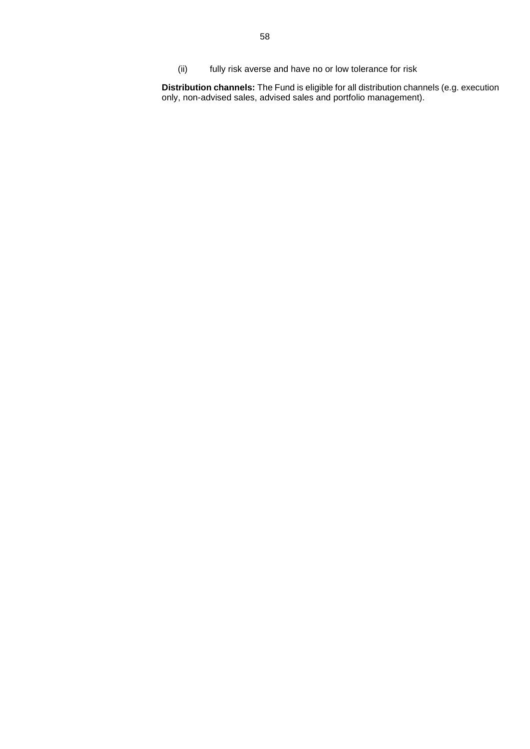(ii) fully risk averse and have no or low tolerance for risk

**Distribution channels:** The Fund is eligible for all distribution channels (e.g. execution only, non-advised sales, advised sales and portfolio management).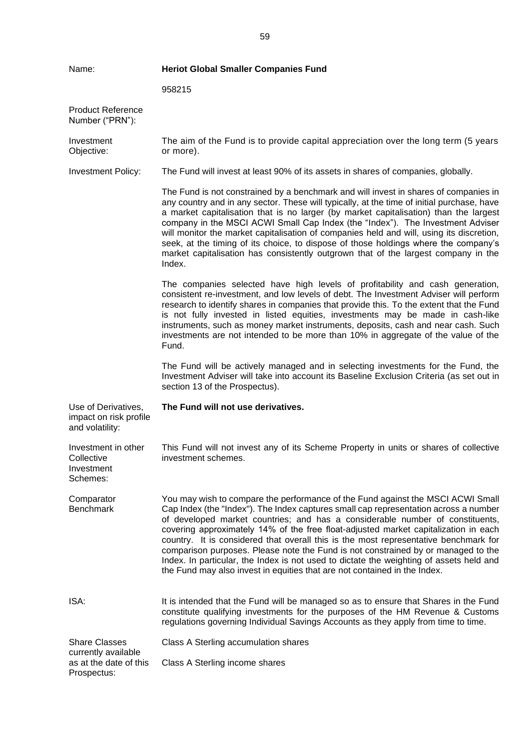| <b>Heriot Global Smaller Companies Fund</b><br>Name:             |                                                                                                                                                                                                                                                                                                                                                                                                                                                                                                                                                                                                                                                                                                      |
|------------------------------------------------------------------|------------------------------------------------------------------------------------------------------------------------------------------------------------------------------------------------------------------------------------------------------------------------------------------------------------------------------------------------------------------------------------------------------------------------------------------------------------------------------------------------------------------------------------------------------------------------------------------------------------------------------------------------------------------------------------------------------|
|                                                                  | 958215                                                                                                                                                                                                                                                                                                                                                                                                                                                                                                                                                                                                                                                                                               |
| <b>Product Reference</b><br>Number ("PRN"):                      |                                                                                                                                                                                                                                                                                                                                                                                                                                                                                                                                                                                                                                                                                                      |
| Investment<br>Objective:                                         | The aim of the Fund is to provide capital appreciation over the long term (5 years<br>or more).                                                                                                                                                                                                                                                                                                                                                                                                                                                                                                                                                                                                      |
| <b>Investment Policy:</b>                                        | The Fund will invest at least 90% of its assets in shares of companies, globally.                                                                                                                                                                                                                                                                                                                                                                                                                                                                                                                                                                                                                    |
|                                                                  | The Fund is not constrained by a benchmark and will invest in shares of companies in<br>any country and in any sector. These will typically, at the time of initial purchase, have<br>a market capitalisation that is no larger (by market capitalisation) than the largest<br>company in the MSCI ACWI Small Cap Index (the "Index"). The Investment Adviser<br>will monitor the market capitalisation of companies held and will, using its discretion,<br>seek, at the timing of its choice, to dispose of those holdings where the company's<br>market capitalisation has consistently outgrown that of the largest company in the<br>Index.                                                     |
|                                                                  | The companies selected have high levels of profitability and cash generation,<br>consistent re-investment, and low levels of debt. The Investment Adviser will perform<br>research to identify shares in companies that provide this. To the extent that the Fund<br>is not fully invested in listed equities, investments may be made in cash-like<br>instruments, such as money market instruments, deposits, cash and near cash. Such<br>investments are not intended to be more than 10% in aggregate of the value of the<br>Fund.                                                                                                                                                               |
|                                                                  | The Fund will be actively managed and in selecting investments for the Fund, the<br>Investment Adviser will take into account its Baseline Exclusion Criteria (as set out in<br>section 13 of the Prospectus).                                                                                                                                                                                                                                                                                                                                                                                                                                                                                       |
| Use of Derivatives,<br>impact on risk profile<br>and volatility: | The Fund will not use derivatives.                                                                                                                                                                                                                                                                                                                                                                                                                                                                                                                                                                                                                                                                   |
| Investment in other<br>Collective<br>Investment<br>Schemes:      | This Fund will not invest any of its Scheme Property in units or shares of collective<br>investment schemes.                                                                                                                                                                                                                                                                                                                                                                                                                                                                                                                                                                                         |
| Comparator<br><b>Benchmark</b>                                   | You may wish to compare the performance of the Fund against the MSCI ACWI Small<br>Cap Index (the "Index"). The Index captures small cap representation across a number<br>of developed market countries; and has a considerable number of constituents,<br>covering approximately 14% of the free float-adjusted market capitalization in each<br>country. It is considered that overall this is the most representative benchmark for<br>comparison purposes. Please note the Fund is not constrained by or managed to the<br>Index. In particular, the Index is not used to dictate the weighting of assets held and<br>the Fund may also invest in equities that are not contained in the Index. |
| ISA:                                                             | It is intended that the Fund will be managed so as to ensure that Shares in the Fund<br>constitute qualifying investments for the purposes of the HM Revenue & Customs<br>regulations governing Individual Savings Accounts as they apply from time to time.                                                                                                                                                                                                                                                                                                                                                                                                                                         |
| <b>Share Classes</b>                                             | Class A Sterling accumulation shares                                                                                                                                                                                                                                                                                                                                                                                                                                                                                                                                                                                                                                                                 |
| currently available<br>as at the date of this<br>Prospectus:     | Class A Sterling income shares                                                                                                                                                                                                                                                                                                                                                                                                                                                                                                                                                                                                                                                                       |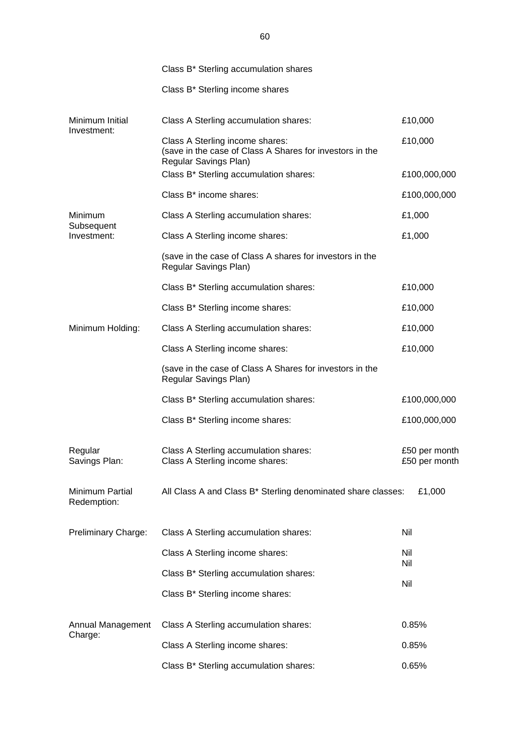|                                | Class B* Sterling accumulation shares                                                                                |                                |  |
|--------------------------------|----------------------------------------------------------------------------------------------------------------------|--------------------------------|--|
|                                | Class B* Sterling income shares                                                                                      |                                |  |
| Minimum Initial                | Class A Sterling accumulation shares:                                                                                | £10,000                        |  |
| Investment:                    | Class A Sterling income shares:<br>(save in the case of Class A Shares for investors in the<br>Regular Savings Plan) | £10,000                        |  |
|                                | Class B* Sterling accumulation shares:                                                                               | £100,000,000                   |  |
|                                | Class B* income shares:                                                                                              | £100,000,000                   |  |
| Minimum                        | Class A Sterling accumulation shares:                                                                                | £1,000                         |  |
| Subsequent<br>Investment:      | £1,000<br>Class A Sterling income shares:                                                                            |                                |  |
|                                | (save in the case of Class A shares for investors in the<br>Regular Savings Plan)                                    |                                |  |
|                                | Class B* Sterling accumulation shares:                                                                               | £10,000                        |  |
|                                | Class B* Sterling income shares:                                                                                     | £10,000                        |  |
| Minimum Holding:               | Class A Sterling accumulation shares:                                                                                | £10,000                        |  |
|                                | Class A Sterling income shares:                                                                                      | £10,000                        |  |
|                                | (save in the case of Class A Shares for investors in the<br>Regular Savings Plan)                                    |                                |  |
|                                | Class B* Sterling accumulation shares:                                                                               | £100,000,000                   |  |
|                                | Class B* Sterling income shares:                                                                                     | £100,000,000                   |  |
| Regular<br>Savings Plan:       | Class A Sterling accumulation shares:<br>Class A Sterling income shares:                                             | £50 per month<br>£50 per month |  |
| Minimum Partial<br>Redemption: | All Class A and Class B* Sterling denominated share classes:<br>£1,000                                               |                                |  |
| Preliminary Charge:            | Class A Sterling accumulation shares:                                                                                | Nil                            |  |
|                                | Class A Sterling income shares:                                                                                      | Nil<br>Nil                     |  |
|                                | Class B* Sterling accumulation shares:                                                                               | Nil                            |  |
|                                | Class B* Sterling income shares:                                                                                     |                                |  |
| Annual Management<br>Charge:   | Class A Sterling accumulation shares:                                                                                | 0.85%                          |  |
|                                | Class A Sterling income shares:                                                                                      | 0.85%                          |  |
|                                | Class B* Sterling accumulation shares:                                                                               | 0.65%                          |  |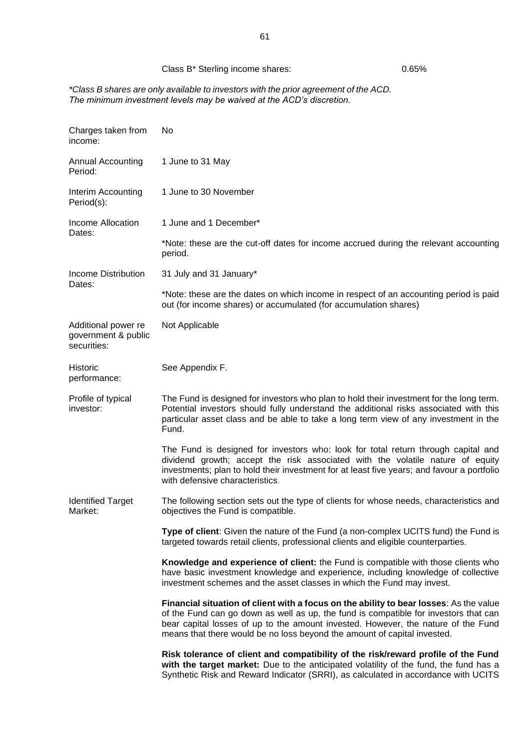## Class B<sup>\*</sup> Sterling income shares: 0.65%

*\*Class B shares are only available to investors with the prior agreement of the ACD. The minimum investment levels may be waived at the ACD's discretion.*

| Charges taken from<br>income:                             | No                                                                                                                                                                                                                                                                                                                                              |  |
|-----------------------------------------------------------|-------------------------------------------------------------------------------------------------------------------------------------------------------------------------------------------------------------------------------------------------------------------------------------------------------------------------------------------------|--|
| <b>Annual Accounting</b><br>Period:                       | 1 June to 31 May                                                                                                                                                                                                                                                                                                                                |  |
| Interim Accounting<br>Period(s):                          | 1 June to 30 November                                                                                                                                                                                                                                                                                                                           |  |
| Income Allocation<br>Dates:                               | 1 June and 1 December*                                                                                                                                                                                                                                                                                                                          |  |
|                                                           | *Note: these are the cut-off dates for income accrued during the relevant accounting<br>period.                                                                                                                                                                                                                                                 |  |
| <b>Income Distribution</b><br>Dates:                      | 31 July and 31 January*                                                                                                                                                                                                                                                                                                                         |  |
|                                                           | *Note: these are the dates on which income in respect of an accounting period is paid<br>out (for income shares) or accumulated (for accumulation shares)                                                                                                                                                                                       |  |
| Additional power re<br>government & public<br>securities: | Not Applicable                                                                                                                                                                                                                                                                                                                                  |  |
| Historic<br>performance:                                  | See Appendix F.                                                                                                                                                                                                                                                                                                                                 |  |
| Profile of typical<br>investor:                           | The Fund is designed for investors who plan to hold their investment for the long term.<br>Potential investors should fully understand the additional risks associated with this<br>particular asset class and be able to take a long term view of any investment in the<br>Fund.                                                               |  |
|                                                           | The Fund is designed for investors who: look for total return through capital and<br>dividend growth; accept the risk associated with the volatile nature of equity<br>investments; plan to hold their investment for at least five years; and favour a portfolio<br>with defensive characteristics.                                            |  |
| <b>Identified Target</b><br>Market:                       | The following section sets out the type of clients for whose needs, characteristics and<br>objectives the Fund is compatible.                                                                                                                                                                                                                   |  |
|                                                           | Type of client: Given the nature of the Fund (a non-complex UCITS fund) the Fund is<br>targeted towards retail clients, professional clients and eligible counterparties.                                                                                                                                                                       |  |
|                                                           | Knowledge and experience of client: the Fund is compatible with those clients who<br>have basic investment knowledge and experience, including knowledge of collective<br>investment schemes and the asset classes in which the Fund may invest.                                                                                                |  |
|                                                           | Financial situation of client with a focus on the ability to bear losses: As the value<br>of the Fund can go down as well as up, the fund is compatible for investors that can<br>bear capital losses of up to the amount invested. However, the nature of the Fund<br>means that there would be no loss beyond the amount of capital invested. |  |
|                                                           | Risk tolerance of client and compatibility of the risk/reward profile of the Fund<br>with the target market: Due to the anticipated volatility of the fund, the fund has a<br>Synthetic Risk and Reward Indicator (SRRI), as calculated in accordance with UCITS                                                                                |  |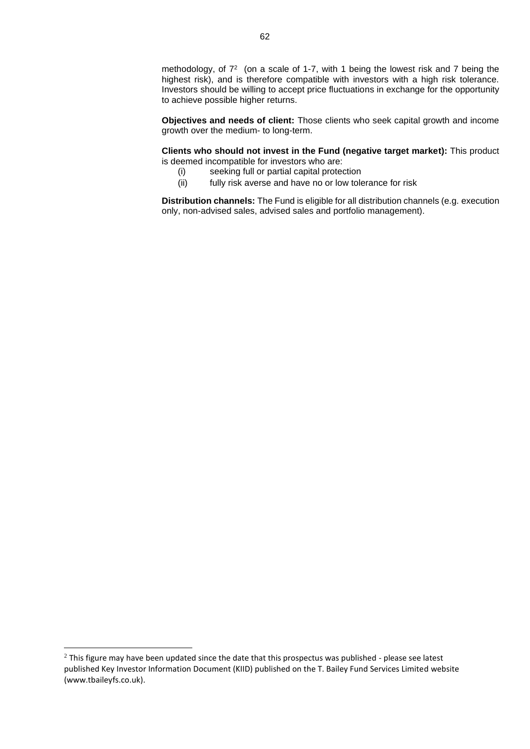methodology, of  $7^2$  (on a scale of 1-7, with 1 being the lowest risk and 7 being the highest risk), and is therefore compatible with investors with a high risk tolerance. Investors should be willing to accept price fluctuations in exchange for the opportunity to achieve possible higher returns.

**Objectives and needs of client:** Those clients who seek capital growth and income growth over the medium- to long-term.

**Clients who should not invest in the Fund (negative target market):** This product is deemed incompatible for investors who are:

- (i) seeking full or partial capital protection
- (ii) fully risk averse and have no or low tolerance for risk

**Distribution channels:** The Fund is eligible for all distribution channels (e.g. execution only, non-advised sales, advised sales and portfolio management).

<sup>&</sup>lt;sup>2</sup> This figure may have been updated since the date that this prospectus was published - please see latest published Key Investor Information Document (KIID) published on the T. Bailey Fund Services Limited website [\(www.tbaileyfs.co.uk\)](http://www.tbaileyfs.co.uk/).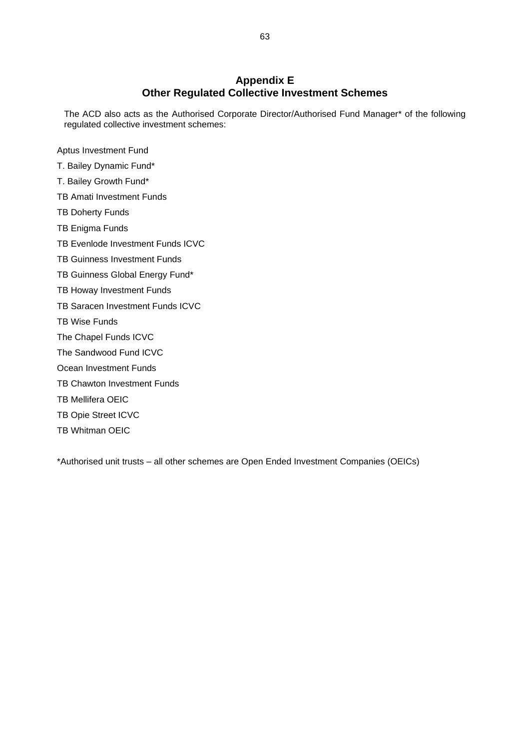## **Appendix E Other Regulated Collective Investment Schemes**

<span id="page-62-0"></span>The ACD also acts as the Authorised Corporate Director/Authorised Fund Manager\* of the following regulated collective investment schemes:

Aptus Investment Fund

- T. Bailey Dynamic Fund\*
- T. Bailey Growth Fund\*
- TB Amati Investment Funds
- TB Doherty Funds
- TB Enigma Funds
- TB Evenlode Investment Funds ICVC
- TB Guinness Investment Funds
- TB Guinness Global Energy Fund\*
- TB Howay Investment Funds
- TB Saracen Investment Funds ICVC
- TB Wise Funds
- The Chapel Funds ICVC
- The Sandwood Fund ICVC
- Ocean Investment Funds
- TB Chawton Investment Funds
- TB Mellifera OEIC
- TB Opie Street ICVC
- TB Whitman OEIC

\*Authorised unit trusts – all other schemes are Open Ended Investment Companies (OEICs)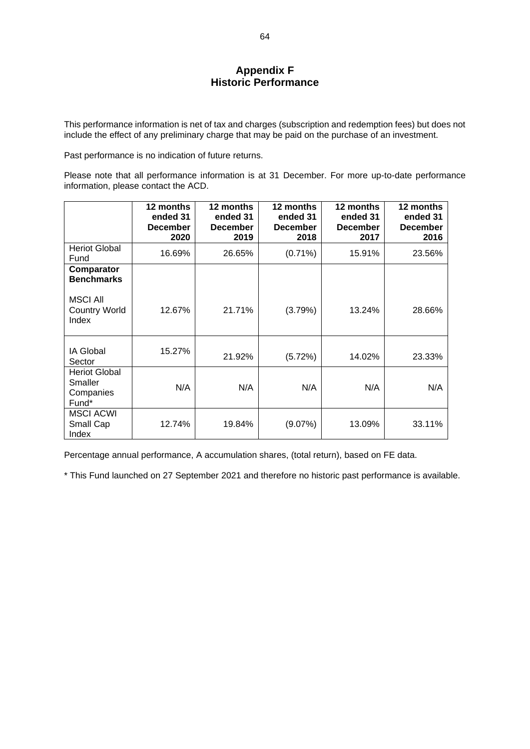## **Appendix F Historic Performance**

<span id="page-63-0"></span>This performance information is net of tax and charges (subscription and redemption fees) but does not include the effect of any preliminary charge that may be paid on the purchase of an investment.

Past performance is no indication of future returns.

Please note that all performance information is at 31 December. For more up-to-date performance information, please contact the ACD.

|                                                       | 12 months<br>ended 31<br><b>December</b><br>2020 | 12 months<br>ended 31<br><b>December</b><br>2019 | 12 months<br>ended 31<br><b>December</b><br>2018 | 12 months<br>ended 31<br><b>December</b><br>2017 | 12 months<br>ended 31<br><b>December</b><br>2016 |
|-------------------------------------------------------|--------------------------------------------------|--------------------------------------------------|--------------------------------------------------|--------------------------------------------------|--------------------------------------------------|
| <b>Heriot Global</b><br>Fund                          | 16.69%                                           | 26.65%                                           | $(0.71\%)$                                       | 15.91%                                           | 23.56%                                           |
| Comparator<br><b>Benchmarks</b>                       |                                                  |                                                  |                                                  |                                                  |                                                  |
| <b>MSCI All</b><br><b>Country World</b><br>Index      | 12.67%                                           | 21.71%                                           | (3.79%)                                          | 13.24%                                           | 28.66%                                           |
| IA Global<br>Sector                                   | 15.27%                                           | 21.92%                                           | (5.72%)                                          | 14.02%                                           | 23.33%                                           |
| <b>Heriot Global</b><br>Smaller<br>Companies<br>Fund* | N/A                                              | N/A                                              | N/A                                              | N/A                                              | N/A                                              |
| <b>MSCI ACWI</b><br>Small Cap<br>Index                | 12.74%                                           | 19.84%                                           | (9.07%)                                          | 13.09%                                           | 33.11%                                           |

Percentage annual performance, A accumulation shares, (total return), based on FE data.

\* This Fund launched on 27 September 2021 and therefore no historic past performance is available.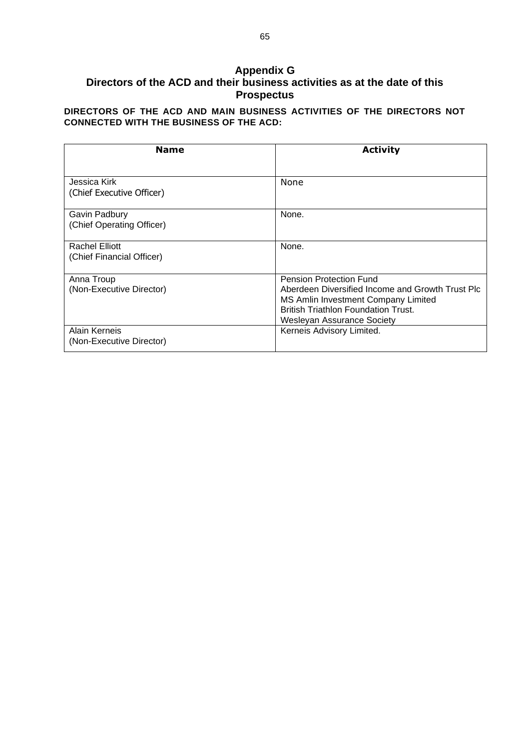## <span id="page-64-0"></span>**Appendix G Directors of the ACD and their business activities as at the date of this Prospectus**

**DIRECTORS OF THE ACD AND MAIN BUSINESS ACTIVITIES OF THE DIRECTORS NOT CONNECTED WITH THE BUSINESS OF THE ACD:**

| <b>Name</b>                                        | <b>Activity</b>                                                                                                                                                                                       |
|----------------------------------------------------|-------------------------------------------------------------------------------------------------------------------------------------------------------------------------------------------------------|
|                                                    |                                                                                                                                                                                                       |
| Jessica Kirk<br>(Chief Executive Officer)          | None                                                                                                                                                                                                  |
| Gavin Padbury<br>(Chief Operating Officer)         | None.                                                                                                                                                                                                 |
| <b>Rachel Elliott</b><br>(Chief Financial Officer) | None.                                                                                                                                                                                                 |
| Anna Troup<br>(Non-Executive Director)             | <b>Pension Protection Fund</b><br>Aberdeen Diversified Income and Growth Trust Plc<br>MS Amlin Investment Company Limited<br><b>British Triathlon Foundation Trust.</b><br>Wesleyan Assurance Society |
| Alain Kerneis<br>(Non-Executive Director)          | Kerneis Advisory Limited.                                                                                                                                                                             |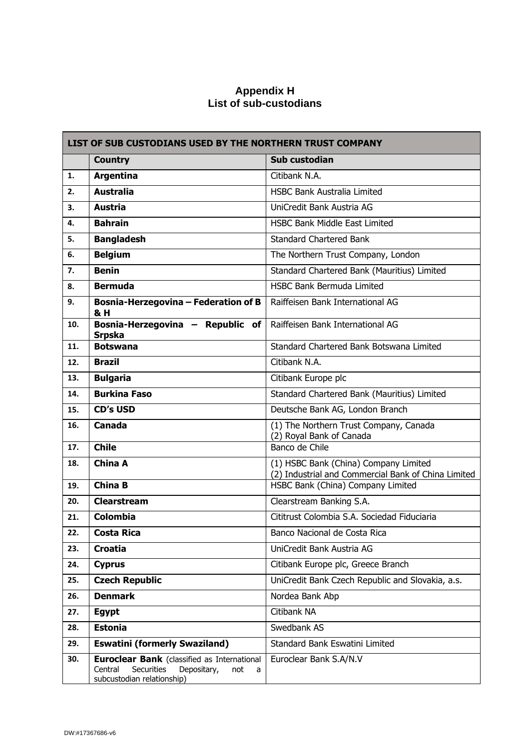## **Appendix H List of sub-custodians**

|     | <b>LIST OF SUB CUSTODIANS USED BY THE NORTHERN TRUST COMPANY</b>                                                                            |                                                                                              |  |
|-----|---------------------------------------------------------------------------------------------------------------------------------------------|----------------------------------------------------------------------------------------------|--|
|     | <b>Country</b>                                                                                                                              | Sub custodian                                                                                |  |
| 1.  | <b>Argentina</b>                                                                                                                            | Citibank N.A.                                                                                |  |
| 2.  | <b>Australia</b>                                                                                                                            | <b>HSBC Bank Australia Limited</b>                                                           |  |
| 3.  | <b>Austria</b>                                                                                                                              | UniCredit Bank Austria AG                                                                    |  |
| 4.  | <b>Bahrain</b>                                                                                                                              | <b>HSBC Bank Middle East Limited</b>                                                         |  |
| 5.  | <b>Bangladesh</b>                                                                                                                           | <b>Standard Chartered Bank</b>                                                               |  |
| 6.  | <b>Belgium</b>                                                                                                                              | The Northern Trust Company, London                                                           |  |
| 7.  | <b>Benin</b>                                                                                                                                | Standard Chartered Bank (Mauritius) Limited                                                  |  |
| 8.  | <b>Bermuda</b>                                                                                                                              | <b>HSBC Bank Bermuda Limited</b>                                                             |  |
| 9.  | <b>Bosnia-Herzegovina - Federation of B</b><br>& H                                                                                          | Raiffeisen Bank International AG                                                             |  |
| 10. | Bosnia-Herzegovina - Republic of<br><b>Srpska</b>                                                                                           | Raiffeisen Bank International AG                                                             |  |
| 11. | <b>Botswana</b>                                                                                                                             | Standard Chartered Bank Botswana Limited                                                     |  |
| 12. | <b>Brazil</b>                                                                                                                               | Citibank N.A.                                                                                |  |
| 13. | <b>Bulgaria</b>                                                                                                                             | Citibank Europe plc                                                                          |  |
| 14. | <b>Burkina Faso</b>                                                                                                                         | Standard Chartered Bank (Mauritius) Limited                                                  |  |
| 15. | <b>CD's USD</b>                                                                                                                             | Deutsche Bank AG, London Branch                                                              |  |
| 16. | <b>Canada</b>                                                                                                                               | (1) The Northern Trust Company, Canada<br>(2) Royal Bank of Canada                           |  |
| 17. | <b>Chile</b>                                                                                                                                | Banco de Chile                                                                               |  |
| 18. | <b>China A</b>                                                                                                                              | (1) HSBC Bank (China) Company Limited<br>(2) Industrial and Commercial Bank of China Limited |  |
| 19. | <b>China B</b>                                                                                                                              | HSBC Bank (China) Company Limited                                                            |  |
| 20. | <b>Clearstream</b>                                                                                                                          | Clearstream Banking S.A.                                                                     |  |
| 21. | Colombia                                                                                                                                    | Cititrust Colombia S.A. Sociedad Fiduciaria                                                  |  |
| 22. | Costa Rica                                                                                                                                  | Banco Nacional de Costa Rica                                                                 |  |
| 23. | <b>Croatia</b>                                                                                                                              | UniCredit Bank Austria AG                                                                    |  |
| 24. | <b>Cyprus</b>                                                                                                                               | Citibank Europe plc, Greece Branch                                                           |  |
| 25. | <b>Czech Republic</b>                                                                                                                       | UniCredit Bank Czech Republic and Slovakia, a.s.                                             |  |
| 26. | <b>Denmark</b>                                                                                                                              | Nordea Bank Abp                                                                              |  |
| 27. | <b>Egypt</b>                                                                                                                                | Citibank NA                                                                                  |  |
| 28. | <b>Estonia</b>                                                                                                                              | Swedbank AS                                                                                  |  |
| 29. | <b>Eswatini (formerly Swaziland)</b>                                                                                                        | Standard Bank Eswatini Limited                                                               |  |
| 30. | <b>Euroclear Bank</b> (classified as International<br>Central<br><b>Securities</b><br>Depositary,<br>not<br>a<br>subcustodian relationship) | Euroclear Bank S.A/N.V                                                                       |  |

<span id="page-65-0"></span> $\overline{1}$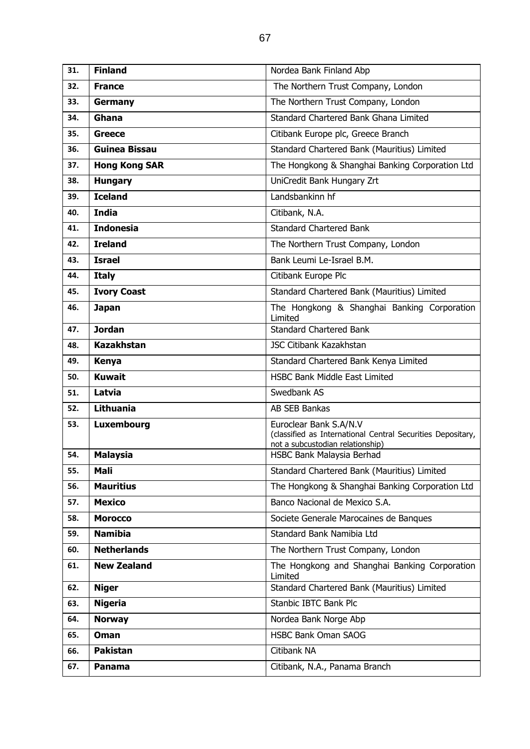| 31. | <b>Finland</b>       | Nordea Bank Finland Abp                                                                                                   |  |
|-----|----------------------|---------------------------------------------------------------------------------------------------------------------------|--|
| 32. | <b>France</b>        | The Northern Trust Company, London                                                                                        |  |
| 33. | Germany              | The Northern Trust Company, London                                                                                        |  |
| 34. | Ghana                | Standard Chartered Bank Ghana Limited                                                                                     |  |
| 35. | <b>Greece</b>        | Citibank Europe plc, Greece Branch                                                                                        |  |
| 36. | <b>Guinea Bissau</b> | Standard Chartered Bank (Mauritius) Limited                                                                               |  |
| 37. | <b>Hong Kong SAR</b> | The Hongkong & Shanghai Banking Corporation Ltd                                                                           |  |
| 38. | <b>Hungary</b>       | UniCredit Bank Hungary Zrt                                                                                                |  |
| 39. | <b>Iceland</b>       | Landsbankinn hf                                                                                                           |  |
| 40. | <b>India</b>         | Citibank, N.A.                                                                                                            |  |
| 41. | <b>Indonesia</b>     | <b>Standard Chartered Bank</b>                                                                                            |  |
| 42. | <b>Ireland</b>       | The Northern Trust Company, London                                                                                        |  |
| 43. | <b>Israel</b>        | Bank Leumi Le-Israel B.M.                                                                                                 |  |
| 44. | <b>Italy</b>         | Citibank Europe Plc                                                                                                       |  |
| 45. | <b>Ivory Coast</b>   | Standard Chartered Bank (Mauritius) Limited                                                                               |  |
| 46. | <b>Japan</b>         | The Hongkong & Shanghai Banking Corporation<br>Limited                                                                    |  |
| 47. | <b>Jordan</b>        | <b>Standard Chartered Bank</b>                                                                                            |  |
| 48. | <b>Kazakhstan</b>    | JSC Citibank Kazakhstan                                                                                                   |  |
| 49. | <b>Kenya</b>         | Standard Chartered Bank Kenya Limited                                                                                     |  |
| 50. | <b>Kuwait</b>        | HSBC Bank Middle East Limited                                                                                             |  |
| 51. | Latvia               | Swedbank AS                                                                                                               |  |
| 52. | <b>Lithuania</b>     | AB SEB Bankas                                                                                                             |  |
| 53. | Luxembourg           | Euroclear Bank S.A/N.V<br>(classified as International Central Securities Depositary,<br>not a subcustodian relationship) |  |
| 54. | <b>Malaysia</b>      | HSBC Bank Malaysia Berhad                                                                                                 |  |
| 55. | Mali                 | Standard Chartered Bank (Mauritius) Limited                                                                               |  |
| 56. | <b>Mauritius</b>     | The Hongkong & Shanghai Banking Corporation Ltd                                                                           |  |
| 57. | <b>Mexico</b>        | Banco Nacional de Mexico S.A.                                                                                             |  |
| 58. | <b>Morocco</b>       | Societe Generale Marocaines de Banques                                                                                    |  |
| 59. | <b>Namibia</b>       | Standard Bank Namibia Ltd                                                                                                 |  |
| 60. | <b>Netherlands</b>   | The Northern Trust Company, London                                                                                        |  |
| 61. | <b>New Zealand</b>   | The Hongkong and Shanghai Banking Corporation<br>Limited                                                                  |  |
| 62. | <b>Niger</b>         | Standard Chartered Bank (Mauritius) Limited                                                                               |  |
| 63. | <b>Nigeria</b>       | Stanbic IBTC Bank Plc                                                                                                     |  |
| 64. | <b>Norway</b>        | Nordea Bank Norge Abp                                                                                                     |  |
| 65. | Oman                 | <b>HSBC Bank Oman SAOG</b>                                                                                                |  |
| 66. | <b>Pakistan</b>      | Citibank NA                                                                                                               |  |
| 67. | Panama               | Citibank, N.A., Panama Branch                                                                                             |  |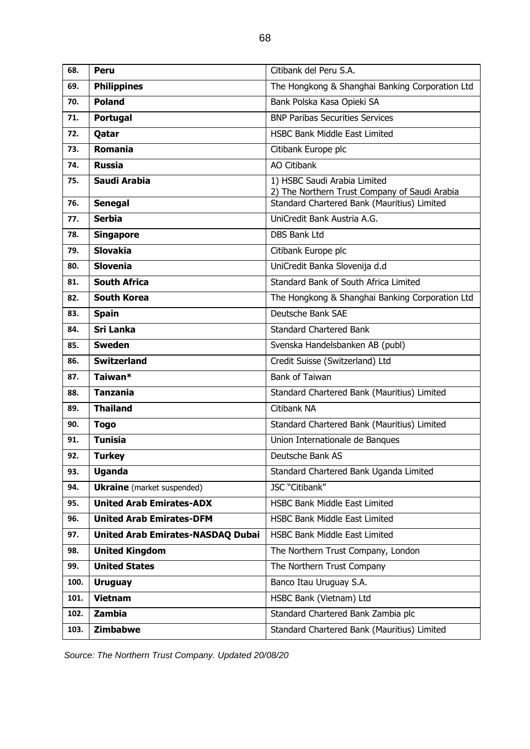| 68.  | <b>Peru</b>                              | Citibank del Peru S.A.                                                        |
|------|------------------------------------------|-------------------------------------------------------------------------------|
| 69.  | <b>Philippines</b>                       | The Hongkong & Shanghai Banking Corporation Ltd                               |
| 70.  | <b>Poland</b>                            | Bank Polska Kasa Opieki SA                                                    |
| 71.  | Portugal                                 | <b>BNP Paribas Securities Services</b>                                        |
| 72.  | Qatar                                    | <b>HSBC Bank Middle East Limited</b>                                          |
| 73.  | <b>Romania</b>                           | Citibank Europe plc                                                           |
| 74.  | <b>Russia</b>                            | <b>AO Citibank</b>                                                            |
| 75.  | Saudi Arabia                             | 1) HSBC Saudi Arabia Limited<br>2) The Northern Trust Company of Saudi Arabia |
| 76.  | <b>Senegal</b>                           | Standard Chartered Bank (Mauritius) Limited                                   |
| 77.  | <b>Serbia</b>                            | UniCredit Bank Austria A.G.                                                   |
| 78.  | <b>Singapore</b>                         | <b>DBS Bank Ltd</b>                                                           |
| 79.  | <b>Slovakia</b>                          | Citibank Europe plc                                                           |
| 80.  | <b>Slovenia</b>                          | UniCredit Banka Slovenija d.d                                                 |
| 81.  | <b>South Africa</b>                      | Standard Bank of South Africa Limited                                         |
| 82.  | <b>South Korea</b>                       | The Hongkong & Shanghai Banking Corporation Ltd                               |
| 83.  | <b>Spain</b>                             | Deutsche Bank SAE                                                             |
| 84.  | <b>Sri Lanka</b>                         | <b>Standard Chartered Bank</b>                                                |
| 85.  | <b>Sweden</b>                            | Svenska Handelsbanken AB (publ)                                               |
| 86.  | <b>Switzerland</b>                       | Credit Suisse (Switzerland) Ltd                                               |
| 87.  | Taiwan*                                  | <b>Bank of Taiwan</b>                                                         |
| 88.  | <b>Tanzania</b>                          | Standard Chartered Bank (Mauritius) Limited                                   |
| 89.  | <b>Thailand</b>                          | Citibank NA                                                                   |
| 90.  | <b>Togo</b>                              | Standard Chartered Bank (Mauritius) Limited                                   |
| 91.  | <b>Tunisia</b>                           | Union Internationale de Banques                                               |
| 92.  | <b>Turkey</b>                            | Deutsche Bank AS                                                              |
| 93.  | <b>Uganda</b>                            | Standard Chartered Bank Uganda Limited                                        |
| 94.  | <b>Ukraine</b> (market suspended)        | JSC "Citibank"                                                                |
| 95.  | <b>United Arab Emirates-ADX</b>          | <b>HSBC Bank Middle East Limited</b>                                          |
| 96.  | <b>United Arab Emirates-DFM</b>          | <b>HSBC Bank Middle East Limited</b>                                          |
| 97.  | <b>United Arab Emirates-NASDAQ Dubai</b> | HSBC Bank Middle East Limited                                                 |
| 98.  | <b>United Kingdom</b>                    | The Northern Trust Company, London                                            |
| 99.  | <b>United States</b>                     | The Northern Trust Company                                                    |
| 100. | <b>Uruguay</b>                           | Banco Itau Uruguay S.A.                                                       |
| 101. | <b>Vietnam</b>                           | HSBC Bank (Vietnam) Ltd                                                       |
| 102. | Zambia                                   | Standard Chartered Bank Zambia plc                                            |
| 103. | Zimbabwe                                 | Standard Chartered Bank (Mauritius) Limited                                   |

*Source: The Northern Trust Company. Updated 20/08/20*